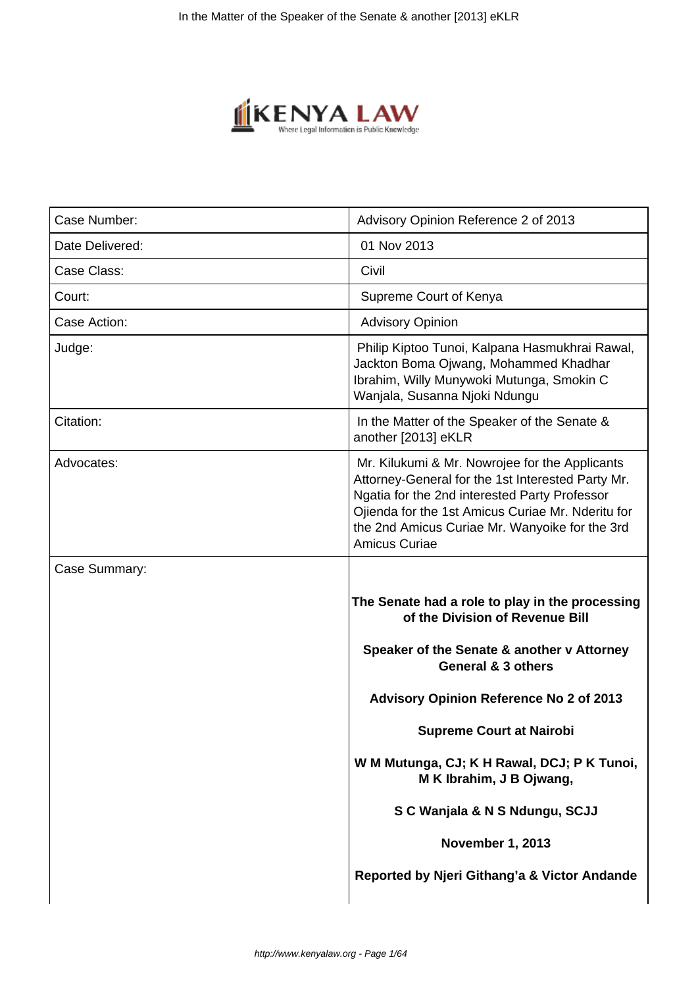

| Case Number:    | Advisory Opinion Reference 2 of 2013                                                                                                                                                                                                                                         |
|-----------------|------------------------------------------------------------------------------------------------------------------------------------------------------------------------------------------------------------------------------------------------------------------------------|
| Date Delivered: | 01 Nov 2013                                                                                                                                                                                                                                                                  |
| Case Class:     | Civil                                                                                                                                                                                                                                                                        |
| Court:          | Supreme Court of Kenya                                                                                                                                                                                                                                                       |
| Case Action:    | <b>Advisory Opinion</b>                                                                                                                                                                                                                                                      |
| Judge:          | Philip Kiptoo Tunoi, Kalpana Hasmukhrai Rawal,<br>Jackton Boma Ojwang, Mohammed Khadhar<br>Ibrahim, Willy Munywoki Mutunga, Smokin C<br>Wanjala, Susanna Njoki Ndungu                                                                                                        |
| Citation:       | In the Matter of the Speaker of the Senate &<br>another [2013] eKLR                                                                                                                                                                                                          |
| Advocates:      | Mr. Kilukumi & Mr. Nowrojee for the Applicants<br>Attorney-General for the 1st Interested Party Mr.<br>Ngatia for the 2nd interested Party Professor<br>Ojienda for the 1st Amicus Curiae Mr. Nderitu for<br>the 2nd Amicus Curiae Mr. Wanyoike for the 3rd<br>Amicus Curiae |
| Case Summary:   |                                                                                                                                                                                                                                                                              |
|                 | The Senate had a role to play in the processing<br>of the Division of Revenue Bill                                                                                                                                                                                           |
|                 | Speaker of the Senate & another v Attorney<br>General & 3 others                                                                                                                                                                                                             |
|                 | Advisory Opinion Reference No 2 of 2013                                                                                                                                                                                                                                      |
|                 | <b>Supreme Court at Nairobi</b>                                                                                                                                                                                                                                              |
|                 | W M Mutunga, CJ; K H Rawal, DCJ; P K Tunoi,<br>M K Ibrahim, J B Ojwang,                                                                                                                                                                                                      |
|                 | S C Wanjala & N S Ndungu, SCJJ                                                                                                                                                                                                                                               |
|                 | November 1, 2013                                                                                                                                                                                                                                                             |
|                 | Reported by Njeri Githang'a & Victor Andande                                                                                                                                                                                                                                 |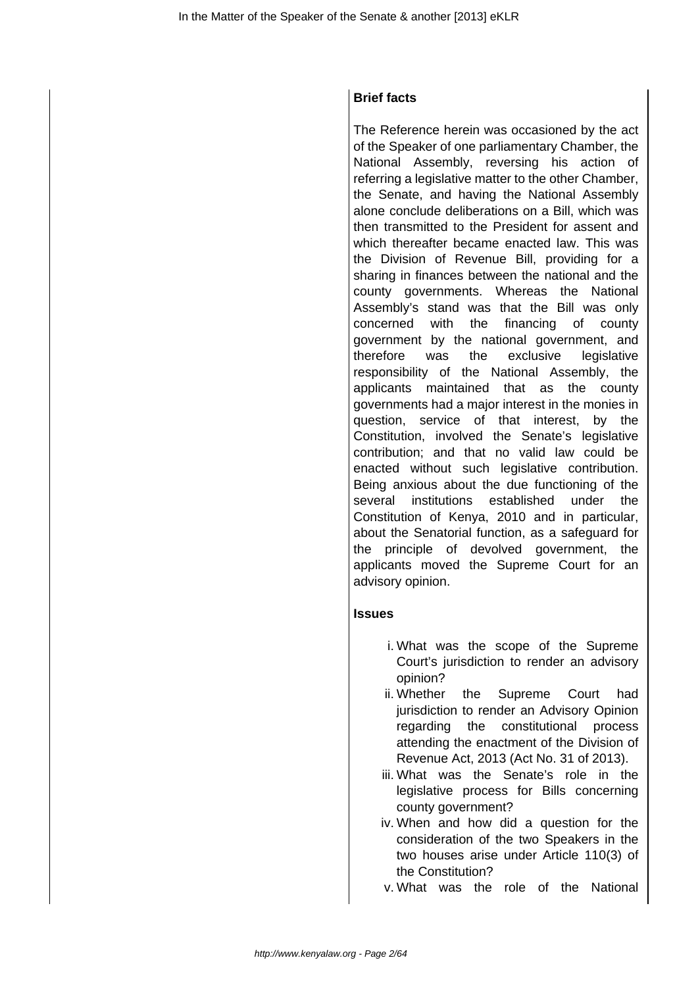# **Brief facts**

The Reference herein was occasioned by the act of the Speaker of one parliamentary Chamber, the National Assembly, reversing his action of referring a legislative matter to the other Chamber, the Senate, and having the National Assembly alone conclude deliberations on a Bill, which was then transmitted to the President for assent and which thereafter became enacted law. This was the Division of Revenue Bill, providing for a sharing in finances between the national and the county governments. Whereas the National Assembly's stand was that the Bill was only concerned with the financing of county government by the national government, and therefore was the exclusive legislative responsibility of the National Assembly, the applicants maintained that as the county governments had a major interest in the monies in question, service of that interest, by the Constitution, involved the Senate's legislative contribution; and that no valid law could be enacted without such legislative contribution. Being anxious about the due functioning of the several institutions established under the Constitution of Kenya, 2010 and in particular, about the Senatorial function, as a safeguard for the principle of devolved government, the applicants moved the Supreme Court for an advisory opinion.

# **Issues**

- i. What was the scope of the Supreme Court's jurisdiction to render an advisory opinion?
- ii. Whether the Supreme Court had jurisdiction to render an Advisory Opinion regarding the constitutional process attending the enactment of the Division of Revenue Act, 2013 (Act No. 31 of 2013).
- iii. What was the Senate's role in the legislative process for Bills concerning county government?
- iv. When and how did a question for the consideration of the two Speakers in the two houses arise under Article 110(3) of the Constitution?
- v. What was the role of the National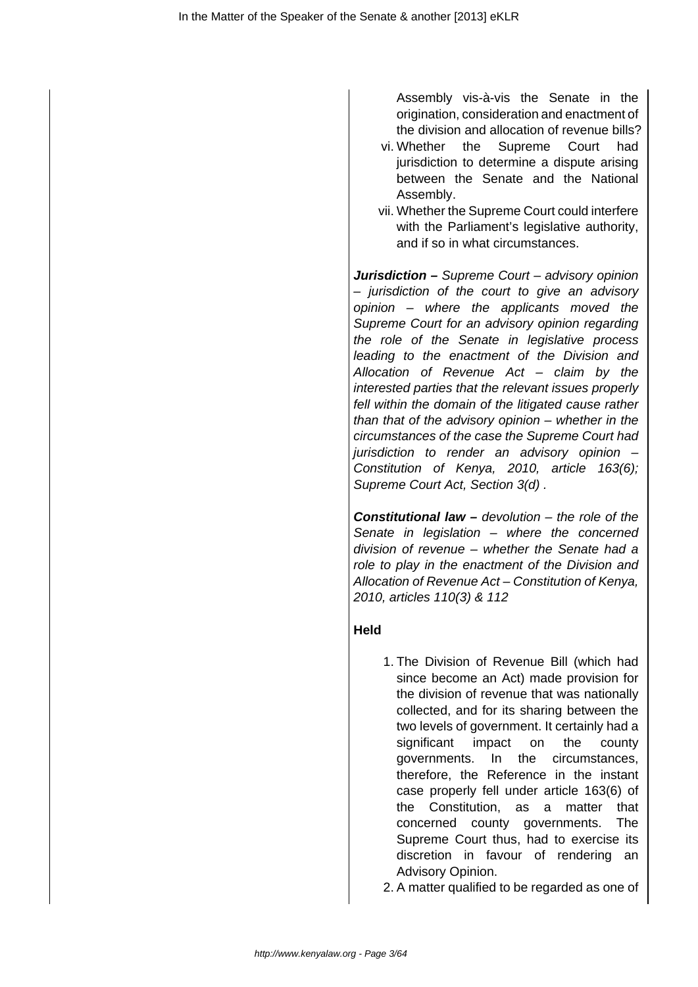Assembly vis-à-vis the Senate in the origination, consideration and enactment of the division and allocation of revenue bills?

- vi. Whether the Supreme Court had jurisdiction to determine a dispute arising between the Senate and the National Assembly.
- vii. Whether the Supreme Court could interfere with the Parliament's legislative authority, and if so in what circumstances.

**Jurisdiction –** Supreme Court – advisory opinion – jurisdiction of the court to give an advisory opinion – where the applicants moved the Supreme Court for an advisory opinion regarding the role of the Senate in legislative process leading to the enactment of the Division and Allocation of Revenue Act – claim by the interested parties that the relevant issues properly fell within the domain of the litigated cause rather than that of the advisory opinion – whether in the circumstances of the case the Supreme Court had jurisdiction to render an advisory opinion – Constitution of Kenya, 2010, article 163(6); Supreme Court Act, Section 3(d) .

**Constitutional law –** devolution – the role of the Senate in legislation – where the concerned division of revenue – whether the Senate had a role to play in the enactment of the Division and Allocation of Revenue Act – Constitution of Kenya, 2010, articles 110(3) & 112

# **Held**

1. The Division of Revenue Bill (which had since become an Act) made provision for the division of revenue that was nationally collected, and for its sharing between the two levels of government. It certainly had a significant impact on the county governments. In the circumstances, therefore, the Reference in the instant case properly fell under article 163(6) of the Constitution, as a matter that concerned county governments. The Supreme Court thus, had to exercise its discretion in favour of rendering an Advisory Opinion.

2. A matter qualified to be regarded as one of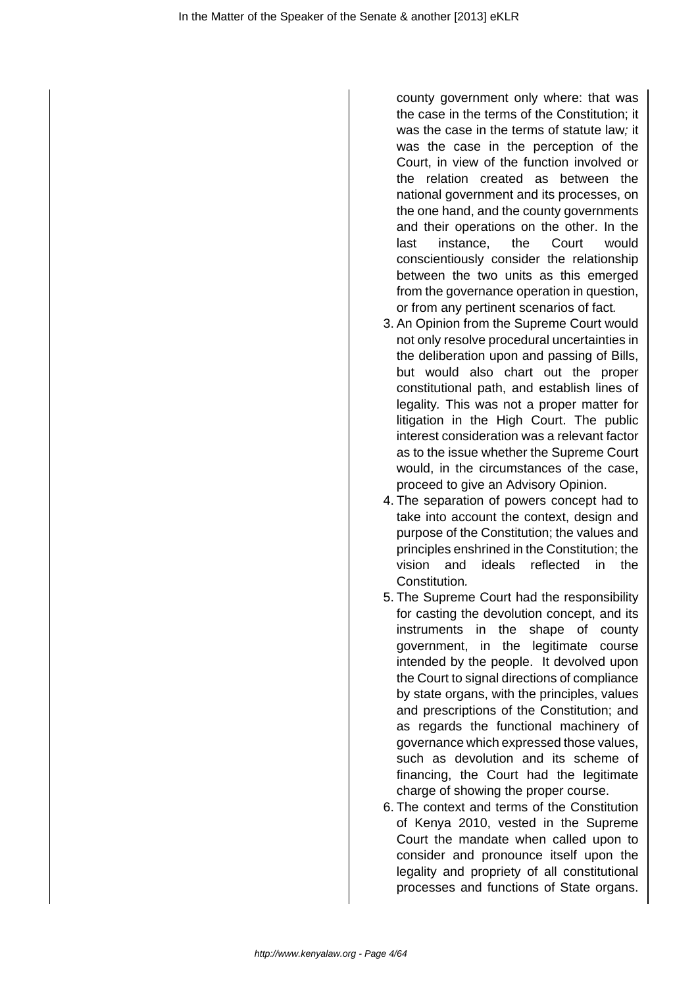county government only where: that was the case in the terms of the Constitution; it was the case in the terms of statute law; it was the case in the perception of the Court, in view of the function involved or the relation created as between the national government and its processes, on the one hand, and the county governments and their operations on the other. In the last instance, the Court would conscientiously consider the relationship between the two units as this emerged from the governance operation in question, or from any pertinent scenarios of fact.

- 3. An Opinion from the Supreme Court would not only resolve procedural uncertainties in the deliberation upon and passing of Bills, but would also chart out the proper constitutional path, and establish lines of legality. This was not a proper matter for litigation in the High Court. The public interest consideration was a relevant factor as to the issue whether the Supreme Court would, in the circumstances of the case, proceed to give an Advisory Opinion.
- 4. The separation of powers concept had to take into account the context, design and purpose of the Constitution; the values and principles enshrined in the Constitution; the vision and ideals reflected in the Constitution.
- 5. The Supreme Court had the responsibility for casting the devolution concept, and its instruments in the shape of county government, in the legitimate course intended by the people. It devolved upon the Court to signal directions of compliance by state organs, with the principles, values and prescriptions of the Constitution; and as regards the functional machinery of governance which expressed those values, such as devolution and its scheme of financing, the Court had the legitimate charge of showing the proper course.
- 6. The context and terms of the Constitution of Kenya 2010, vested in the Supreme Court the mandate when called upon to consider and pronounce itself upon the legality and propriety of all constitutional processes and functions of State organs.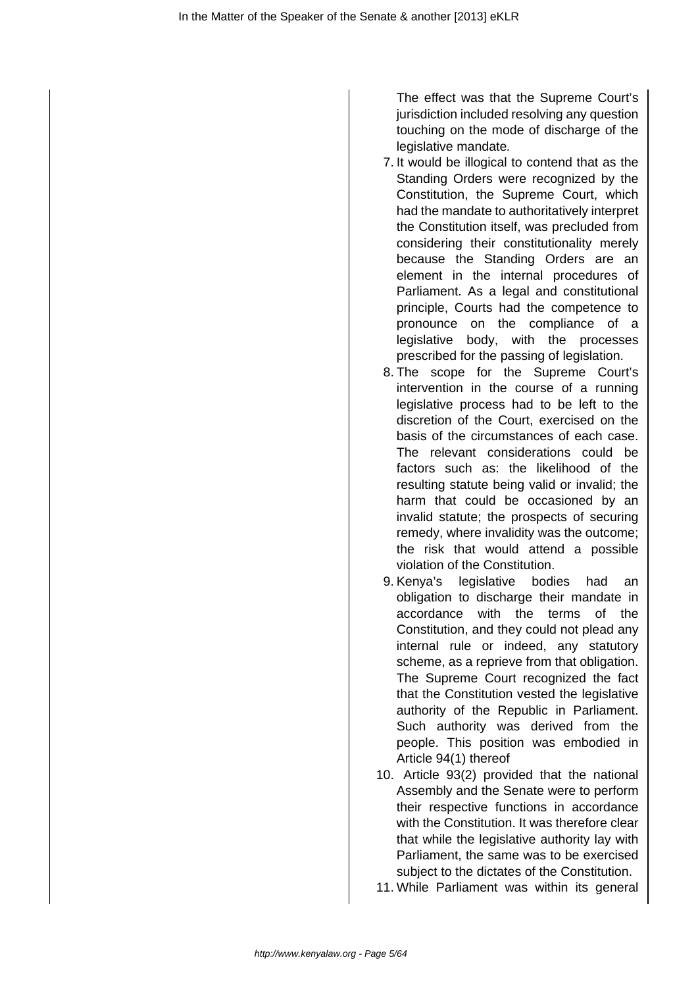The effect was that the Supreme Court's jurisdiction included resolving any question touching on the mode of discharge of the legislative mandate.

- 7. It would be illogical to contend that as the Standing Orders were recognized by the Constitution, the Supreme Court, which had the mandate to authoritatively interpret the Constitution itself, was precluded from considering their constitutionality merely because the Standing Orders are an element in the internal procedures of Parliament. As a legal and constitutional principle, Courts had the competence to pronounce on the compliance of a legislative body, with the processes prescribed for the passing of legislation.
- 8. The scope for the Supreme Court's intervention in the course of a running legislative process had to be left to the discretion of the Court, exercised on the basis of the circumstances of each case. The relevant considerations could be factors such as: the likelihood of the resulting statute being valid or invalid; the harm that could be occasioned by an invalid statute; the prospects of securing remedy, where invalidity was the outcome; the risk that would attend a possible violation of the Constitution.
- 9. Kenya's legislative bodies had an obligation to discharge their mandate in accordance with the terms of the Constitution, and they could not plead any internal rule or indeed, any statutory scheme, as a reprieve from that obligation. The Supreme Court recognized the fact that the Constitution vested the legislative authority of the Republic in Parliament. Such authority was derived from the people. This position was embodied in Article 94(1) thereof
- 10. Article 93(2) provided that the national Assembly and the Senate were to perform their respective functions in accordance with the Constitution. It was therefore clear that while the legislative authority lay with Parliament, the same was to be exercised subject to the dictates of the Constitution.
- 11. While Parliament was within its general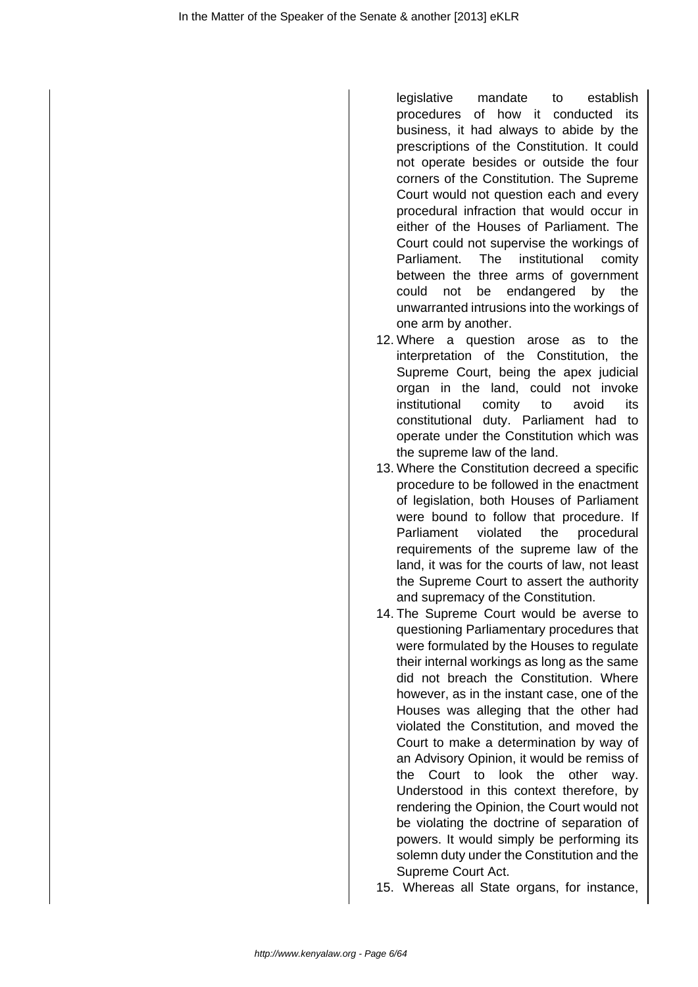legislative mandate to establish procedures of how it conducted its business, it had always to abide by the prescriptions of the Constitution. It could not operate besides or outside the four corners of the Constitution. The Supreme Court would not question each and every procedural infraction that would occur in either of the Houses of Parliament. The Court could not supervise the workings of Parliament. The institutional comity between the three arms of government could not be endangered by the unwarranted intrusions into the workings of one arm by another.

- 12. Where a question arose as to the interpretation of the Constitution, the Supreme Court, being the apex judicial organ in the land, could not invoke institutional comity to avoid its constitutional duty. Parliament had to operate under the Constitution which was the supreme law of the land.
- 13. Where the Constitution decreed a specific procedure to be followed in the enactment of legislation, both Houses of Parliament were bound to follow that procedure. If Parliament violated the procedural requirements of the supreme law of the land, it was for the courts of law, not least the Supreme Court to assert the authority and supremacy of the Constitution.
- 14. The Supreme Court would be averse to questioning Parliamentary procedures that were formulated by the Houses to regulate their internal workings as long as the same did not breach the Constitution. Where however, as in the instant case, one of the Houses was alleging that the other had violated the Constitution, and moved the Court to make a determination by way of an Advisory Opinion, it would be remiss of the Court to look the other way. Understood in this context therefore, by rendering the Opinion, the Court would not be violating the doctrine of separation of powers. It would simply be performing its solemn duty under the Constitution and the Supreme Court Act.
- 15. Whereas all State organs, for instance,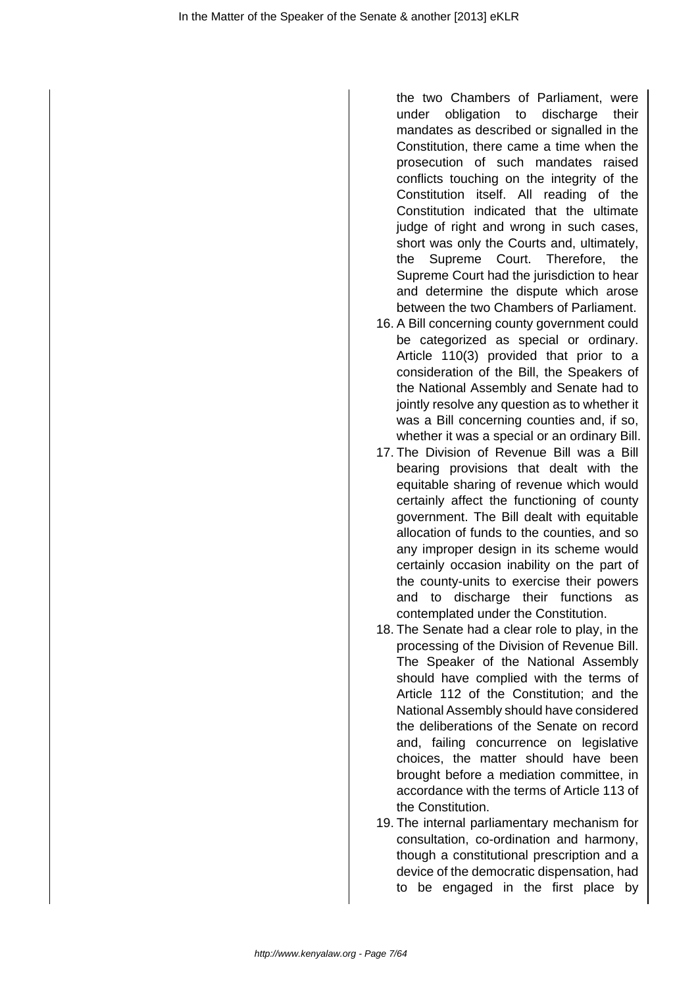the two Chambers of Parliament, were under obligation to discharge their mandates as described or signalled in the Constitution, there came a time when the prosecution of such mandates raised conflicts touching on the integrity of the Constitution itself. All reading of the Constitution indicated that the ultimate judge of right and wrong in such cases, short was only the Courts and, ultimately, the Supreme Court. Therefore, the Supreme Court had the jurisdiction to hear and determine the dispute which arose between the two Chambers of Parliament.

- 16. A Bill concerning county government could be categorized as special or ordinary. Article 110(3) provided that prior to a consideration of the Bill, the Speakers of the National Assembly and Senate had to jointly resolve any question as to whether it was a Bill concerning counties and, if so, whether it was a special or an ordinary Bill.
- 17. The Division of Revenue Bill was a Bill bearing provisions that dealt with the equitable sharing of revenue which would certainly affect the functioning of county government. The Bill dealt with equitable allocation of funds to the counties, and so any improper design in its scheme would certainly occasion inability on the part of the county-units to exercise their powers and to discharge their functions as contemplated under the Constitution.
- 18. The Senate had a clear role to play, in the processing of the Division of Revenue Bill. The Speaker of the National Assembly should have complied with the terms of Article 112 of the Constitution; and the National Assembly should have considered the deliberations of the Senate on record and, failing concurrence on legislative choices, the matter should have been brought before a mediation committee, in accordance with the terms of Article 113 of the Constitution.
- 19. The internal parliamentary mechanism for consultation, co-ordination and harmony, though a constitutional prescription and a device of the democratic dispensation, had to be engaged in the first place by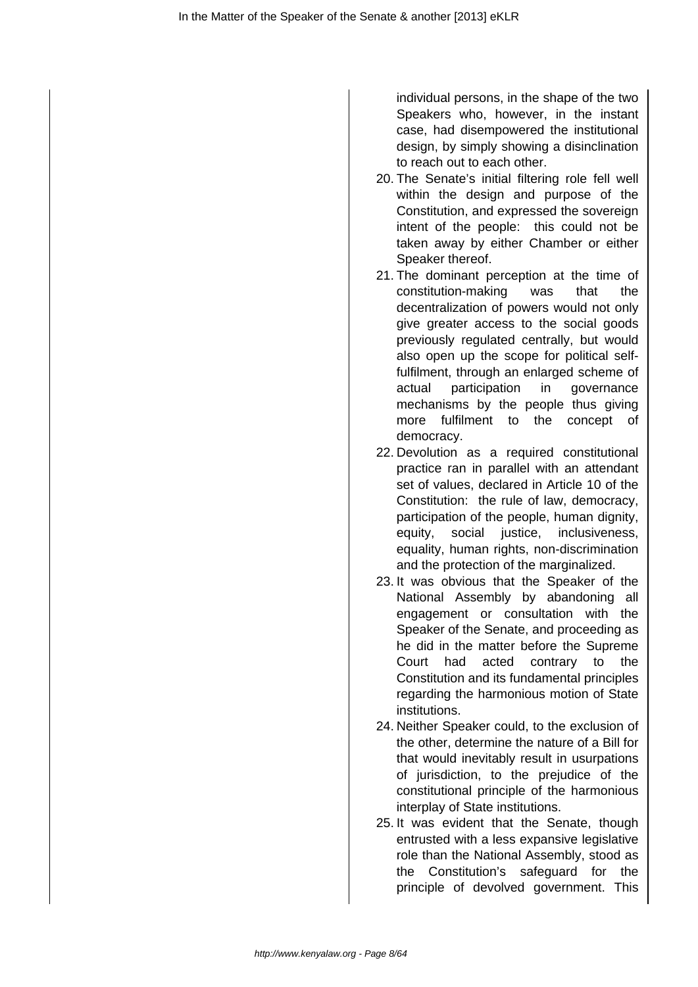individual persons, in the shape of the two Speakers who, however, in the instant case, had disempowered the institutional design, by simply showing a disinclination to reach out to each other.

- 20. The Senate's initial filtering role fell well within the design and purpose of the Constitution, and expressed the sovereign intent of the people: this could not be taken away by either Chamber or either Speaker thereof.
- 21. The dominant perception at the time of constitution-making was that the decentralization of powers would not only give greater access to the social goods previously regulated centrally, but would also open up the scope for political selffulfilment, through an enlarged scheme of actual participation in governance mechanisms by the people thus giving more fulfilment to the concept of democracy.
- 22. Devolution as a required constitutional practice ran in parallel with an attendant set of values, declared in Article 10 of the Constitution: the rule of law, democracy, participation of the people, human dignity, equity, social justice, inclusiveness, equality, human rights, non-discrimination and the protection of the marginalized.
- 23. It was obvious that the Speaker of the National Assembly by abandoning all engagement or consultation with the Speaker of the Senate, and proceeding as he did in the matter before the Supreme Court had acted contrary to the Constitution and its fundamental principles regarding the harmonious motion of State institutions.
- 24. Neither Speaker could, to the exclusion of the other, determine the nature of a Bill for that would inevitably result in usurpations of jurisdiction, to the prejudice of the constitutional principle of the harmonious interplay of State institutions.
- 25. It was evident that the Senate, though entrusted with a less expansive legislative role than the National Assembly, stood as the Constitution's safeguard for the principle of devolved government. This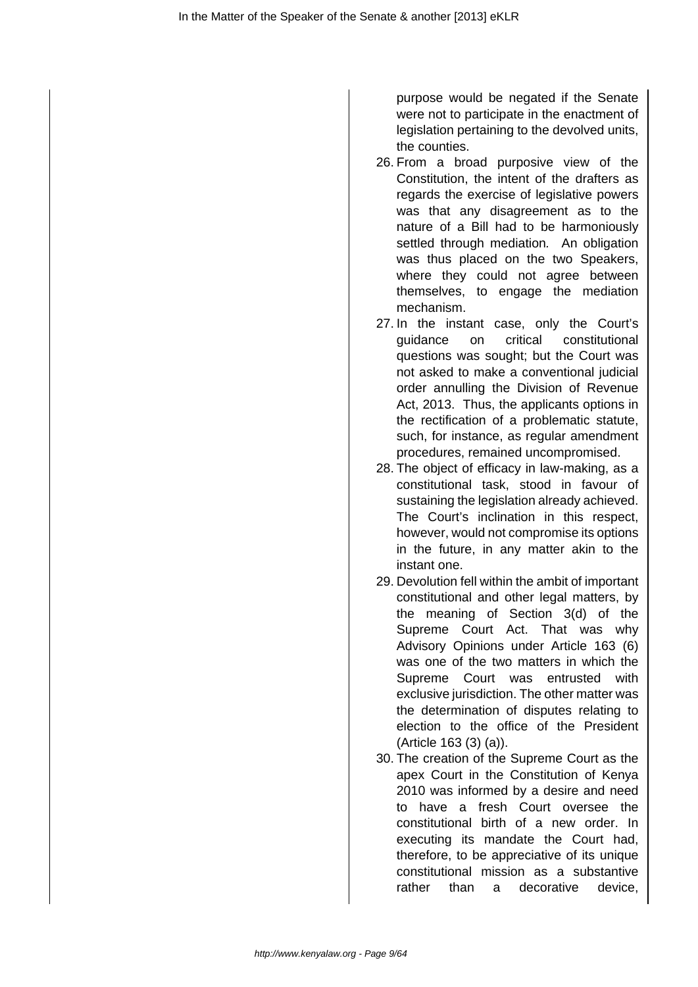purpose would be negated if the Senate were not to participate in the enactment of legislation pertaining to the devolved units, the counties.

- 26. From a broad purposive view of the Constitution, the intent of the drafters as regards the exercise of legislative powers was that any disagreement as to the nature of a Bill had to be harmoniously settled through mediation. An obligation was thus placed on the two Speakers, where they could not agree between themselves, to engage the mediation mechanism.
- 27. In the instant case, only the Court's guidance on critical constitutional questions was sought; but the Court was not asked to make a conventional judicial order annulling the Division of Revenue Act, 2013. Thus, the applicants options in the rectification of a problematic statute, such, for instance, as regular amendment procedures, remained uncompromised.
- 28. The object of efficacy in law-making, as a constitutional task, stood in favour of sustaining the legislation already achieved. The Court's inclination in this respect, however, would not compromise its options in the future, in any matter akin to the instant one.
- 29. Devolution fell within the ambit of important constitutional and other legal matters, by the meaning of Section 3(d) of the Supreme Court Act. That was why Advisory Opinions under Article 163 (6) was one of the two matters in which the Supreme Court was entrusted with exclusive jurisdiction. The other matter was the determination of disputes relating to election to the office of the President (Article 163 (3) (a)).
- 30. The creation of the Supreme Court as the apex Court in the Constitution of Kenya 2010 was informed by a desire and need to have a fresh Court oversee the constitutional birth of a new order. In executing its mandate the Court had, therefore, to be appreciative of its unique constitutional mission as a substantive rather than a decorative device,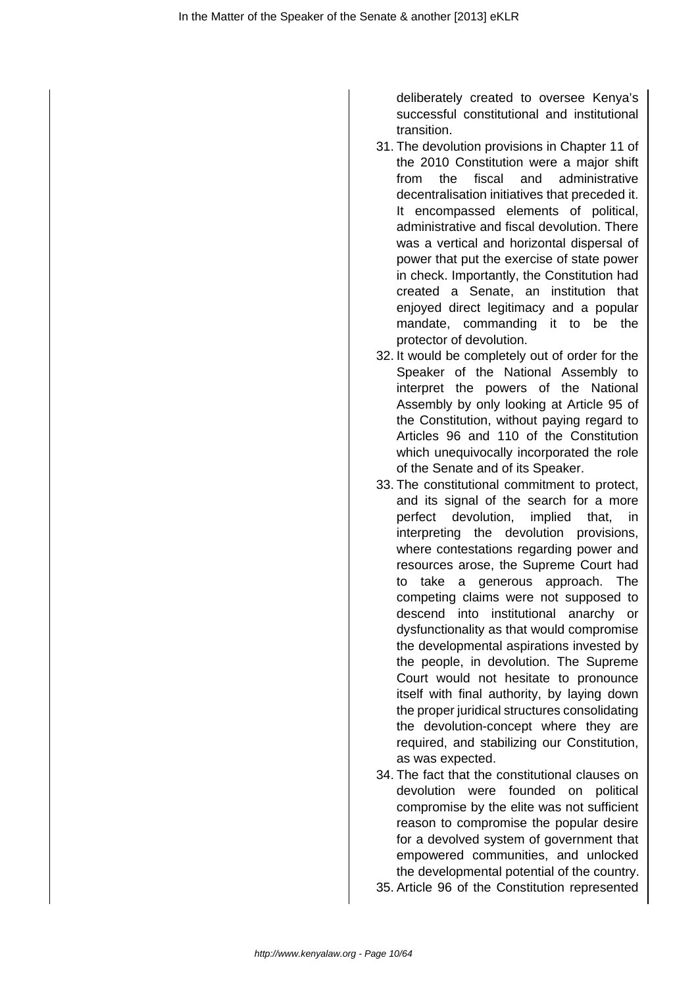deliberately created to oversee Kenya's successful constitutional and institutional transition.

- 31. The devolution provisions in Chapter 11 of the 2010 Constitution were a major shift from the fiscal and administrative decentralisation initiatives that preceded it. It encompassed elements of political, administrative and fiscal devolution. There was a vertical and horizontal dispersal of power that put the exercise of state power in check. Importantly, the Constitution had created a Senate, an institution that enjoyed direct legitimacy and a popular mandate, commanding it to be the protector of devolution.
- 32. It would be completely out of order for the Speaker of the National Assembly to interpret the powers of the National Assembly by only looking at Article 95 of the Constitution, without paying regard to Articles 96 and 110 of the Constitution which unequivocally incorporated the role of the Senate and of its Speaker.
- 33. The constitutional commitment to protect, and its signal of the search for a more perfect devolution, implied that, in interpreting the devolution provisions, where contestations regarding power and resources arose, the Supreme Court had to take a generous approach. The competing claims were not supposed to descend into institutional anarchy or dysfunctionality as that would compromise the developmental aspirations invested by the people, in devolution. The Supreme Court would not hesitate to pronounce itself with final authority, by laying down the proper juridical structures consolidating the devolution-concept where they are required, and stabilizing our Constitution, as was expected.
- 34. The fact that the constitutional clauses on devolution were founded on political compromise by the elite was not sufficient reason to compromise the popular desire for a devolved system of government that empowered communities, and unlocked the developmental potential of the country.
- 35. Article 96 of the Constitution represented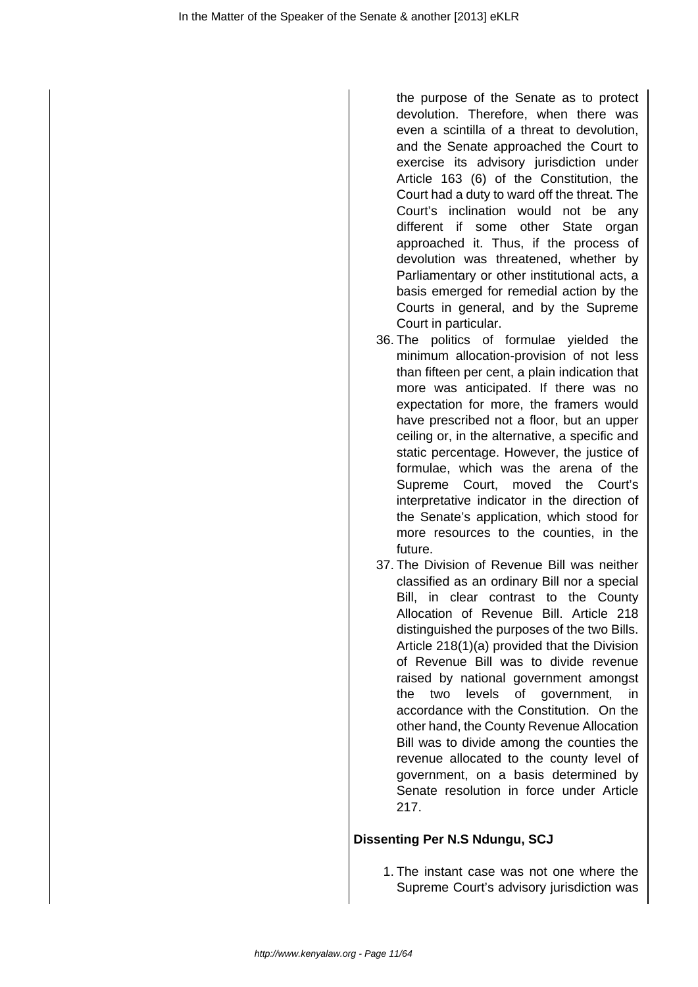the purpose of the Senate as to protect devolution. Therefore, when there was even a scintilla of a threat to devolution, and the Senate approached the Court to exercise its advisory jurisdiction under Article 163 (6) of the Constitution, the Court had a duty to ward off the threat. The Court's inclination would not be any different if some other State organ approached it. Thus, if the process of devolution was threatened, whether by Parliamentary or other institutional acts, a basis emerged for remedial action by the Courts in general, and by the Supreme Court in particular.

- 36. The politics of formulae yielded the minimum allocation-provision of not less than fifteen per cent, a plain indication that more was anticipated. If there was no expectation for more, the framers would have prescribed not a floor, but an upper ceiling or, in the alternative, a specific and static percentage. However, the justice of formulae, which was the arena of the Supreme Court, moved the Court's interpretative indicator in the direction of the Senate's application, which stood for more resources to the counties, in the future.
- 37. The Division of Revenue Bill was neither classified as an ordinary Bill nor a special Bill, in clear contrast to the County Allocation of Revenue Bill. Article 218 distinguished the purposes of the two Bills. Article 218(1)(a) provided that the Division of Revenue Bill was to divide revenue raised by national government amongst the two levels of government, in accordance with the Constitution. On the other hand, the County Revenue Allocation Bill was to divide among the counties the revenue allocated to the county level of government, on a basis determined by Senate resolution in force under Article 217.

# **Dissenting Per N.S Ndungu, SCJ**

1. The instant case was not one where the Supreme Court's advisory jurisdiction was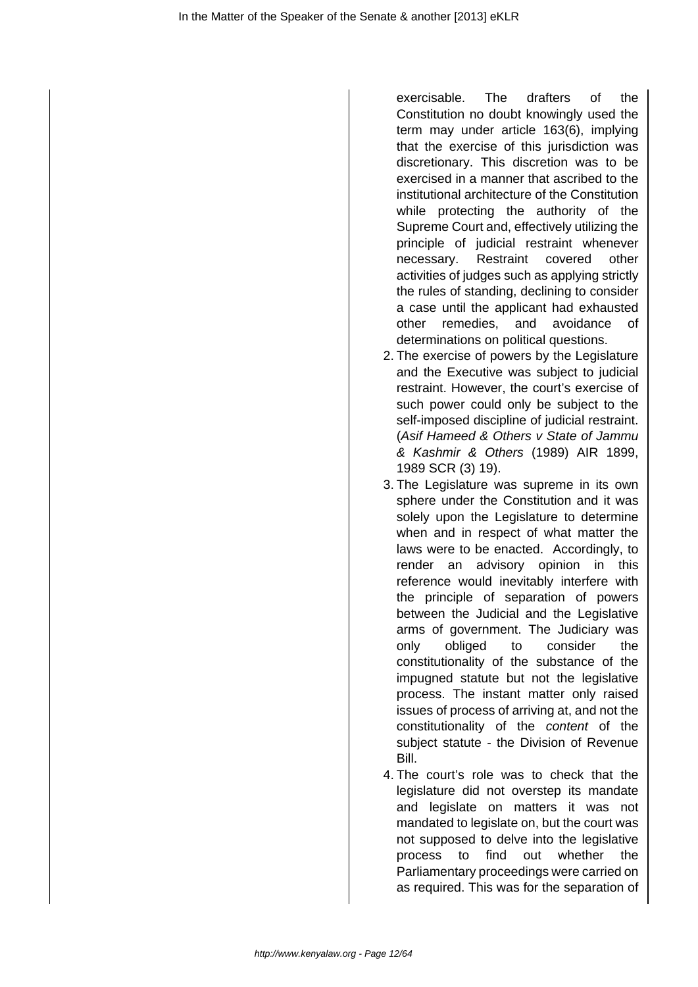exercisable. The drafters of the Constitution no doubt knowingly used the term may under article 163(6), implying that the exercise of this jurisdiction was discretionary. This discretion was to be exercised in a manner that ascribed to the institutional architecture of the Constitution while protecting the authority of the Supreme Court and, effectively utilizing the principle of judicial restraint whenever necessary. Restraint covered other activities of judges such as applying strictly the rules of standing, declining to consider a case until the applicant had exhausted other remedies, and avoidance of determinations on political questions.

- 2. The exercise of powers by the Legislature and the Executive was subject to judicial restraint. However, the court's exercise of such power could only be subject to the self-imposed discipline of judicial restraint. (Asif Hameed & Others v State of Jammu & Kashmir & Others (1989) AIR 1899, 1989 SCR (3) 19).
- 3. The Legislature was supreme in its own sphere under the Constitution and it was solely upon the Legislature to determine when and in respect of what matter the laws were to be enacted. Accordingly, to render an advisory opinion in this reference would inevitably interfere with the principle of separation of powers between the Judicial and the Legislative arms of government. The Judiciary was only obliged to consider the constitutionality of the substance of the impugned statute but not the legislative process. The instant matter only raised issues of process of arriving at, and not the constitutionality of the content of the subject statute - the Division of Revenue **Bill**
- 4. The court's role was to check that the legislature did not overstep its mandate and legislate on matters it was not mandated to legislate on, but the court was not supposed to delve into the legislative process to find out whether the Parliamentary proceedings were carried on as required. This was for the separation of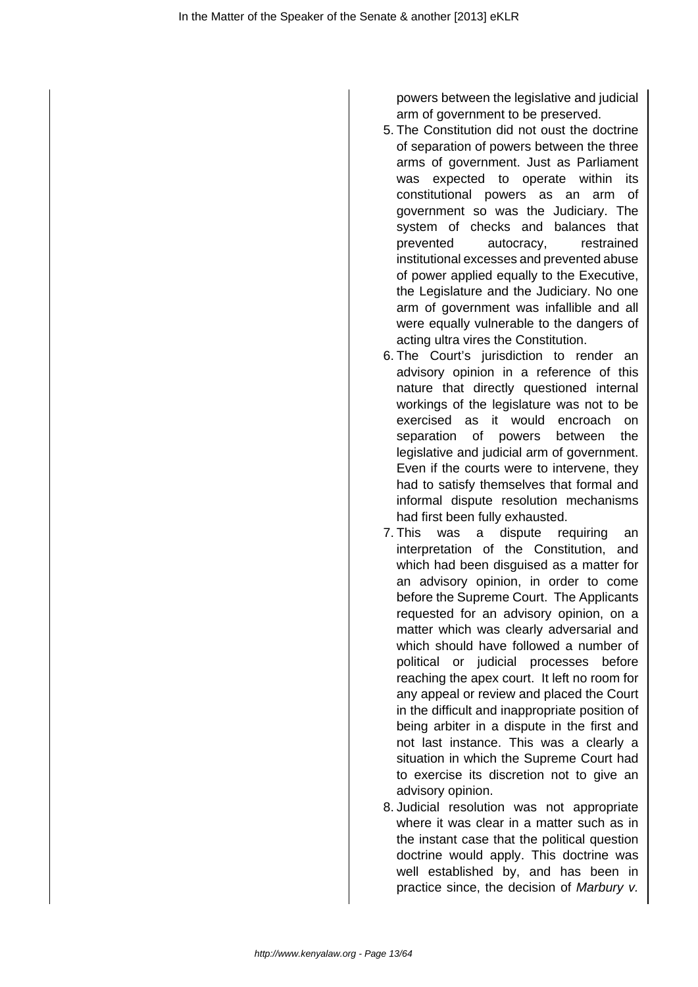powers between the legislative and judicial arm of government to be preserved.

- 5. The Constitution did not oust the doctrine of separation of powers between the three arms of government. Just as Parliament was expected to operate within its constitutional powers as an arm of government so was the Judiciary. The system of checks and balances that prevented autocracy, restrained institutional excesses and prevented abuse of power applied equally to the Executive, the Legislature and the Judiciary. No one arm of government was infallible and all were equally vulnerable to the dangers of acting ultra vires the Constitution.
- 6. The Court's jurisdiction to render an advisory opinion in a reference of this nature that directly questioned internal workings of the legislature was not to be exercised as it would encroach on separation of powers between the legislative and judicial arm of government. Even if the courts were to intervene, they had to satisfy themselves that formal and informal dispute resolution mechanisms had first been fully exhausted.
- 7. This was a dispute requiring an interpretation of the Constitution, and which had been disguised as a matter for an advisory opinion, in order to come before the Supreme Court. The Applicants requested for an advisory opinion, on a matter which was clearly adversarial and which should have followed a number of political or judicial processes before reaching the apex court. It left no room for any appeal or review and placed the Court in the difficult and inappropriate position of being arbiter in a dispute in the first and not last instance. This was a clearly a situation in which the Supreme Court had to exercise its discretion not to give an advisory opinion.
- 8. Judicial resolution was not appropriate where it was clear in a matter such as in the instant case that the political question doctrine would apply. This doctrine was well established by, and has been in practice since, the decision of Marbury v.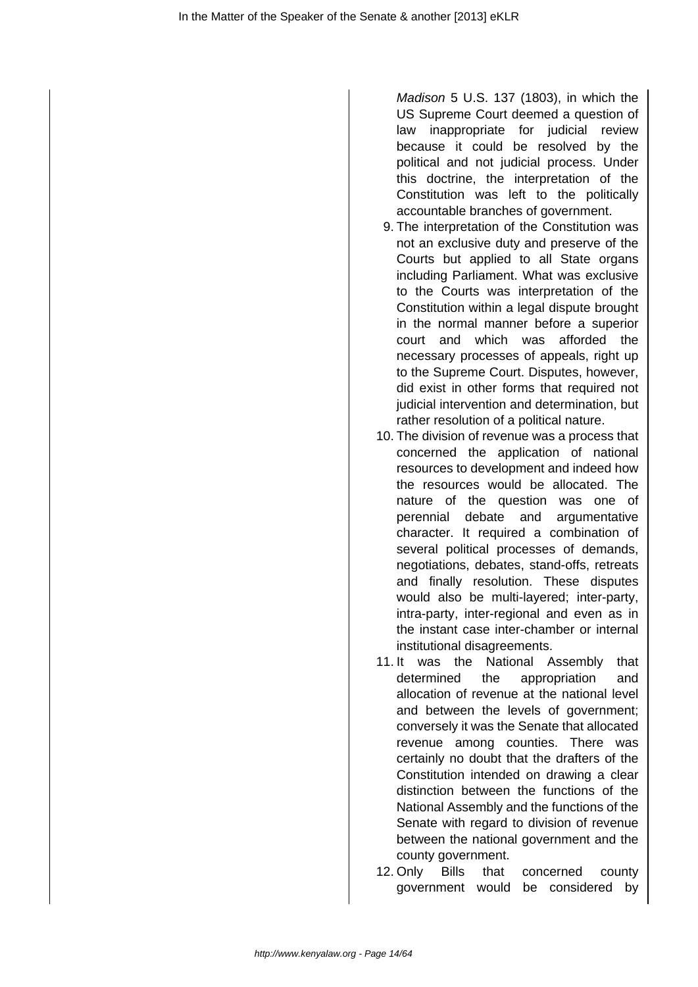Madison 5 U.S. 137 (1803), in which the US Supreme Court deemed a question of law inappropriate for judicial review because it could be resolved by the political and not judicial process. Under this doctrine, the interpretation of the Constitution was left to the politically accountable branches of government.

- 9. The interpretation of the Constitution was not an exclusive duty and preserve of the Courts but applied to all State organs including Parliament. What was exclusive to the Courts was interpretation of the Constitution within a legal dispute brought in the normal manner before a superior court and which was afforded the necessary processes of appeals, right up to the Supreme Court. Disputes, however, did exist in other forms that required not judicial intervention and determination, but rather resolution of a political nature.
- 10. The division of revenue was a process that concerned the application of national resources to development and indeed how the resources would be allocated. The nature of the question was one of perennial debate and argumentative character. It required a combination of several political processes of demands, negotiations, debates, stand-offs, retreats and finally resolution. These disputes would also be multi-layered; inter-party, intra-party, inter-regional and even as in the instant case inter-chamber or internal institutional disagreements.
- 11. It was the National Assembly that determined the appropriation and allocation of revenue at the national level and between the levels of government; conversely it was the Senate that allocated revenue among counties. There was certainly no doubt that the drafters of the Constitution intended on drawing a clear distinction between the functions of the National Assembly and the functions of the Senate with regard to division of revenue between the national government and the county government.
- 12. Only Bills that concerned county government would be considered by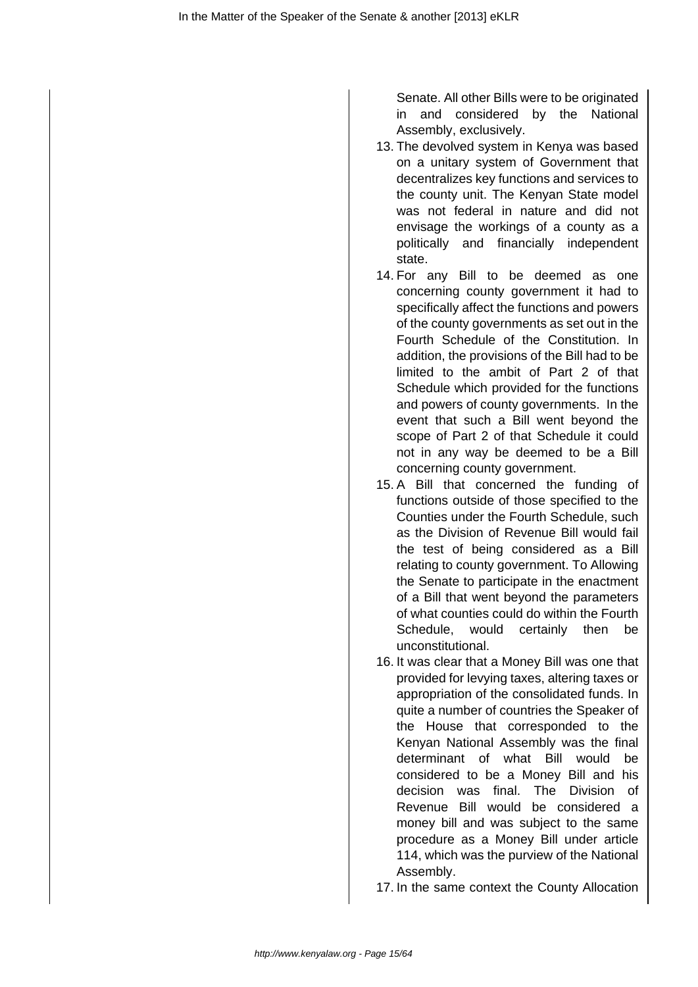Senate. All other Bills were to be originated in and considered by the National Assembly, exclusively.

- 13. The devolved system in Kenya was based on a unitary system of Government that decentralizes key functions and services to the county unit. The Kenyan State model was not federal in nature and did not envisage the workings of a county as a politically and financially independent state.
- 14. For any Bill to be deemed as one concerning county government it had to specifically affect the functions and powers of the county governments as set out in the Fourth Schedule of the Constitution. In addition, the provisions of the Bill had to be limited to the ambit of Part 2 of that Schedule which provided for the functions and powers of county governments. In the event that such a Bill went beyond the scope of Part 2 of that Schedule it could not in any way be deemed to be a Bill concerning county government.
- 15. A Bill that concerned the funding of functions outside of those specified to the Counties under the Fourth Schedule, such as the Division of Revenue Bill would fail the test of being considered as a Bill relating to county government. To Allowing the Senate to participate in the enactment of a Bill that went beyond the parameters of what counties could do within the Fourth Schedule, would certainly then be unconstitutional.
- 16. It was clear that a Money Bill was one that provided for levying taxes, altering taxes or appropriation of the consolidated funds. In quite a number of countries the Speaker of the House that corresponded to the Kenyan National Assembly was the final determinant of what Bill would be considered to be a Money Bill and his decision was final. The Division of Revenue Bill would be considered a money bill and was subject to the same procedure as a Money Bill under article 114, which was the purview of the National Assembly.

17. In the same context the County Allocation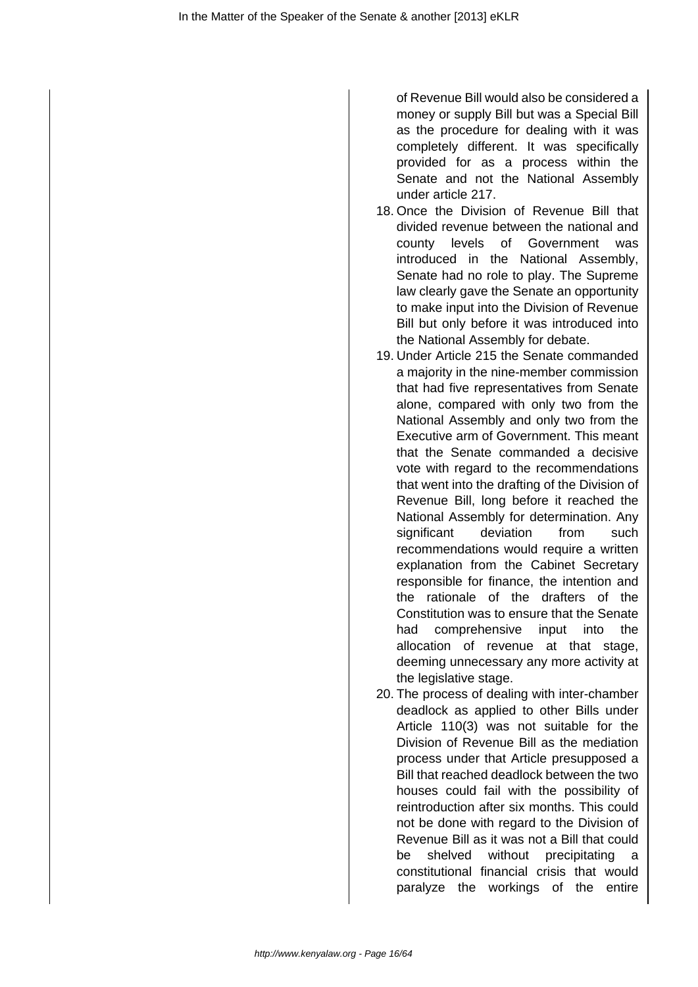of Revenue Bill would also be considered a money or supply Bill but was a Special Bill as the procedure for dealing with it was completely different. It was specifically provided for as a process within the Senate and not the National Assembly under article 217.

- 18. Once the Division of Revenue Bill that divided revenue between the national and county levels of Government was introduced in the National Assembly, Senate had no role to play. The Supreme law clearly gave the Senate an opportunity to make input into the Division of Revenue Bill but only before it was introduced into the National Assembly for debate.
- 19. Under Article 215 the Senate commanded a majority in the nine-member commission that had five representatives from Senate alone, compared with only two from the National Assembly and only two from the Executive arm of Government. This meant that the Senate commanded a decisive vote with regard to the recommendations that went into the drafting of the Division of Revenue Bill, long before it reached the National Assembly for determination. Any significant deviation from such recommendations would require a written explanation from the Cabinet Secretary responsible for finance, the intention and the rationale of the drafters of the Constitution was to ensure that the Senate had comprehensive input into the allocation of revenue at that stage, deeming unnecessary any more activity at the legislative stage.
- 20. The process of dealing with inter-chamber deadlock as applied to other Bills under Article 110(3) was not suitable for the Division of Revenue Bill as the mediation process under that Article presupposed a Bill that reached deadlock between the two houses could fail with the possibility of reintroduction after six months. This could not be done with regard to the Division of Revenue Bill as it was not a Bill that could be shelved without precipitating a constitutional financial crisis that would paralyze the workings of the entire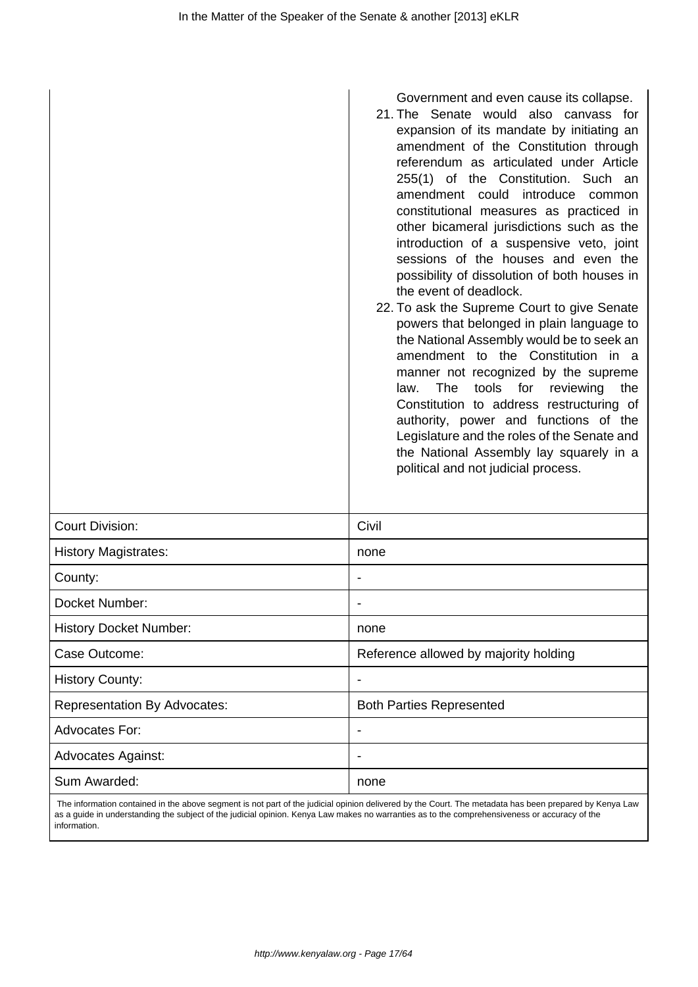|                               | Government and even cause its collapse.<br>21. The Senate would also canvass for<br>expansion of its mandate by initiating an<br>amendment of the Constitution through<br>referendum as articulated under Article<br>255(1) of the Constitution. Such an<br>amendment could introduce<br>common<br>constitutional measures as practiced in<br>other bicameral jurisdictions such as the<br>introduction of a suspensive veto, joint<br>sessions of the houses and even the<br>possibility of dissolution of both houses in<br>the event of deadlock.<br>22. To ask the Supreme Court to give Senate<br>powers that belonged in plain language to<br>the National Assembly would be to seek an<br>amendment to the Constitution in a<br>manner not recognized by the supreme<br>tools<br>The<br>for<br>reviewing<br>the<br>law.<br>Constitution to address restructuring of<br>authority, power and functions of the<br>Legislature and the roles of the Senate and<br>the National Assembly lay squarely in a<br>political and not judicial process. |
|-------------------------------|------------------------------------------------------------------------------------------------------------------------------------------------------------------------------------------------------------------------------------------------------------------------------------------------------------------------------------------------------------------------------------------------------------------------------------------------------------------------------------------------------------------------------------------------------------------------------------------------------------------------------------------------------------------------------------------------------------------------------------------------------------------------------------------------------------------------------------------------------------------------------------------------------------------------------------------------------------------------------------------------------------------------------------------------------|
| <b>Court Division:</b>        | Civil                                                                                                                                                                                                                                                                                                                                                                                                                                                                                                                                                                                                                                                                                                                                                                                                                                                                                                                                                                                                                                                |
| <b>History Magistrates:</b>   | none                                                                                                                                                                                                                                                                                                                                                                                                                                                                                                                                                                                                                                                                                                                                                                                                                                                                                                                                                                                                                                                 |
| County:                       |                                                                                                                                                                                                                                                                                                                                                                                                                                                                                                                                                                                                                                                                                                                                                                                                                                                                                                                                                                                                                                                      |
| Docket Number:                |                                                                                                                                                                                                                                                                                                                                                                                                                                                                                                                                                                                                                                                                                                                                                                                                                                                                                                                                                                                                                                                      |
| <b>History Docket Number:</b> | none                                                                                                                                                                                                                                                                                                                                                                                                                                                                                                                                                                                                                                                                                                                                                                                                                                                                                                                                                                                                                                                 |

 The information contained in the above segment is not part of the judicial opinion delivered by the Court. The metadata has been prepared by Kenya Law as a guide in understanding the subject of the judicial opinion. Kenya Law makes no warranties as to the comprehensiveness or accuracy of the information.

Case Outcome: The Case Outcome: Reference allowed by majority holding

Representation By Advocates: **Both Parties Represented** 

History County:  $\vert$  -

Advocates For:  $\qquad \qquad$ 

Advocates Against:  $\vert$  -

Sum Awarded: None and Awarded: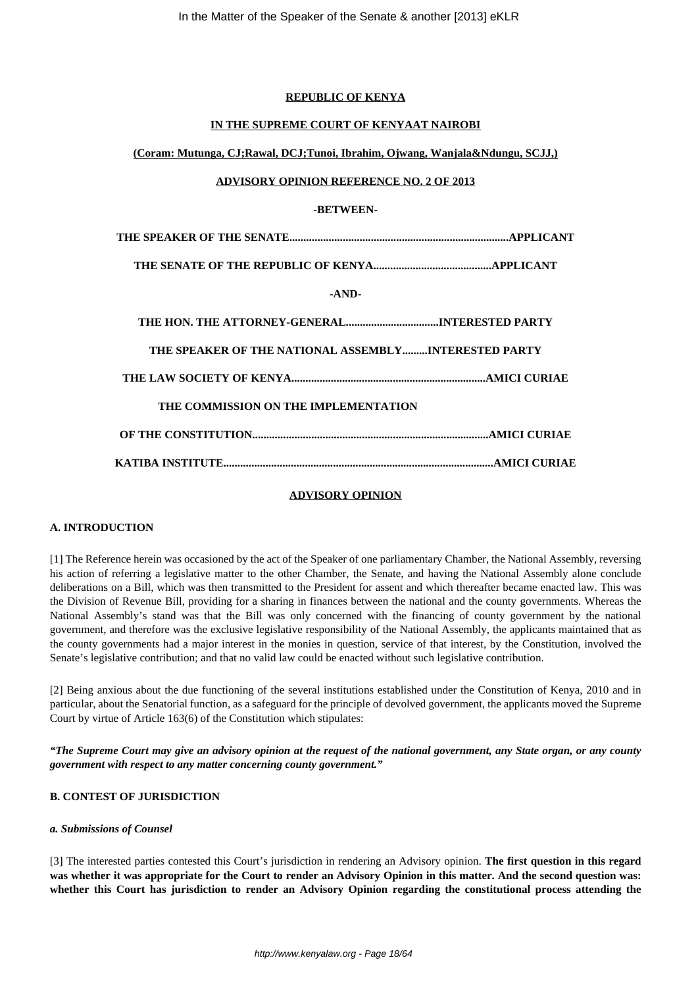#### **REPUBLIC OF KENYA**

#### **IN THE SUPREME COURT OF KENYAAT NAIROBI**

#### **(Coram: Mutunga, CJ;Rawal, DCJ;Tunoi, Ibrahim, Ojwang, Wanjala&Ndungu, SCJJ,)**

#### **ADVISORY OPINION REFERENCE NO. 2 OF 2013**

#### **-BETWEEN-**

| $-AND-$                                              |  |
|------------------------------------------------------|--|
| THE HON. THE ATTORNEY-GENERALINTERESTED PARTY        |  |
| THE SPEAKER OF THE NATIONAL ASSEMBLYINTERESTED PARTY |  |
|                                                      |  |
| THE COMMISSION ON THE IMPLEMENTATION                 |  |
|                                                      |  |
|                                                      |  |

#### **ADVISORY OPINION**

#### **A. INTRODUCTION**

[1] The Reference herein was occasioned by the act of the Speaker of one parliamentary Chamber, the National Assembly, reversing his action of referring a legislative matter to the other Chamber, the Senate, and having the National Assembly alone conclude deliberations on a Bill, which was then transmitted to the President for assent and which thereafter became enacted law. This was the Division of Revenue Bill, providing for a sharing in finances between the national and the county governments. Whereas the National Assembly's stand was that the Bill was only concerned with the financing of county government by the national government, and therefore was the exclusive legislative responsibility of the National Assembly, the applicants maintained that as the county governments had a major interest in the monies in question, service of that interest, by the Constitution, involved the Senate's legislative contribution; and that no valid law could be enacted without such legislative contribution.

[2] Being anxious about the due functioning of the several institutions established under the Constitution of Kenya, 2010 and in particular, about the Senatorial function, as a safeguard for the principle of devolved government, the applicants moved the Supreme Court by virtue of Article 163(6) of the Constitution which stipulates:

*"The Supreme Court may give an advisory opinion at the request of the national government, any State organ, or any county government with respect to any matter concerning county government."*

## **B. CONTEST OF JURISDICTION**

#### *a. Submissions of Counsel*

[3] The interested parties contested this Court's jurisdiction in rendering an Advisory opinion. **The first question in this regard was whether it was appropriate for the Court to render an Advisory Opinion in this matter. And the second question was: whether this Court has jurisdiction to render an Advisory Opinion regarding the constitutional process attending the**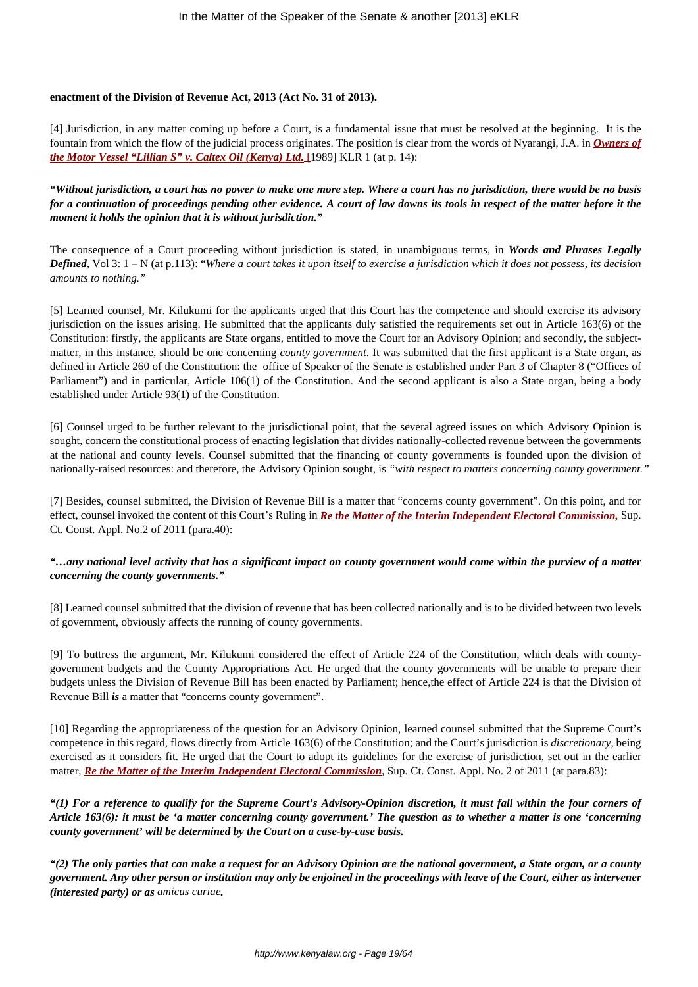#### **enactment of the Division of Revenue Act, 2013 (Act No. 31 of 2013).**

[4] Jurisdiction, in any matter coming up before a Court, is a fundamental issue that must be resolved at the beginning. It is the fountain from which the flow of the judicial process originates. The position is clear from the words of Nyarangi, J.A. in *[Owners of](http://kenyalaw.org/caselaw/cases/view/45265/) [the Motor Vessel "Lillian S" v. Caltex Oil \(Kenya\) Ltd.](http://kenyalaw.org/caselaw/cases/view/45265/)* [\[1](http://kenyalaw.org/caselaw/cases/view/45265/)989] KLR 1 (at p. 14):

*"Without jurisdiction, a court has no power to make one more step. Where a court has no jurisdiction, there would be no basis for a continuation of proceedings pending other evidence. A court of law downs its tools in respect of the matter before it the moment it holds the opinion that it is without jurisdiction."*

The consequence of a Court proceeding without jurisdiction is stated, in unambiguous terms, in *Words and Phrases Legally Defined*, Vol 3: 1 – N (at p.113): "*Where a court takes it upon itself to exercise a jurisdiction which it does not possess, its decision amounts to nothing."*

[5] Learned counsel, Mr. Kilukumi for the applicants urged that this Court has the competence and should exercise its advisory jurisdiction on the issues arising. He submitted that the applicants duly satisfied the requirements set out in Article 163(6) of the Constitution: firstly, the applicants are State organs, entitled to move the Court for an Advisory Opinion; and secondly, the subjectmatter, in this instance, should be one concerning *county government*. It was submitted that the first applicant is a State organ, as defined in Article 260 of the Constitution: the office of Speaker of the Senate is established under Part 3 of Chapter 8 ("Offices of Parliament") and in particular, Article 106(1) of the Constitution. And the second applicant is also a State organ, being a body established under Article 93(1) of the Constitution.

[6] Counsel urged to be further relevant to the jurisdictional point, that the several agreed issues on which Advisory Opinion is sought, concern the constitutional process of enacting legislation that divides nationally-collected revenue between the governments at the national and county levels. Counsel submitted that the financing of county governments is founded upon the division of nationally-raised resources: and therefore, the Advisory Opinion sought, is *"with respect to matters concerning county government."*

[7] Besides, counsel submitted, the Division of Revenue Bill is a matter that "concerns county government". On this point, and for effect, counsel invoked the content of this Court's Ruling in *[Re the Matter of the Interim Independent Electoral Commission,](http://kenyalaw.org/caselaw/cases/view/77634/)* Sup. Ct. Const. Appl. No.2 of 2011 (para.40):

## *"…any national level activity that has a significant impact on county government would come within the purview of a matter concerning the county governments."*

[8] Learned counsel submitted that the division of revenue that has been collected nationally and is to be divided between two levels of government, obviously affects the running of county governments.

[9] To buttress the argument, Mr. Kilukumi considered the effect of Article 224 of the Constitution, which deals with countygovernment budgets and the County Appropriations Act. He urged that the county governments will be unable to prepare their budgets unless the Division of Revenue Bill has been enacted by Parliament; hence,the effect of Article 224 is that the Division of Revenue Bill *is* a matter that "concerns county government".

[10] Regarding the appropriateness of the question for an Advisory Opinion, learned counsel submitted that the Supreme Court's competence in this regard, flows directly from Article 163(6) of the Constitution; and the Court's jurisdiction is *discretionary,* being exercised as it considers fit. He urged that the Court to adopt its guidelines for the exercise of jurisdiction, set out in the earlier matter, *[Re the Matter of the Interim Independent Electoral Commission](http://kenyalaw.org/caselaw/cases/view/77634/)*, Sup. Ct. Const. Appl. No. 2 of 2011 (at para.83):

*"(1) For a reference to qualify for the Supreme Court's Advisory-Opinion discretion, it must fall within the four corners of Article 163(6): it must be 'a matter concerning county government.' The question as to whether a matter is one 'concerning county government' will be determined by the Court on a case-by-case basis.*

*"(2) The only parties that can make a request for an Advisory Opinion are the national government, a State organ, or a county government. Any other person or institution may only be enjoined in the proceedings with leave of the Court, either as intervener (interested party) or as amicus curiae.*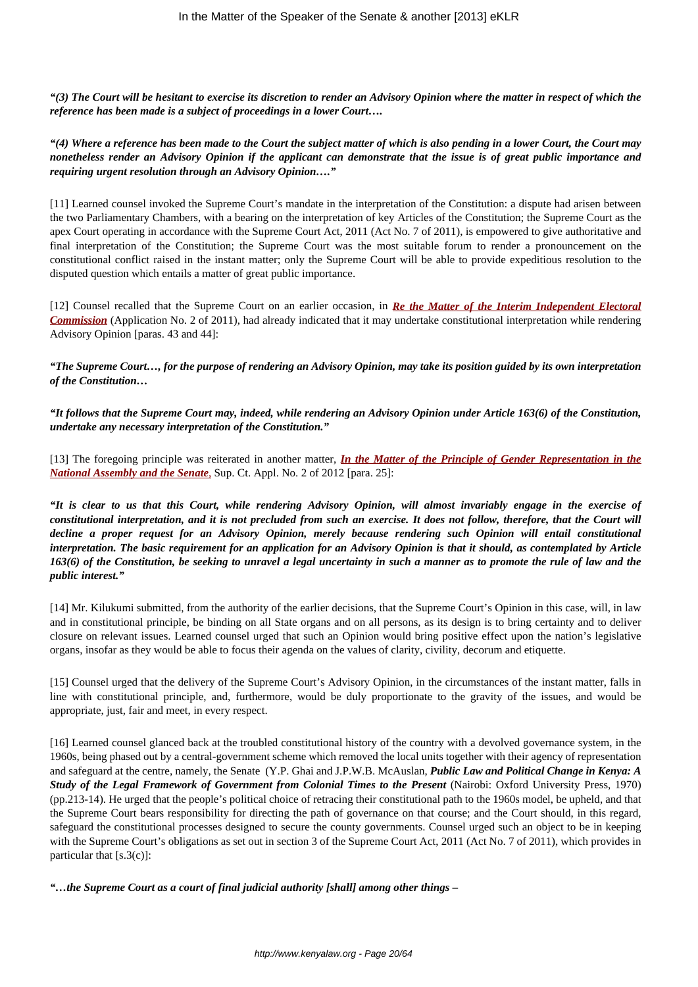*"(3) The Court will be hesitant to exercise its discretion to render an Advisory Opinion where the matter in respect of which the reference has been made is a subject of proceedings in a lower Court….*

*"(4) Where a reference has been made to the Court the subject matter of which is also pending in a lower Court, the Court may nonetheless render an Advisory Opinion if the applicant can demonstrate that the issue is of great public importance and requiring urgent resolution through an Advisory Opinion…."*

[11] Learned counsel invoked the Supreme Court's mandate in the interpretation of the Constitution: a dispute had arisen between the two Parliamentary Chambers, with a bearing on the interpretation of key Articles of the Constitution; the Supreme Court as the apex Court operating in accordance with the Supreme Court Act, 2011 (Act No. 7 of 2011), is empowered to give authoritative and final interpretation of the Constitution; the Supreme Court was the most suitable forum to render a pronouncement on the constitutional conflict raised in the instant matter; only the Supreme Court will be able to provide expeditious resolution to the disputed question which entails a matter of great public importance.

[12] Counsel recalled that the Supreme Court on an earlier occasion, in *[Re the Matter of the Interim Independent Electoral](http://kenyalaw.org/caselaw/cases/view/77634/) [Commission](http://kenyalaw.org/caselaw/cases/view/77634/)* (Application No. 2 of 2011), had already indicated that it may undertake constitutional interpretation while rendering Advisory Opinion [paras. 43 and 44]:

*"The Supreme Court…, for the purpose of rendering an Advisory Opinion, may take its position guided by its own interpretation of the Constitution…*

*"It follows that the Supreme Court may, indeed, while rendering an Advisory Opinion under Article 163(6) of the Constitution, undertake any necessary interpretation of the Constitution."*

[13] The foregoing principle was reiterated in another matter, *[In the Matter of the Principle of Gender Representation in the](http://kenyalaw.org/caselaw/cases/view/85286) [National Assembly and the Senate](http://kenyalaw.org/caselaw/cases/view/85286)*[,](http://kenyalaw.org/caselaw/cases/view/85286) Sup. Ct. Appl. No. 2 of 2012 [para. 25]:

*"It is clear to us that this Court, while rendering Advisory Opinion, will almost invariably engage in the exercise of constitutional interpretation, and it is not precluded from such an exercise. It does not follow, therefore, that the Court will decline a proper request for an Advisory Opinion, merely because rendering such Opinion will entail constitutional interpretation. The basic requirement for an application for an Advisory Opinion is that it should, as contemplated by Article 163(6) of the Constitution, be seeking to unravel a legal uncertainty in such a manner as to promote the rule of law and the public interest."*

[14] Mr. Kilukumi submitted, from the authority of the earlier decisions, that the Supreme Court's Opinion in this case, will, in law and in constitutional principle, be binding on all State organs and on all persons, as its design is to bring certainty and to deliver closure on relevant issues. Learned counsel urged that such an Opinion would bring positive effect upon the nation's legislative organs, insofar as they would be able to focus their agenda on the values of clarity, civility, decorum and etiquette.

[15] Counsel urged that the delivery of the Supreme Court's Advisory Opinion, in the circumstances of the instant matter, falls in line with constitutional principle, and, furthermore, would be duly proportionate to the gravity of the issues, and would be appropriate, just, fair and meet, in every respect.

[16] Learned counsel glanced back at the troubled constitutional history of the country with a devolved governance system, in the 1960s, being phased out by a central-government scheme which removed the local units together with their agency of representation and safeguard at the centre, namely, the Senate (Y.P. Ghai and J.P.W.B. McAuslan, *Public Law and Political Change in Kenya: A Study of the Legal Framework of Government from Colonial Times to the Present* (Nairobi: Oxford University Press, 1970) (pp.213-14). He urged that the people's political choice of retracing their constitutional path to the 1960s model, be upheld, and that the Supreme Court bears responsibility for directing the path of governance on that course; and the Court should, in this regard, safeguard the constitutional processes designed to secure the county governments. Counsel urged such an object to be in keeping with the Supreme Court's obligations as set out in section 3 of the Supreme Court Act, 2011 (Act No. 7 of 2011), which provides in particular that [s.3(c)]:

*"…the Supreme Court as a court of final judicial authority [shall] among other things –*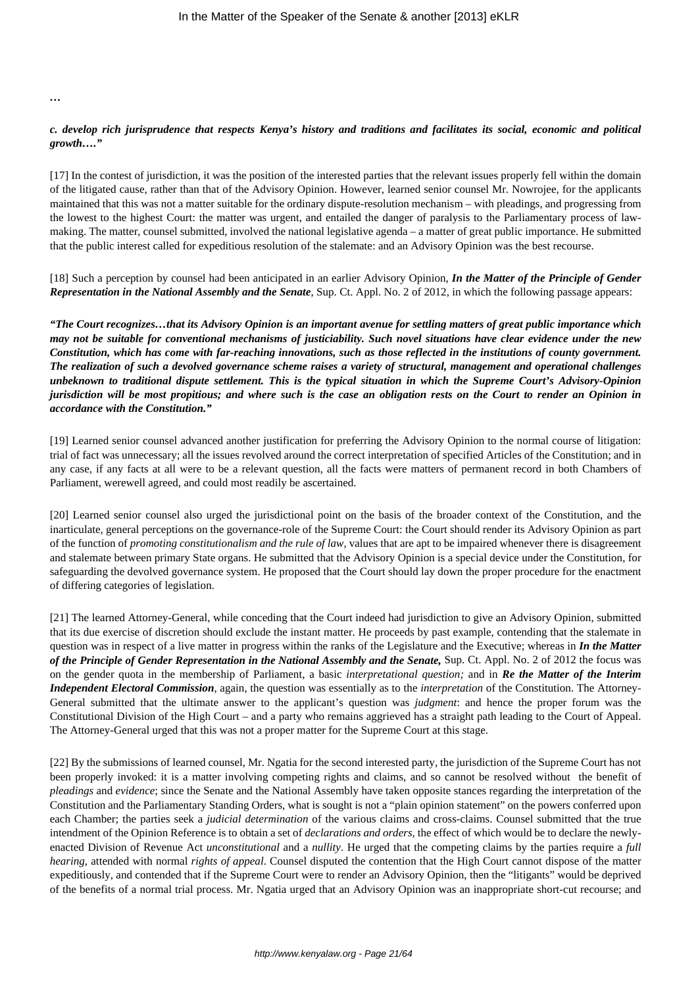*…*

# *c. develop rich jurisprudence that respects Kenya's history and traditions and facilitates its social, economic and political growth…."*

[17] In the contest of jurisdiction, it was the position of the interested parties that the relevant issues properly fell within the domain of the litigated cause, rather than that of the Advisory Opinion. However, learned senior counsel Mr. Nowrojee, for the applicants maintained that this was not a matter suitable for the ordinary dispute-resolution mechanism – with pleadings, and progressing from the lowest to the highest Court: the matter was urgent, and entailed the danger of paralysis to the Parliamentary process of lawmaking. The matter, counsel submitted, involved the national legislative agenda – a matter of great public importance. He submitted that the public interest called for expeditious resolution of the stalemate: and an Advisory Opinion was the best recourse.

[18] Such a perception by counsel had been anticipated in an earlier Advisory Opinion, *In the Matter of the Principle of Gender Representation in the National Assembly and the Senate*, Sup. Ct. Appl. No. 2 of 2012, in which the following passage appears:

*"The Court recognizes…that its Advisory Opinion is an important avenue for settling matters of great public importance which may not be suitable for conventional mechanisms of justiciability. Such novel situations have clear evidence under the new Constitution, which has come with far-reaching innovations, such as those reflected in the institutions of county government. The realization of such a devolved governance scheme raises a variety of structural, management and operational challenges unbeknown to traditional dispute settlement. This is the typical situation in which the Supreme Court's Advisory-Opinion jurisdiction will be most propitious; and where such is the case an obligation rests on the Court to render an Opinion in accordance with the Constitution."*

[19] Learned senior counsel advanced another justification for preferring the Advisory Opinion to the normal course of litigation: trial of fact was unnecessary; all the issues revolved around the correct interpretation of specified Articles of the Constitution; and in any case, if any facts at all were to be a relevant question, all the facts were matters of permanent record in both Chambers of Parliament, werewell agreed, and could most readily be ascertained.

[20] Learned senior counsel also urged the jurisdictional point on the basis of the broader context of the Constitution, and the inarticulate, general perceptions on the governance-role of the Supreme Court: the Court should render its Advisory Opinion as part of the function of *promoting constitutionalism and the rule of law,* values that are apt to be impaired whenever there is disagreement and stalemate between primary State organs. He submitted that the Advisory Opinion is a special device under the Constitution, for safeguarding the devolved governance system. He proposed that the Court should lay down the proper procedure for the enactment of differing categories of legislation.

[21] The learned Attorney-General, while conceding that the Court indeed had jurisdiction to give an Advisory Opinion, submitted that its due exercise of discretion should exclude the instant matter. He proceeds by past example, contending that the stalemate in question was in respect of a live matter in progress within the ranks of the Legislature and the Executive; whereas in *In the Matter of the Principle of Gender Representation in the National Assembly and the Senate,* Sup. Ct. Appl. No. 2 of 2012 the focus was on the gender quota in the membership of Parliament, a basic *interpretational question;* and in *Re the Matter of the Interim Independent Electoral Commission*, again, the question was essentially as to the *interpretation* of the Constitution. The Attorney-General submitted that the ultimate answer to the applicant's question was *judgment*: and hence the proper forum was the Constitutional Division of the High Court – and a party who remains aggrieved has a straight path leading to the Court of Appeal. The Attorney-General urged that this was not a proper matter for the Supreme Court at this stage.

[22] By the submissions of learned counsel, Mr. Ngatia for the second interested party, the jurisdiction of the Supreme Court has not been properly invoked: it is a matter involving competing rights and claims, and so cannot be resolved without the benefit of *pleadings* and *evidence*; since the Senate and the National Assembly have taken opposite stances regarding the interpretation of the Constitution and the Parliamentary Standing Orders, what is sought is not a "plain opinion statement" on the powers conferred upon each Chamber; the parties seek a *judicial determination* of the various claims and cross-claims. Counsel submitted that the true intendment of the Opinion Reference is to obtain a set of *declarations and orders*, the effect of which would be to declare the newlyenacted Division of Revenue Act *unconstitutional* and a *nullity*. He urged that the competing claims by the parties require a *full hearing*, attended with normal *rights of appeal*. Counsel disputed the contention that the High Court cannot dispose of the matter expeditiously, and contended that if the Supreme Court were to render an Advisory Opinion, then the "litigants" would be deprived of the benefits of a normal trial process. Mr. Ngatia urged that an Advisory Opinion was an inappropriate short-cut recourse; and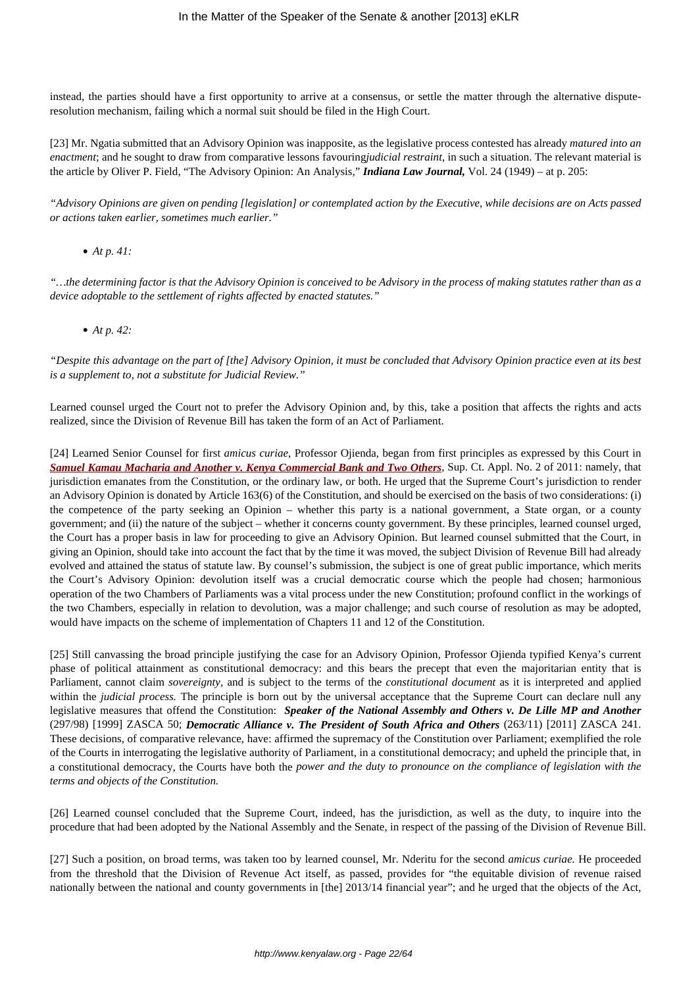instead, the parties should have a first opportunity to arrive at a consensus, or settle the matter through the alternative disputeresolution mechanism, failing which a normal suit should be filed in the High Court.

[23] Mr. Ngatia submitted that an Advisory Opinion was inapposite, as the legislative process contested has already *matured into an enactment*; and he sought to draw from comparative lessons favouring*judicial restraint*, in such a situation. The relevant material is the article by Oliver P. Field, "The Advisory Opinion: An Analysis," *Indiana Law Journal,* Vol. 24 (1949) – at p. 205:

*"Advisory Opinions are given on pending [legislation] or contemplated action by the Executive, while decisions are on Acts passed or actions taken earlier, sometimes much earlier."*

*At p. 41:*

*"…the determining factor is that the Advisory Opinion is conceived to be Advisory in the process of making statutes rather than as a device adoptable to the settlement of rights affected by enacted statutes."*

*At p. 42:*

*"Despite this advantage on the part of [the] Advisory Opinion, it must be concluded that Advisory Opinion practice even at its best is a supplement to, not a substitute for Judicial Review."*

Learned counsel urged the Court not to prefer the Advisory Opinion and, by this, take a position that affects the rights and acts realized, since the Division of Revenue Bill has taken the form of an Act of Parliament.

[24] Learned Senior Counsel for first *amicus curiae*, Professor Ojienda, began from first principles as expressed by this Court in *[Samuel Kamau Macharia and Another v. Kenya Commercial Bank and Two Others](http://kenyalaw.org/caselaw/cases/view/82994)*, Sup. Ct. Appl. No. 2 of 2011: namely, that jurisdiction emanates from the Constitution, or the ordinary law, or both. He urged that the Supreme Court's jurisdiction to render an Advisory Opinion is donated by Article 163(6) of the Constitution, and should be exercised on the basis of two considerations: (i) the competence of the party seeking an Opinion – whether this party is a national government, a State organ, or a county government; and (ii) the nature of the subject – whether it concerns county government. By these principles, learned counsel urged, the Court has a proper basis in law for proceeding to give an Advisory Opinion. But learned counsel submitted that the Court, in giving an Opinion, should take into account the fact that by the time it was moved, the subject Division of Revenue Bill had already evolved and attained the status of statute law. By counsel's submission, the subject is one of great public importance, which merits the Court's Advisory Opinion: devolution itself was a crucial democratic course which the people had chosen; harmonious operation of the two Chambers of Parliaments was a vital process under the new Constitution; profound conflict in the workings of the two Chambers, especially in relation to devolution, was a major challenge; and such course of resolution as may be adopted, would have impacts on the scheme of implementation of Chapters 11 and 12 of the Constitution.

[25] Still canvassing the broad principle justifying the case for an Advisory Opinion, Professor Ojienda typified Kenya's current phase of political attainment as constitutional democracy: and this bears the precept that even the majoritarian entity that is Parliament, cannot claim *sovereignty,* and is subject to the terms of the *constitutional document* as it is interpreted and applied within the *judicial process.* The principle is born out by the universal acceptance that the Supreme Court can declare null any legislative measures that offend the Constitution: *Speaker of the National Assembly and Others v. De Lille MP and Another* (297/98) [1999] ZASCA 50; *Democratic Alliance v. The President of South Africa and Others* (263/11) [2011] ZASCA 241. These decisions, of comparative relevance, have: affirmed the supremacy of the Constitution over Parliament; exemplified the role of the Courts in interrogating the legislative authority of Parliament, in a constitutional democracy; and upheld the principle that, in a constitutional democracy, the Courts have both the *power and the duty to pronounce on the compliance of legislation with the terms and objects of the Constitution.*

[26] Learned counsel concluded that the Supreme Court, indeed, has the jurisdiction, as well as the duty, to inquire into the procedure that had been adopted by the National Assembly and the Senate, in respect of the passing of the Division of Revenue Bill.

[27] Such a position, on broad terms, was taken too by learned counsel, Mr. Nderitu for the second *amicus curiae.* He proceeded from the threshold that the Division of Revenue Act itself, as passed, provides for "the equitable division of revenue raised nationally between the national and county governments in [the] 2013/14 financial year"; and he urged that the objects of the Act,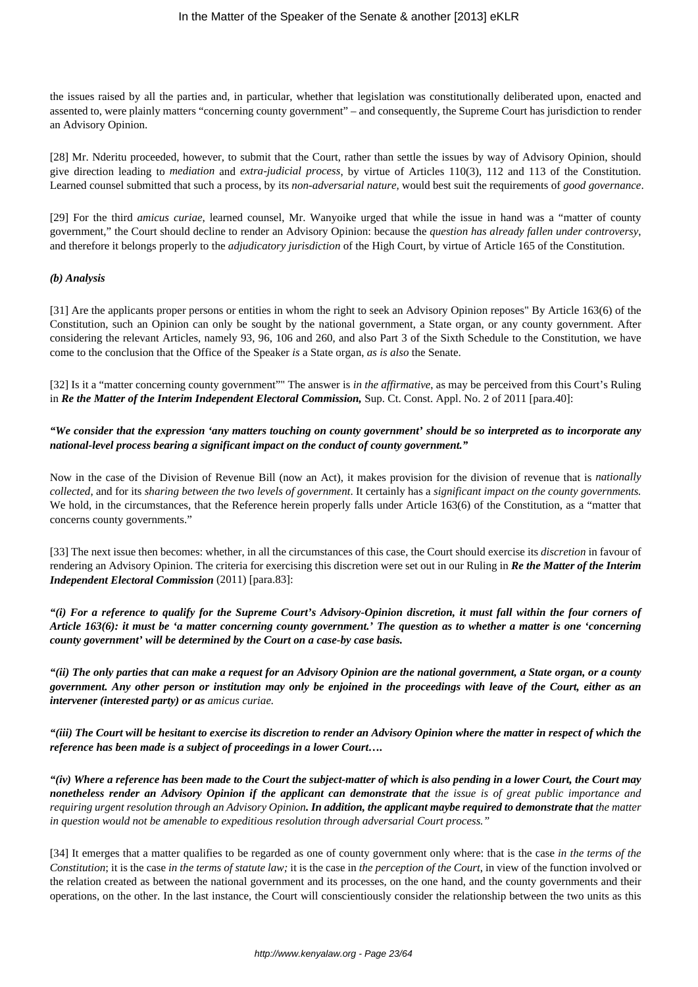the issues raised by all the parties and, in particular, whether that legislation was constitutionally deliberated upon, enacted and assented to, were plainly matters "concerning county government" – and consequently, the Supreme Court has jurisdiction to render an Advisory Opinion.

[28] Mr. Nderitu proceeded, however, to submit that the Court, rather than settle the issues by way of Advisory Opinion, should give direction leading to *mediation* and *extra-judicial process*, by virtue of Articles 110(3), 112 and 113 of the Constitution. Learned counsel submitted that such a process, by its *non-adversarial nature,* would best suit the requirements of *good governance*.

[29] For the third *amicus curiae*, learned counsel, Mr. Wanyoike urged that while the issue in hand was a "matter of county government," the Court should decline to render an Advisory Opinion: because the *question has already fallen under controversy*, and therefore it belongs properly to the *adjudicatory jurisdiction* of the High Court, by virtue of Article 165 of the Constitution.

#### *(b) Analysis*

[31] Are the applicants proper persons or entities in whom the right to seek an Advisory Opinion reposes" By Article 163(6) of the Constitution, such an Opinion can only be sought by the national government, a State organ, or any county government. After considering the relevant Articles, namely 93, 96, 106 and 260, and also Part 3 of the Sixth Schedule to the Constitution, we have come to the conclusion that the Office of the Speaker *is* a State organ, *as is also* the Senate.

[32] Is it a "matter concerning county government"" The answer is *in the affirmative*, as may be perceived from this Court's Ruling in *Re the Matter of the Interim Independent Electoral Commission,* Sup. Ct. Const. Appl. No. 2 of 2011 [para.40]:

*"We consider that the expression 'any matters touching on county government' should be so interpreted as to incorporate any national-level process bearing a significant impact on the conduct of county government."*

Now in the case of the Division of Revenue Bill (now an Act), it makes provision for the division of revenue that is *nationally collected*, and for its *sharing between the two levels of government*. It certainly has a *significant impact on the county governments.* We hold, in the circumstances, that the Reference herein properly falls under Article 163(6) of the Constitution, as a "matter that concerns county governments."

[33] The next issue then becomes: whether, in all the circumstances of this case, the Court should exercise its *discretion* in favour of rendering an Advisory Opinion. The criteria for exercising this discretion were set out in our Ruling in *Re the Matter of the Interim Independent Electoral Commission* (2011) [para.83]:

*"(i) For a reference to qualify for the Supreme Court's Advisory-Opinion discretion, it must fall within the four corners of Article 163(6): it must be 'a matter concerning county government.' The question as to whether a matter is one 'concerning county government' will be determined by the Court on a case-by case basis.*

*"(ii) The only parties that can make a request for an Advisory Opinion are the national government, a State organ, or a county government. Any other person or institution may only be enjoined in the proceedings with leave of the Court, either as an intervener (interested party) or as amicus curiae.*

*"(iii) The Court will be hesitant to exercise its discretion to render an Advisory Opinion where the matter in respect of which the reference has been made is a subject of proceedings in a lower Court….*

*"(iv) Where a reference has been made to the Court the subject-matter of which is also pending in a lower Court, the Court may nonetheless render an Advisory Opinion if the applicant can demonstrate that the issue is of great public importance and requiring urgent resolution through an Advisory Opinion*, *In addition, the applicant maybe required to demonstrate that the matter in question would not be amenable to expeditious resolution through adversarial Court process."*

[34] It emerges that a matter qualifies to be regarded as one of county government only where: that is the case *in the terms of the Constitution*; it is the case *in the terms of statute law;* it is the case in *the perception of the Court*, in view of the function involved or the relation created as between the national government and its processes, on the one hand, and the county governments and their operations, on the other. In the last instance, the Court will conscientiously consider the relationship between the two units as this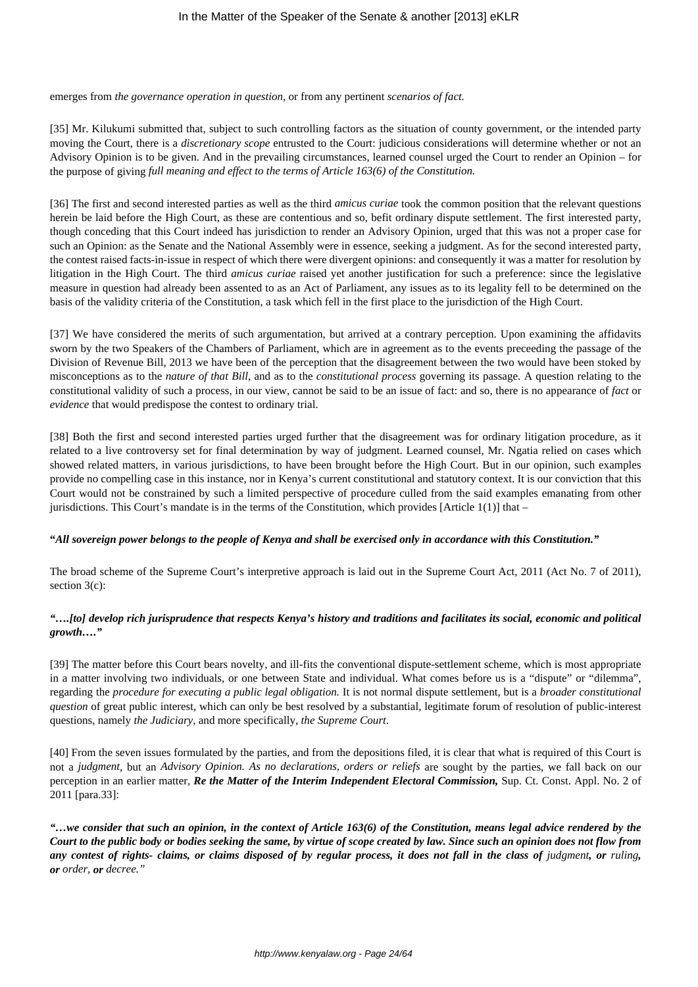emerges from *the governance operation in question*, or from any pertinent *scenarios of fact.* 

[35] Mr. Kilukumi submitted that, subject to such controlling factors as the situation of county government, or the intended party moving the Court, there is a *discretionary scope* entrusted to the Court: judicious considerations will determine whether or not an Advisory Opinion is to be given. And in the prevailing circumstances, learned counsel urged the Court to render an Opinion – for the purpose of giving *full meaning and effect to the terms of Article 163(6) of the Constitution.* 

[36] The first and second interested parties as well as the third *amicus curiae* took the common position that the relevant questions herein be laid before the High Court, as these are contentious and so, befit ordinary dispute settlement. The first interested party, though conceding that this Court indeed has jurisdiction to render an Advisory Opinion, urged that this was not a proper case for such an Opinion: as the Senate and the National Assembly were in essence, seeking a judgment. As for the second interested party, the contest raised facts-in-issue in respect of which there were divergent opinions: and consequently it was a matter for resolution by litigation in the High Court. The third *amicus curiae* raised yet another justification for such a preference: since the legislative measure in question had already been assented to as an Act of Parliament, any issues as to its legality fell to be determined on the basis of the validity criteria of the Constitution, a task which fell in the first place to the jurisdiction of the High Court.

[37] We have considered the merits of such argumentation, but arrived at a contrary perception. Upon examining the affidavits sworn by the two Speakers of the Chambers of Parliament, which are in agreement as to the events preceeding the passage of the Division of Revenue Bill, 2013 we have been of the perception that the disagreement between the two would have been stoked by misconceptions as to the *nature of that Bill*, and as to the *constitutional process* governing its passage. A question relating to the constitutional validity of such a process, in our view, cannot be said to be an issue of fact: and so, there is no appearance of *fact* or *evidence* that would predispose the contest to ordinary trial.

[38] Both the first and second interested parties urged further that the disagreement was for ordinary litigation procedure, as it related to a live controversy set for final determination by way of judgment. Learned counsel, Mr. Ngatia relied on cases which showed related matters, in various jurisdictions, to have been brought before the High Court. But in our opinion, such examples provide no compelling case in this instance, nor in Kenya's current constitutional and statutory context. It is our conviction that this Court would not be constrained by such a limited perspective of procedure culled from the said examples emanating from other jurisdictions. This Court's mandate is in the terms of the Constitution, which provides [Article 1(1)] that  $-$ 

#### **"***All sovereign power belongs to the people of Kenya and shall be exercised only in accordance with this Constitution."*

The broad scheme of the Supreme Court's interpretive approach is laid out in the Supreme Court Act, 2011 (Act No. 7 of 2011), section 3(c):

# *"….[to] develop rich jurisprudence that respects Kenya's history and traditions and facilitates its social, economic and political growth…."*

[39] The matter before this Court bears novelty, and ill-fits the conventional dispute-settlement scheme, which is most appropriate in a matter involving two individuals, or one between State and individual. What comes before us is a "dispute" or "dilemma", regarding the *procedure for executing a public legal obligation.* It is not normal dispute settlement, but is a *broader constitutional question* of great public interest, which can only be best resolved by a substantial, legitimate forum of resolution of public-interest questions, namely *the Judiciary*, and more specifically, *the Supreme Court*.

[40] From the seven issues formulated by the parties, and from the depositions filed, it is clear that what is required of this Court is not a *judgment*, but an *Advisory Opinion. As no declarations, orders or reliefs* are sought by the parties, we fall back on our perception in an earlier matter, *Re the Matter of the Interim Independent Electoral Commission,* Sup. Ct. Const. Appl. No. 2 of 2011 [para.33]:

*"…we consider that such an opinion, in the context of Article 163(6) of the Constitution, means legal advice rendered by the Court to the public body or bodies seeking the same, by virtue of scope created by law. Since such an opinion does not flow from any contest of rights- claims, or claims disposed of by regular process, it does not fall in the class of judgment, or ruling, or order, or decree."*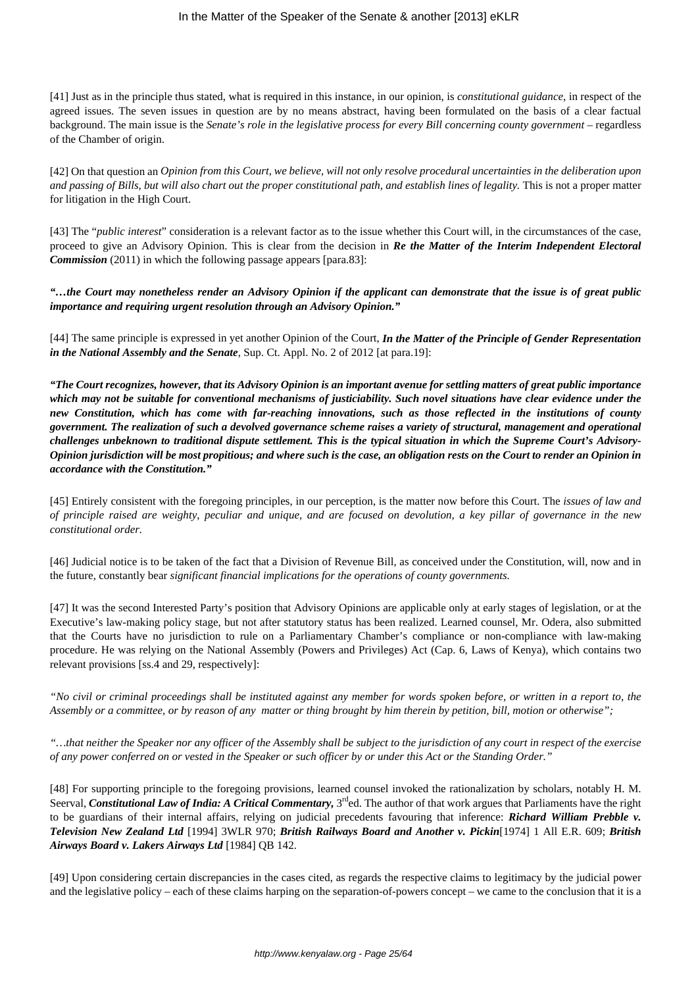[41] Just as in the principle thus stated, what is required in this instance, in our opinion, is *constitutional guidance,* in respect of the agreed issues. The seven issues in question are by no means abstract, having been formulated on the basis of a clear factual background. The main issue is the *Senate's role in the legislative process for every Bill concerning county government* – regardless of the Chamber of origin.

[42] On that question an *Opinion from this Court, we believe, will not only resolve procedural uncertainties in the deliberation upon and passing of Bills, but will also chart out the proper constitutional path, and establish lines of legality.* This is not a proper matter for litigation in the High Court.

[43] The "*public interest*" consideration is a relevant factor as to the issue whether this Court will, in the circumstances of the case, proceed to give an Advisory Opinion. This is clear from the decision in *Re the Matter of the Interim Independent Electoral Commission* (2011) in which the following passage appears [para.83]:

*"…the Court may nonetheless render an Advisory Opinion if the applicant can demonstrate that the issue is of great public importance and requiring urgent resolution through an Advisory Opinion."*

[44] The same principle is expressed in yet another Opinion of the Court, *In the Matter of the Principle of Gender Representation in the National Assembly and the Senate*, Sup. Ct. Appl. No. 2 of 2012 [at para.19]:

*"The Court recognizes, however, that its Advisory Opinion is an important avenue for settling matters of great public importance which may not be suitable for conventional mechanisms of justiciability. Such novel situations have clear evidence under the new Constitution, which has come with far-reaching innovations, such as those reflected in the institutions of county government. The realization of such a devolved governance scheme raises a variety of structural, management and operational challenges unbeknown to traditional dispute settlement. This is the typical situation in which the Supreme Court's Advisory-Opinion jurisdiction will be most propitious; and where such is the case, an obligation rests on the Court to render an Opinion in accordance with the Constitution."*

[45] Entirely consistent with the foregoing principles, in our perception, is the matter now before this Court. The *issues of law and of principle raised are weighty, peculiar and unique, and are focused on devolution, a key pillar of governance in the new constitutional order.*

[46] Judicial notice is to be taken of the fact that a Division of Revenue Bill, as conceived under the Constitution, will, now and in the future, constantly bear *significant financial implications for the operations of county governments.*

[47] It was the second Interested Party's position that Advisory Opinions are applicable only at early stages of legislation, or at the Executive's law-making policy stage, but not after statutory status has been realized. Learned counsel, Mr. Odera, also submitted that the Courts have no jurisdiction to rule on a Parliamentary Chamber's compliance or non-compliance with law-making procedure. He was relying on the National Assembly (Powers and Privileges) Act (Cap. 6, Laws of Kenya), which contains two relevant provisions [ss.4 and 29, respectively]:

*"No civil or criminal proceedings shall be instituted against any member for words spoken before, or written in a report to, the Assembly or a committee, or by reason of any matter or thing brought by him therein by petition, bill, motion or otherwise";*

*"…that neither the Speaker nor any officer of the Assembly shall be subject to the jurisdiction of any court in respect of the exercise of any power conferred on or vested in the Speaker or such officer by or under this Act or the Standing Order."*

[48] For supporting principle to the foregoing provisions, learned counsel invoked the rationalization by scholars, notably H. M. Seerval, *Constitutional Law of India: A Critical Commentary*, 3<sup>rd</sup>ed. The author of that work argues that Parliaments have the right to be guardians of their internal affairs, relying on judicial precedents favouring that inference: *Richard William Prebble v. Television New Zealand Ltd* [1994] 3WLR 970; *British Railways Board and Another v. Pickin*[1974] 1 All E.R. 609; *British Airways Board v. Lakers Airways Ltd* [1984] QB 142.

[49] Upon considering certain discrepancies in the cases cited, as regards the respective claims to legitimacy by the judicial power and the legislative policy – each of these claims harping on the separation-of-powers concept – we came to the conclusion that it is a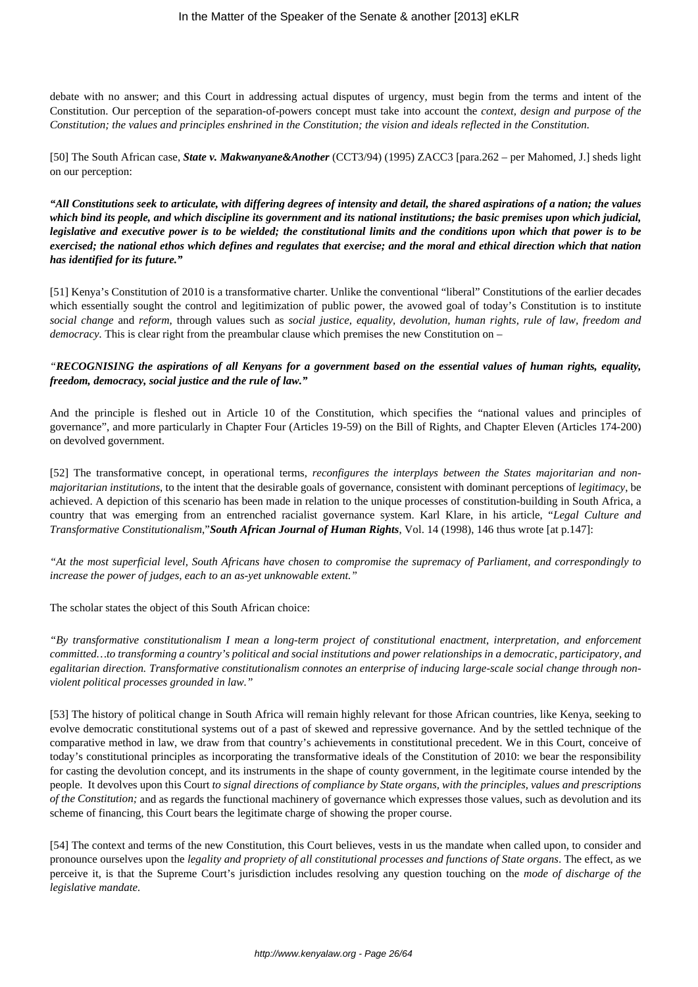debate with no answer; and this Court in addressing actual disputes of urgency, must begin from the terms and intent of the Constitution. Our perception of the separation-of-powers concept must take into account the *context, design and purpose of the Constitution; the values and principles enshrined in the Constitution; the vision and ideals reflected in the Constitution.* 

[50] The South African case, *State v. Makwanyane&Another* (CCT3/94) (1995) ZACC3 [para.262 – per Mahomed, J.] sheds light on our perception:

*"All Constitutions seek to articulate, with differing degrees of intensity and detail, the shared aspirations of a nation; the values which bind its people, and which discipline its government and its national institutions; the basic premises upon which judicial, legislative and executive power is to be wielded; the constitutional limits and the conditions upon which that power is to be exercised; the national ethos which defines and regulates that exercise; and the moral and ethical direction which that nation has identified for its future."*

[51] Kenya's Constitution of 2010 is a transformative charter. Unlike the conventional "liberal" Constitutions of the earlier decades which essentially sought the control and legitimization of public power, the avowed goal of today's Constitution is to institute *social change* and *reform*, through values such as *social justice, equality, devolution, human rights, rule of law, freedom and democracy.* This is clear right from the preambular clause which premises the new Constitution on –

# *"RECOGNISING the aspirations of all Kenyans for a government based on the essential values of human rights, equality, freedom, democracy, social justice and the rule of law."*

And the principle is fleshed out in Article 10 of the Constitution, which specifies the "national values and principles of governance", and more particularly in Chapter Four (Articles 19-59) on the Bill of Rights, and Chapter Eleven (Articles 174-200) on devolved government.

[52] The transformative concept, in operational terms, *reconfigures the interplays between the States majoritarian and nonmajoritarian institutions*, to the intent that the desirable goals of governance, consistent with dominant perceptions of *legitimacy*, be achieved. A depiction of this scenario has been made in relation to the unique processes of constitution-building in South Africa, a country that was emerging from an entrenched racialist governance system. Karl Klare, in his article, "*Legal Culture and Transformative Constitutionalism*,"*South African Journal of Human Rights*, Vol. 14 (1998), 146 thus wrote [at p.147]:

*"At the most superficial level, South Africans have chosen to compromise the supremacy of Parliament, and correspondingly to increase the power of judges, each to an as-yet unknowable extent."*

The scholar states the object of this South African choice:

*"By transformative constitutionalism I mean a long-term project of constitutional enactment, interpretation, and enforcement committed…to transforming a country's political and social institutions and power relationships in a democratic, participatory, and egalitarian direction. Transformative constitutionalism connotes an enterprise of inducing large-scale social change through nonviolent political processes grounded in law."*

[53] The history of political change in South Africa will remain highly relevant for those African countries, like Kenya, seeking to evolve democratic constitutional systems out of a past of skewed and repressive governance. And by the settled technique of the comparative method in law, we draw from that country's achievements in constitutional precedent. We in this Court, conceive of today's constitutional principles as incorporating the transformative ideals of the Constitution of 2010: we bear the responsibility for casting the devolution concept, and its instruments in the shape of county government, in the legitimate course intended by the people. It devolves upon this Court *to signal directions of compliance by State organs, with the principles, values and prescriptions of the Constitution;* and as regards the functional machinery of governance which expresses those values, such as devolution and its scheme of financing, this Court bears the legitimate charge of showing the proper course.

[54] The context and terms of the new Constitution, this Court believes, vests in us the mandate when called upon, to consider and pronounce ourselves upon the *legality and propriety of all constitutional processes and functions of State organs*. The effect, as we perceive it, is that the Supreme Court's jurisdiction includes resolving any question touching on the *mode of discharge of the legislative mandate.*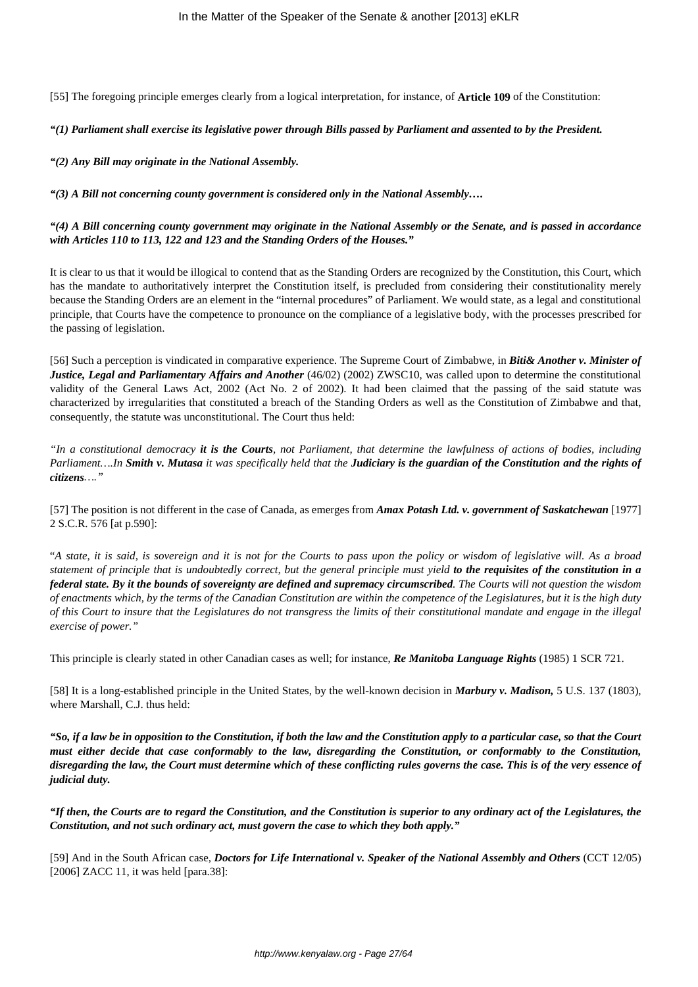[55] The foregoing principle emerges clearly from a logical interpretation, for instance, of **Article 109** of the Constitution:

#### *"(1) Parliament shall exercise its legislative power through Bills passed by Parliament and assented to by the President.*

*"(2) Any Bill may originate in the National Assembly.*

*"(3) A Bill not concerning county government is considered only in the National Assembly….*

#### *"(4) A Bill concerning county government may originate in the National Assembly or the Senate, and is passed in accordance with Articles 110 to 113, 122 and 123 and the Standing Orders of the Houses."*

It is clear to us that it would be illogical to contend that as the Standing Orders are recognized by the Constitution, this Court, which has the mandate to authoritatively interpret the Constitution itself, is precluded from considering their constitutionality merely because the Standing Orders are an element in the "internal procedures" of Parliament. We would state, as a legal and constitutional principle, that Courts have the competence to pronounce on the compliance of a legislative body, with the processes prescribed for the passing of legislation.

[56] Such a perception is vindicated in comparative experience. The Supreme Court of Zimbabwe, in *Biti& Another v. Minister of Justice, Legal and Parliamentary Affairs and Another* (46/02) (2002) ZWSC10, was called upon to determine the constitutional validity of the General Laws Act, 2002 (Act No. 2 of 2002). It had been claimed that the passing of the said statute was characterized by irregularities that constituted a breach of the Standing Orders as well as the Constitution of Zimbabwe and that, consequently, the statute was unconstitutional. The Court thus held:

*"In a constitutional democracy it is the Courts, not Parliament, that determine the lawfulness of actions of bodies, including Parliament….In Smith v. Mutasa it was specifically held that the Judiciary is the guardian of the Constitution and the rights of citizens…."*

[57] The position is not different in the case of Canada, as emerges from *Amax Potash Ltd. v. government of Saskatchewan* [1977] 2 S.C.R. 576 [at p.590]:

"*A state, it is said, is sovereign and it is not for the Courts to pass upon the policy or wisdom of legislative will. As a broad statement of principle that is undoubtedly correct, but the general principle must yield to the requisites of the constitution in a federal state. By it the bounds of sovereignty are defined and supremacy circumscribed. The Courts will not question the wisdom of enactments which, by the terms of the Canadian Constitution are within the competence of the Legislatures, but it is the high duty of this Court to insure that the Legislatures do not transgress the limits of their constitutional mandate and engage in the illegal exercise of power."*

This principle is clearly stated in other Canadian cases as well; for instance, *Re Manitoba Language Rights* (1985) 1 SCR 721.

[58] It is a long-established principle in the United States, by the well-known decision in *Marbury v. Madison,* 5 U.S. 137 (1803), where Marshall, C.J. thus held:

*"So, if a law be in opposition to the Constitution, if both the law and the Constitution apply to a particular case, so that the Court must either decide that case conformably to the law, disregarding the Constitution, or conformably to the Constitution, disregarding the law, the Court must determine which of these conflicting rules governs the case. This is of the very essence of judicial duty.*

*"If then, the Courts are to regard the Constitution, and the Constitution is superior to any ordinary act of the Legislatures, the Constitution, and not such ordinary act, must govern the case to which they both apply."*

[59] And in the South African case, *Doctors for Life International v. Speaker of the National Assembly and Others* (CCT 12/05) [2006] ZACC 11, it was held [para.38]: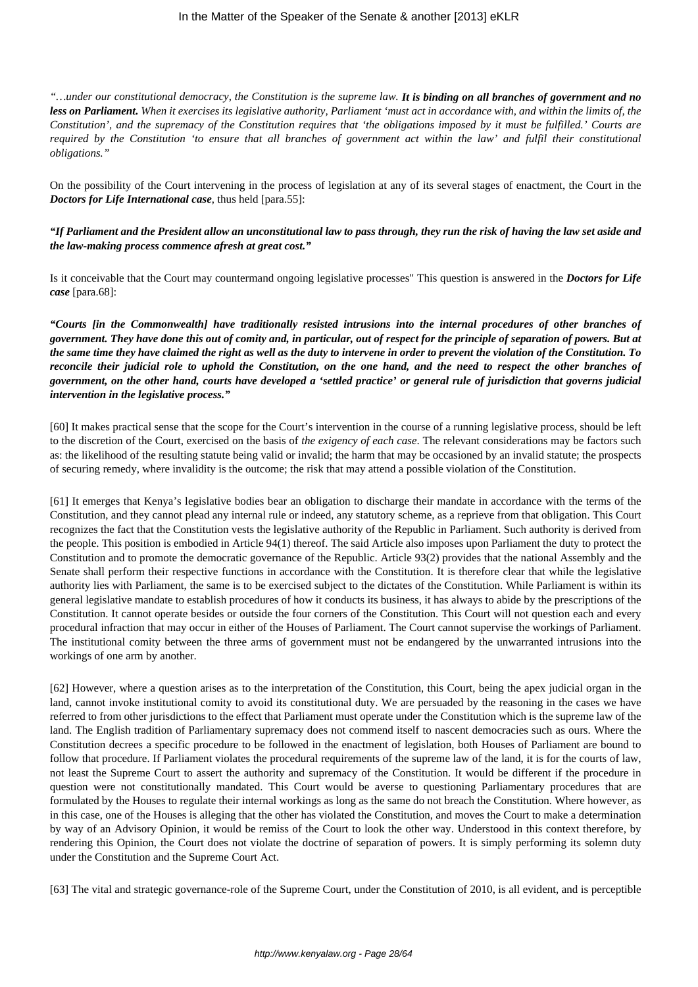*"…under our constitutional democracy, the Constitution is the supreme law. It is binding on all branches of government and no less on Parliament. When it exercises its legislative authority, Parliament 'must act in accordance with, and within the limits of, the Constitution', and the supremacy of the Constitution requires that 'the obligations imposed by it must be fulfilled.' Courts are required by the Constitution 'to ensure that all branches of government act within the law' and fulfil their constitutional obligations."*

On the possibility of the Court intervening in the process of legislation at any of its several stages of enactment, the Court in the *Doctors for Life International case*, thus held [para.55]:

## *"If Parliament and the President allow an unconstitutional law to pass through, they run the risk of having the law set aside and the law-making process commence afresh at great cost."*

Is it conceivable that the Court may countermand ongoing legislative processes" This question is answered in the *Doctors for Life case* [para.68]:

*"Courts [in the Commonwealth] have traditionally resisted intrusions into the internal procedures of other branches of government. They have done this out of comity and, in particular, out of respect for the principle of separation of powers. But at the same time they have claimed the right as well as the duty to intervene in order to prevent the violation of the Constitution. To reconcile their judicial role to uphold the Constitution, on the one hand, and the need to respect the other branches of government, on the other hand, courts have developed a 'settled practice' or general rule of jurisdiction that governs judicial intervention in the legislative process."*

[60] It makes practical sense that the scope for the Court's intervention in the course of a running legislative process, should be left to the discretion of the Court, exercised on the basis of *the exigency of each case*. The relevant considerations may be factors such as: the likelihood of the resulting statute being valid or invalid; the harm that may be occasioned by an invalid statute; the prospects of securing remedy, where invalidity is the outcome; the risk that may attend a possible violation of the Constitution.

[61] It emerges that Kenya's legislative bodies bear an obligation to discharge their mandate in accordance with the terms of the Constitution, and they cannot plead any internal rule or indeed, any statutory scheme, as a reprieve from that obligation. This Court recognizes the fact that the Constitution vests the legislative authority of the Republic in Parliament. Such authority is derived from the people. This position is embodied in Article 94(1) thereof. The said Article also imposes upon Parliament the duty to protect the Constitution and to promote the democratic governance of the Republic. Article 93(2) provides that the national Assembly and the Senate shall perform their respective functions in accordance with the Constitution. It is therefore clear that while the legislative authority lies with Parliament, the same is to be exercised subject to the dictates of the Constitution. While Parliament is within its general legislative mandate to establish procedures of how it conducts its business, it has always to abide by the prescriptions of the Constitution. It cannot operate besides or outside the four corners of the Constitution. This Court will not question each and every procedural infraction that may occur in either of the Houses of Parliament. The Court cannot supervise the workings of Parliament. The institutional comity between the three arms of government must not be endangered by the unwarranted intrusions into the workings of one arm by another.

[62] However, where a question arises as to the interpretation of the Constitution, this Court, being the apex judicial organ in the land, cannot invoke institutional comity to avoid its constitutional duty. We are persuaded by the reasoning in the cases we have referred to from other jurisdictions to the effect that Parliament must operate under the Constitution which is the supreme law of the land. The English tradition of Parliamentary supremacy does not commend itself to nascent democracies such as ours. Where the Constitution decrees a specific procedure to be followed in the enactment of legislation, both Houses of Parliament are bound to follow that procedure. If Parliament violates the procedural requirements of the supreme law of the land, it is for the courts of law, not least the Supreme Court to assert the authority and supremacy of the Constitution. It would be different if the procedure in question were not constitutionally mandated. This Court would be averse to questioning Parliamentary procedures that are formulated by the Houses to regulate their internal workings as long as the same do not breach the Constitution. Where however, as in this case, one of the Houses is alleging that the other has violated the Constitution, and moves the Court to make a determination by way of an Advisory Opinion, it would be remiss of the Court to look the other way. Understood in this context therefore, by rendering this Opinion, the Court does not violate the doctrine of separation of powers. It is simply performing its solemn duty under the Constitution and the Supreme Court Act.

[63] The vital and strategic governance-role of the Supreme Court, under the Constitution of 2010, is all evident, and is perceptible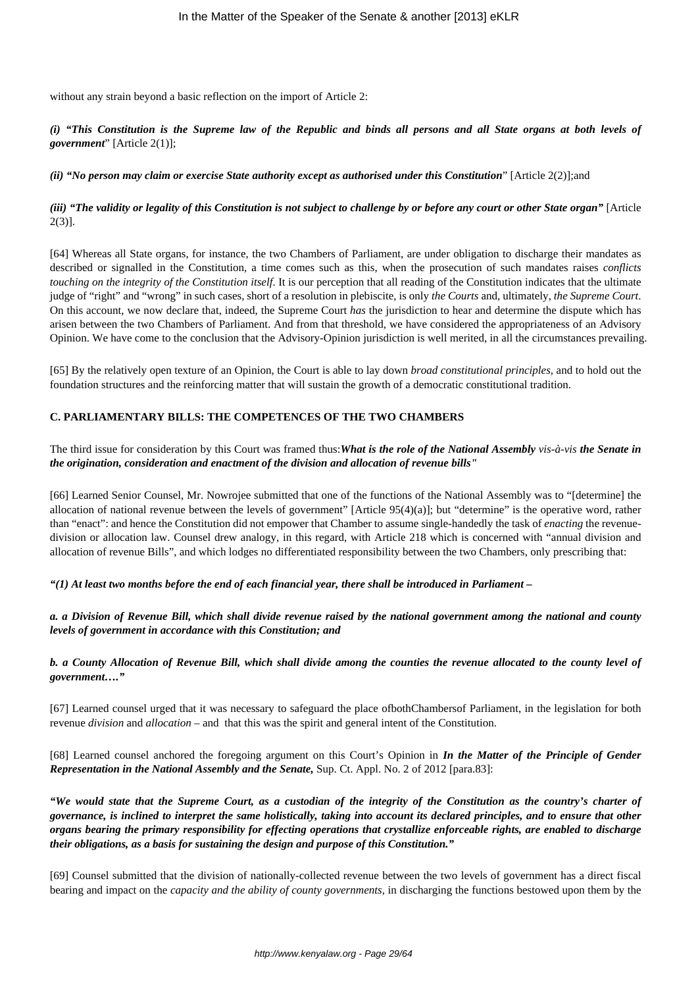without any strain beyond a basic reflection on the import of Article 2:

*(i) "This Constitution is the Supreme law of the Republic and binds all persons and all State organs at both levels of government*" [Article 2(1)];

#### *(ii) "No person may claim or exercise State authority except as authorised under this Constitution*" [Article 2(2)];and

*(iii) "The validity or legality of this Constitution is not subject to challenge by or before any court or other State organ"* [Article 2(3)].

[64] Whereas all State organs, for instance, the two Chambers of Parliament, are under obligation to discharge their mandates as described or signalled in the Constitution, a time comes such as this, when the prosecution of such mandates raises *conflicts touching on the integrity of the Constitution itself*. It is our perception that all reading of the Constitution indicates that the ultimate judge of "right" and "wrong" in such cases, short of a resolution in plebiscite, is only *the Courts* and, ultimately, *the Supreme Court*. On this account, we now declare that, indeed, the Supreme Court *has* the jurisdiction to hear and determine the dispute which has arisen between the two Chambers of Parliament. And from that threshold, we have considered the appropriateness of an Advisory Opinion. We have come to the conclusion that the Advisory-Opinion jurisdiction is well merited, in all the circumstances prevailing.

[65] By the relatively open texture of an Opinion, the Court is able to lay down *broad constitutional principles*, and to hold out the foundation structures and the reinforcing matter that will sustain the growth of a democratic constitutional tradition.

## **C. PARLIAMENTARY BILLS: THE COMPETENCES OF THE TWO CHAMBERS**

## The third issue for consideration by this Court was framed thus:*What is the role of the National Assembly vis-à-vis the Senate in the origination, consideration and enactment of the division and allocation of revenue bills"*

[66] Learned Senior Counsel, Mr. Nowrojee submitted that one of the functions of the National Assembly was to "[determine] the allocation of national revenue between the levels of government" [Article 95(4)(a)]; but "determine" is the operative word, rather than "enact": and hence the Constitution did not empower that Chamber to assume single-handedly the task of *enacting* the revenuedivision or allocation law. Counsel drew analogy, in this regard, with Article 218 which is concerned with "annual division and allocation of revenue Bills", and which lodges no differentiated responsibility between the two Chambers, only prescribing that:

## *"(1) At least two months before the end of each financial year, there shall be introduced in Parliament –*

*a. a Division of Revenue Bill, which shall divide revenue raised by the national government among the national and county levels of government in accordance with this Constitution; and*

## *b. a County Allocation of Revenue Bill, which shall divide among the counties the revenue allocated to the county level of government…."*

[67] Learned counsel urged that it was necessary to safeguard the place ofbothChambersof Parliament, in the legislation for both revenue *division* and *allocation* – and that this was the spirit and general intent of the Constitution.

[68] Learned counsel anchored the foregoing argument on this Court's Opinion in *In the Matter of the Principle of Gender Representation in the National Assembly and the Senate,* Sup. Ct. Appl. No. 2 of 2012 [para.83]:

*"We would state that the Supreme Court, as a custodian of the integrity of the Constitution as the country's charter of governance, is inclined to interpret the same holistically, taking into account its declared principles, and to ensure that other organs bearing the primary responsibility for effecting operations that crystallize enforceable rights, are enabled to discharge their obligations, as a basis for sustaining the design and purpose of this Constitution."*

[69] Counsel submitted that the division of nationally-collected revenue between the two levels of government has a direct fiscal bearing and impact on the *capacity and the ability of county governments,* in discharging the functions bestowed upon them by the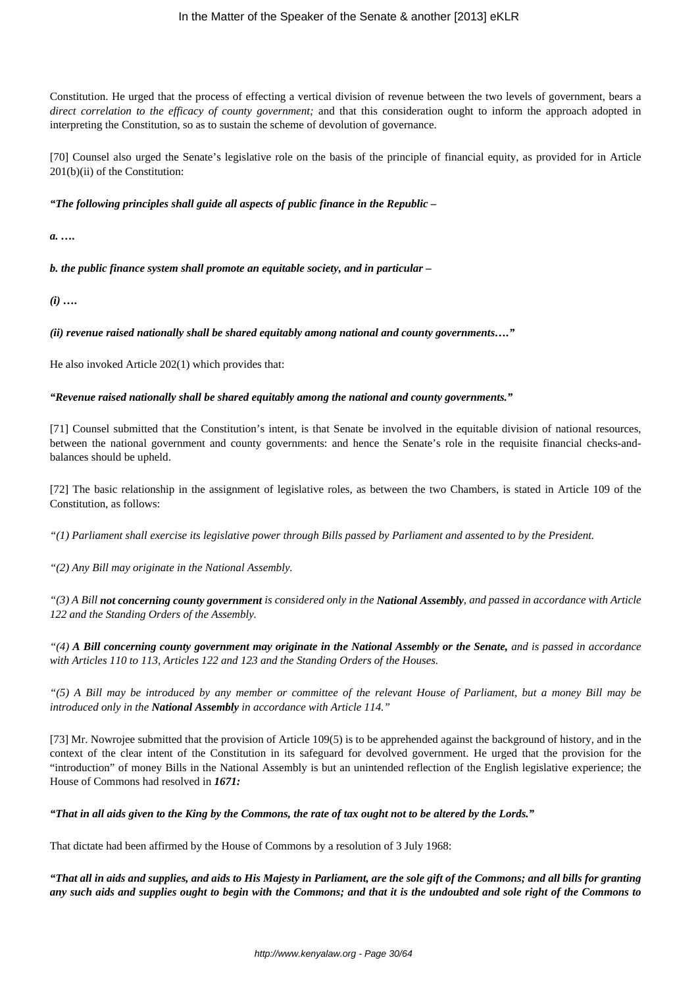Constitution. He urged that the process of effecting a vertical division of revenue between the two levels of government, bears a *direct correlation to the efficacy of county government;* and that this consideration ought to inform the approach adopted in interpreting the Constitution, so as to sustain the scheme of devolution of governance.

[70] Counsel also urged the Senate's legislative role on the basis of the principle of financial equity, as provided for in Article 201(b)(ii) of the Constitution:

*"The following principles shall guide all aspects of public finance in the Republic –* 

*a. ….*

*b. the public finance system shall promote an equitable society, and in particular –*

*(i) ….*

*(ii) revenue raised nationally shall be shared equitably among national and county governments…."*

He also invoked Article 202(1) which provides that:

## *"Revenue raised nationally shall be shared equitably among the national and county governments."*

[71] Counsel submitted that the Constitution's intent, is that Senate be involved in the equitable division of national resources, between the national government and county governments: and hence the Senate's role in the requisite financial checks-andbalances should be upheld.

[72] The basic relationship in the assignment of legislative roles, as between the two Chambers, is stated in Article 109 of the Constitution, as follows:

*"(1) Parliament shall exercise its legislative power through Bills passed by Parliament and assented to by the President.*

*"(2) Any Bill may originate in the National Assembly.*

*"(3) A Bill not concerning county government is considered only in the National Assembly, and passed in accordance with Article 122 and the Standing Orders of the Assembly.*

*"(4) A Bill concerning county government may originate in the National Assembly or the Senate, and is passed in accordance with Articles 110 to 113, Articles 122 and 123 and the Standing Orders of the Houses.*

*"(5) A Bill may be introduced by any member or committee of the relevant House of Parliament, but a money Bill may be introduced only in the National Assembly in accordance with Article 114."*

[73] Mr. Nowrojee submitted that the provision of Article 109(5) is to be apprehended against the background of history, and in the context of the clear intent of the Constitution in its safeguard for devolved government. He urged that the provision for the "introduction" of money Bills in the National Assembly is but an unintended reflection of the English legislative experience; the House of Commons had resolved in *1671:*

*"That in all aids given to the King by the Commons, the rate of tax ought not to be altered by the Lords."*

That dictate had been affirmed by the House of Commons by a resolution of 3 July 1968:

*"That all in aids and supplies, and aids to His Majesty in Parliament, are the sole gift of the Commons; and all bills for granting any such aids and supplies ought to begin with the Commons; and that it is the undoubted and sole right of the Commons to*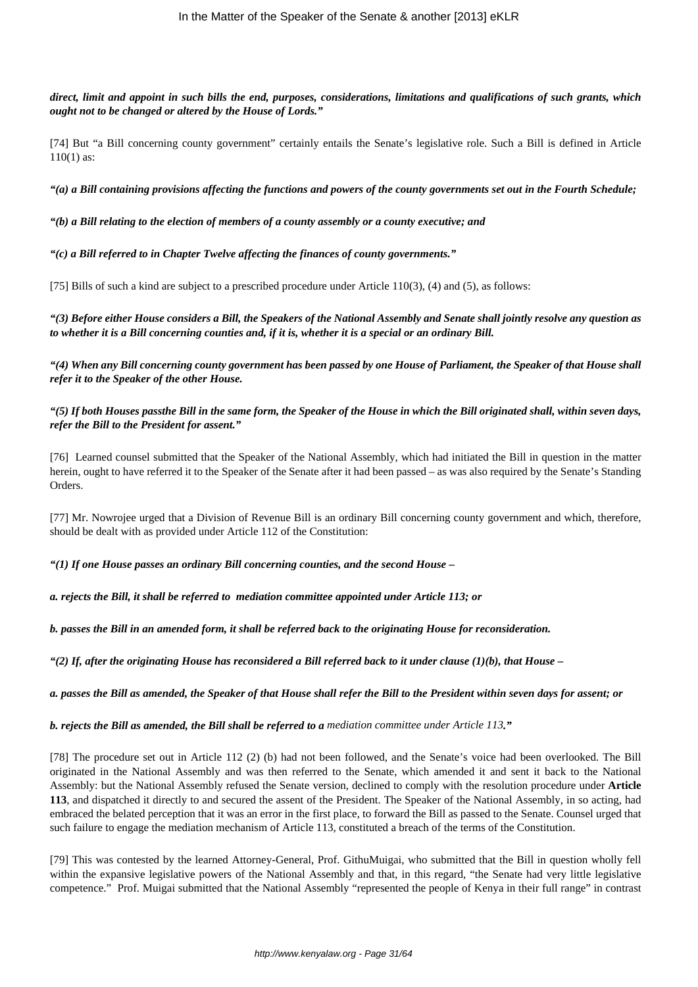*direct, limit and appoint in such bills the end, purposes, considerations, limitations and qualifications of such grants, which ought not to be changed or altered by the House of Lords."*

[74] But "a Bill concerning county government" certainly entails the Senate's legislative role. Such a Bill is defined in Article 110(1) as:

*"(a) a Bill containing provisions affecting the functions and powers of the county governments set out in the Fourth Schedule;*

*"(b) a Bill relating to the election of members of a county assembly or a county executive; and*

*"(c) a Bill referred to in Chapter Twelve affecting the finances of county governments."*

[75] Bills of such a kind are subject to a prescribed procedure under Article 110(3), (4) and (5), as follows:

*"(3) Before either House considers a Bill, the Speakers of the National Assembly and Senate shall jointly resolve any question as to whether it is a Bill concerning counties and, if it is, whether it is a special or an ordinary Bill.*

*"(4) When any Bill concerning county government has been passed by one House of Parliament, the Speaker of that House shall refer it to the Speaker of the other House.*

## *"(5) If both Houses passthe Bill in the same form, the Speaker of the House in which the Bill originated shall, within seven days, refer the Bill to the President for assent."*

[76] Learned counsel submitted that the Speaker of the National Assembly, which had initiated the Bill in question in the matter herein, ought to have referred it to the Speaker of the Senate after it had been passed – as was also required by the Senate's Standing Orders.

[77] Mr. Nowrojee urged that a Division of Revenue Bill is an ordinary Bill concerning county government and which, therefore, should be dealt with as provided under Article 112 of the Constitution:

*"(1) If one House passes an ordinary Bill concerning counties, and the second House –* 

*a. rejects the Bill, it shall be referred to mediation committee appointed under Article 113; or*

*b. passes the Bill in an amended form, it shall be referred back to the originating House for reconsideration.*

 $f'(2)$  If, after the originating House has reconsidered a Bill referred back to it under clause  $(1)(b)$ , that House –

*a. passes the Bill as amended, the Speaker of that House shall refer the Bill to the President within seven days for assent; or*

*b. rejects the Bill as amended, the Bill shall be referred to a mediation committee under Article 113."*

[78] The procedure set out in Article 112 (2) (b) had not been followed, and the Senate's voice had been overlooked. The Bill originated in the National Assembly and was then referred to the Senate, which amended it and sent it back to the National Assembly: but the National Assembly refused the Senate version, declined to comply with the resolution procedure under **Article 113**, and dispatched it directly to and secured the assent of the President. The Speaker of the National Assembly, in so acting, had embraced the belated perception that it was an error in the first place, to forward the Bill as passed to the Senate. Counsel urged that such failure to engage the mediation mechanism of Article 113, constituted a breach of the terms of the Constitution.

[79] This was contested by the learned Attorney-General, Prof. GithuMuigai, who submitted that the Bill in question wholly fell within the expansive legislative powers of the National Assembly and that, in this regard, "the Senate had very little legislative competence." Prof. Muigai submitted that the National Assembly "represented the people of Kenya in their full range" in contrast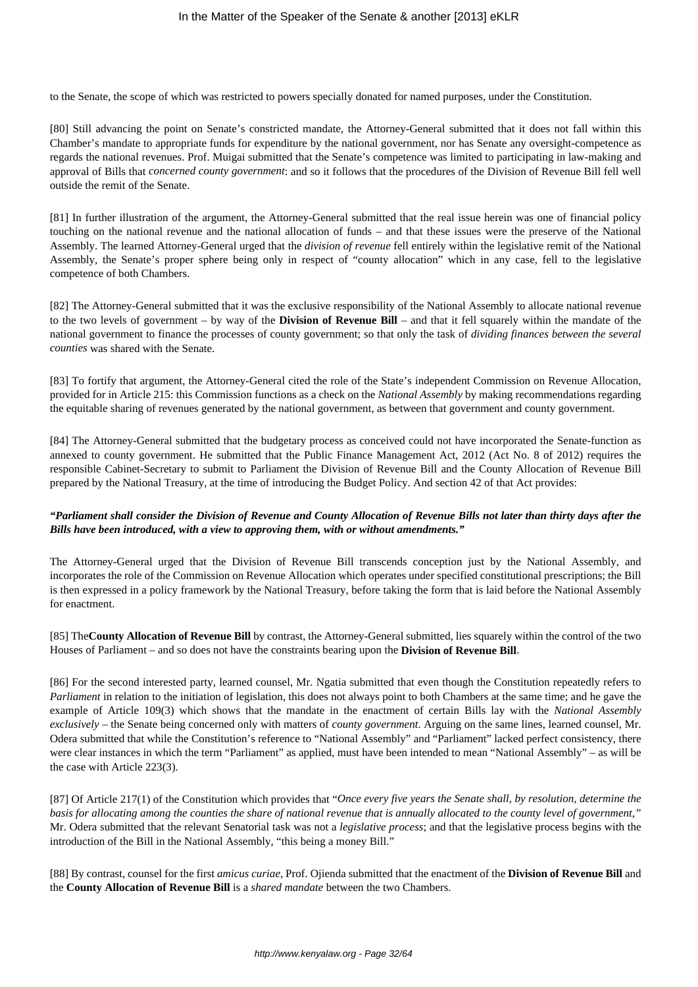to the Senate, the scope of which was restricted to powers specially donated for named purposes, under the Constitution.

[80] Still advancing the point on Senate's constricted mandate, the Attorney-General submitted that it does not fall within this Chamber's mandate to appropriate funds for expenditure by the national government, nor has Senate any oversight-competence as regards the national revenues. Prof. Muigai submitted that the Senate's competence was limited to participating in law-making and approval of Bills that *concerned county government*: and so it follows that the procedures of the Division of Revenue Bill fell well outside the remit of the Senate.

[81] In further illustration of the argument, the Attorney-General submitted that the real issue herein was one of financial policy touching on the national revenue and the national allocation of funds – and that these issues were the preserve of the National Assembly. The learned Attorney-General urged that the *division of revenue* fell entirely within the legislative remit of the National Assembly, the Senate's proper sphere being only in respect of "county allocation" which in any case, fell to the legislative competence of both Chambers.

[82] The Attorney-General submitted that it was the exclusive responsibility of the National Assembly to allocate national revenue to the two levels of government – by way of the **Division of Revenue Bill** – and that it fell squarely within the mandate of the national government to finance the processes of county government; so that only the task of *dividing finances between the several counties* was shared with the Senate.

[83] To fortify that argument, the Attorney-General cited the role of the State's independent Commission on Revenue Allocation, provided for in Article 215: this Commission functions as a check on the *National Assembly* by making recommendations regarding the equitable sharing of revenues generated by the national government, as between that government and county government.

[84] The Attorney-General submitted that the budgetary process as conceived could not have incorporated the Senate-function as annexed to county government. He submitted that the Public Finance Management Act, 2012 (Act No. 8 of 2012) requires the responsible Cabinet-Secretary to submit to Parliament the Division of Revenue Bill and the County Allocation of Revenue Bill prepared by the National Treasury, at the time of introducing the Budget Policy. And section 42 of that Act provides:

# *"Parliament shall consider the Division of Revenue and County Allocation of Revenue Bills not later than thirty days after the Bills have been introduced, with a view to approving them, with or without amendments."*

The Attorney-General urged that the Division of Revenue Bill transcends conception just by the National Assembly, and incorporates the role of the Commission on Revenue Allocation which operates under specified constitutional prescriptions; the Bill is then expressed in a policy framework by the National Treasury, before taking the form that is laid before the National Assembly for enactment.

[85] The**County Allocation of Revenue Bill** by contrast, the Attorney-General submitted, lies squarely within the control of the two Houses of Parliament – and so does not have the constraints bearing upon the **Division of Revenue Bill**.

[86] For the second interested party, learned counsel, Mr. Ngatia submitted that even though the Constitution repeatedly refers to *Parliament* in relation to the initiation of legislation, this does not always point to both Chambers at the same time; and he gave the example of Article 109(3) which shows that the mandate in the enactment of certain Bills lay with the *National Assembly exclusively* – the Senate being concerned only with matters of *county government*. Arguing on the same lines, learned counsel, Mr. Odera submitted that while the Constitution's reference to "National Assembly" and "Parliament" lacked perfect consistency, there were clear instances in which the term "Parliament" as applied, must have been intended to mean "National Assembly" – as will be the case with Article 223(3).

[87] Of Article 217(1) of the Constitution which provides that "*Once every five years the Senate shall, by resolution, determine the basis for allocating among the counties the share of national revenue that is annually allocated to the county level of government,"* Mr. Odera submitted that the relevant Senatorial task was not a *legislative process*; and that the legislative process begins with the introduction of the Bill in the National Assembly, "this being a money Bill."

[88] By contrast, counsel for the first *amicus curiae*, Prof. Ojienda submitted that the enactment of the **Division of Revenue Bill** and the **County Allocation of Revenue Bill** is a *shared mandate* between the two Chambers.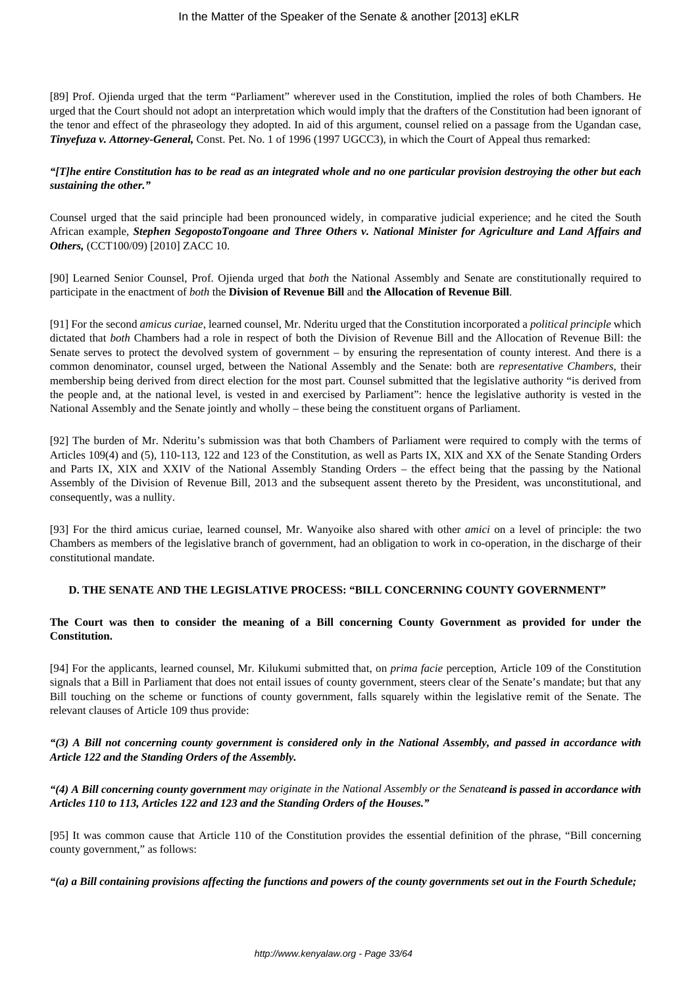[89] Prof. Ojienda urged that the term "Parliament" wherever used in the Constitution, implied the roles of both Chambers. He urged that the Court should not adopt an interpretation which would imply that the drafters of the Constitution had been ignorant of the tenor and effect of the phraseology they adopted. In aid of this argument, counsel relied on a passage from the Ugandan case, *Tinyefuza v. Attorney-General,* Const. Pet. No. 1 of 1996 (1997 UGCC3), in which the Court of Appeal thus remarked:

# *"[T]he entire Constitution has to be read as an integrated whole and no one particular provision destroying the other but each sustaining the other."*

Counsel urged that the said principle had been pronounced widely, in comparative judicial experience; and he cited the South African example, *Stephen SegopostoTongoane and Three Others v. National Minister for Agriculture and Land Affairs and Others,* (CCT100/09) [2010] ZACC 10.

[90] Learned Senior Counsel, Prof. Ojienda urged that *both* the National Assembly and Senate are constitutionally required to participate in the enactment of *both* the **Division of Revenue Bill** and **the Allocation of Revenue Bill**.

[91] For the second *amicus curiae*, learned counsel, Mr. Nderitu urged that the Constitution incorporated a *political principle* which dictated that *both* Chambers had a role in respect of both the Division of Revenue Bill and the Allocation of Revenue Bill: the Senate serves to protect the devolved system of government – by ensuring the representation of county interest. And there is a common denominator, counsel urged, between the National Assembly and the Senate: both are *representative Chambers*, their membership being derived from direct election for the most part. Counsel submitted that the legislative authority "is derived from the people and, at the national level, is vested in and exercised by Parliament": hence the legislative authority is vested in the National Assembly and the Senate jointly and wholly – these being the constituent organs of Parliament.

[92] The burden of Mr. Nderitu's submission was that both Chambers of Parliament were required to comply with the terms of Articles 109(4) and (5), 110-113, 122 and 123 of the Constitution, as well as Parts IX, XIX and XX of the Senate Standing Orders and Parts IX, XIX and XXIV of the National Assembly Standing Orders – the effect being that the passing by the National Assembly of the Division of Revenue Bill, 2013 and the subsequent assent thereto by the President, was unconstitutional, and consequently, was a nullity.

[93] For the third amicus curiae, learned counsel, Mr. Wanyoike also shared with other *amici* on a level of principle: the two Chambers as members of the legislative branch of government, had an obligation to work in co-operation, in the discharge of their constitutional mandate.

## **D. THE SENATE AND THE LEGISLATIVE PROCESS: "BILL CONCERNING COUNTY GOVERNMENT"**

# **The Court was then to consider the meaning of a Bill concerning County Government as provided for under the Constitution.**

[94] For the applicants, learned counsel, Mr. Kilukumi submitted that, on *prima facie* perception, Article 109 of the Constitution signals that a Bill in Parliament that does not entail issues of county government, steers clear of the Senate's mandate; but that any Bill touching on the scheme or functions of county government, falls squarely within the legislative remit of the Senate. The relevant clauses of Article 109 thus provide:

*"(3) A Bill not concerning county government is considered only in the National Assembly, and passed in accordance with Article 122 and the Standing Orders of the Assembly.*

*"(4) A Bill concerning county government may originate in the National Assembly or the Senateand is passed in accordance with Articles 110 to 113, Articles 122 and 123 and the Standing Orders of the Houses."*

[95] It was common cause that Article 110 of the Constitution provides the essential definition of the phrase, "Bill concerning county government," as follows:

*"(a) a Bill containing provisions affecting the functions and powers of the county governments set out in the Fourth Schedule;*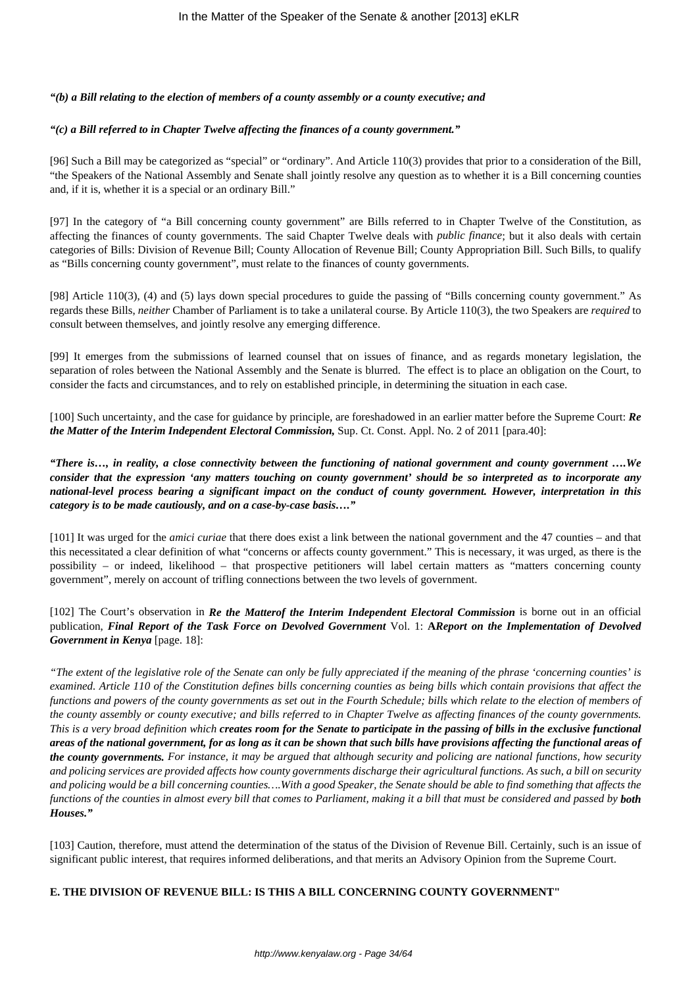# *"(b) a Bill relating to the election of members of a county assembly or a county executive; and*

# *"(c) a Bill referred to in Chapter Twelve affecting the finances of a county government."*

[96] Such a Bill may be categorized as "special" or "ordinary". And Article 110(3) provides that prior to a consideration of the Bill, "the Speakers of the National Assembly and Senate shall jointly resolve any question as to whether it is a Bill concerning counties and, if it is, whether it is a special or an ordinary Bill."

[97] In the category of "a Bill concerning county government" are Bills referred to in Chapter Twelve of the Constitution, as affecting the finances of county governments. The said Chapter Twelve deals with *public finance*; but it also deals with certain categories of Bills: Division of Revenue Bill; County Allocation of Revenue Bill; County Appropriation Bill. Such Bills, to qualify as "Bills concerning county government", must relate to the finances of county governments.

[98] Article 110(3), (4) and (5) lays down special procedures to guide the passing of "Bills concerning county government." As regards these Bills, *neither* Chamber of Parliament is to take a unilateral course. By Article 110(3), the two Speakers are *required* to consult between themselves, and jointly resolve any emerging difference.

[99] It emerges from the submissions of learned counsel that on issues of finance, and as regards monetary legislation, the separation of roles between the National Assembly and the Senate is blurred. The effect is to place an obligation on the Court, to consider the facts and circumstances, and to rely on established principle, in determining the situation in each case.

[100] Such uncertainty, and the case for guidance by principle, are foreshadowed in an earlier matter before the Supreme Court: *Re the Matter of the Interim Independent Electoral Commission,* Sup. Ct. Const. Appl. No. 2 of 2011 [para.40]:

*"There is…, in reality, a close connectivity between the functioning of national government and county government ….We consider that the expression 'any matters touching on county government' should be so interpreted as to incorporate any national-level process bearing a significant impact on the conduct of county government. However, interpretation in this category is to be made cautiously, and on a case-by-case basis…."*

[101] It was urged for the *amici curiae* that there does exist a link between the national government and the 47 counties – and that this necessitated a clear definition of what "concerns or affects county government." This is necessary, it was urged, as there is the possibility – or indeed, likelihood – that prospective petitioners will label certain matters as "matters concerning county government", merely on account of trifling connections between the two levels of government.

[102] The Court's observation in *Re the Matterof the Interim Independent Electoral Commission* is borne out in an official publication, *Final Report of the Task Force on Devolved Government* Vol. 1: **A***Report on the Implementation of Devolved Government in Kenya* [page. 18]:

*"The extent of the legislative role of the Senate can only be fully appreciated if the meaning of the phrase 'concerning counties' is examined. Article 110 of the Constitution defines bills concerning counties as being bills which contain provisions that affect the functions and powers of the county governments as set out in the Fourth Schedule; bills which relate to the election of members of the county assembly or county executive; and bills referred to in Chapter Twelve as affecting finances of the county governments. This is a very broad definition which creates room for the Senate to participate in the passing of bills in the exclusive functional areas of the national government, for as long as it can be shown that such bills have provisions affecting the functional areas of the county governments. For instance, it may be argued that although security and policing are national functions, how security and policing services are provided affects how county governments discharge their agricultural functions. As such, a bill on security and policing would be a bill concerning counties….With a good Speaker, the Senate should be able to find something that affects the functions of the counties in almost every bill that comes to Parliament, making it a bill that must be considered and passed by both Houses."*

[103] Caution, therefore, must attend the determination of the status of the Division of Revenue Bill. Certainly, such is an issue of significant public interest, that requires informed deliberations, and that merits an Advisory Opinion from the Supreme Court.

# **E. THE DIVISION OF REVENUE BILL: IS THIS A BILL CONCERNING COUNTY GOVERNMENT"**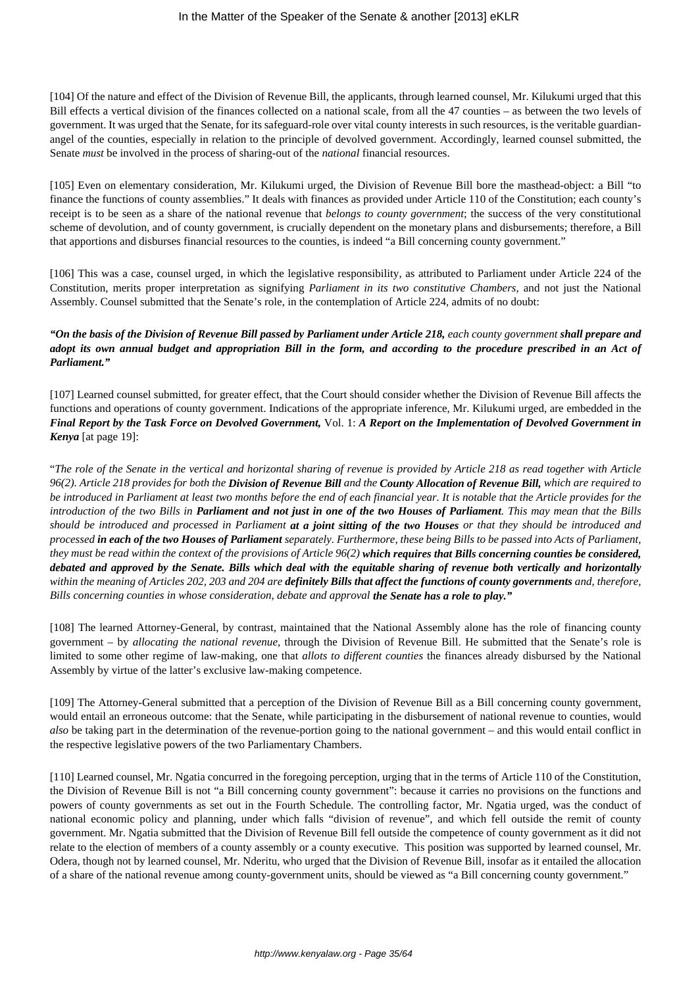[104] Of the nature and effect of the Division of Revenue Bill, the applicants, through learned counsel, Mr. Kilukumi urged that this Bill effects a vertical division of the finances collected on a national scale, from all the 47 counties – as between the two levels of government. It was urged that the Senate, for its safeguard-role over vital county interests in such resources, is the veritable guardianangel of the counties, especially in relation to the principle of devolved government. Accordingly, learned counsel submitted, the Senate *must* be involved in the process of sharing-out of the *national* financial resources.

[105] Even on elementary consideration, Mr. Kilukumi urged, the Division of Revenue Bill bore the masthead-object: a Bill "to finance the functions of county assemblies." It deals with finances as provided under Article 110 of the Constitution; each county's receipt is to be seen as a share of the national revenue that *belongs to county government*; the success of the very constitutional scheme of devolution, and of county government, is crucially dependent on the monetary plans and disbursements; therefore, a Bill that apportions and disburses financial resources to the counties, is indeed "a Bill concerning county government."

[106] This was a case, counsel urged, in which the legislative responsibility, as attributed to Parliament under Article 224 of the Constitution, merits proper interpretation as signifying *Parliament in its two constitutive Chambers,* and not just the National Assembly. Counsel submitted that the Senate's role, in the contemplation of Article 224, admits of no doubt:

# *"On the basis of the Division of Revenue Bill passed by Parliament under Article 218, each county government shall prepare and adopt its own annual budget and appropriation Bill in the form, and according to the procedure prescribed in an Act of Parliament."*

[107] Learned counsel submitted, for greater effect, that the Court should consider whether the Division of Revenue Bill affects the functions and operations of county government. Indications of the appropriate inference, Mr. Kilukumi urged, are embedded in the *Final Report by the Task Force on Devolved Government,* Vol. 1: *A Report on the Implementation of Devolved Government in Kenya* [at page 19]:

"*The role of the Senate in the vertical and horizontal sharing of revenue is provided by Article 218 as read together with Article 96(2). Article 218 provides for both the Division of Revenue Bill and the County Allocation of Revenue Bill, which are required to be introduced in Parliament at least two months before the end of each financial year. It is notable that the Article provides for the introduction of the two Bills in Parliament and not just in one of the two Houses of Parliament. This may mean that the Bills should be introduced and processed in Parliament at a joint sitting of the two Houses or that they should be introduced and processed in each of the two Houses of Parliament separately. Furthermore, these being Bills to be passed into Acts of Parliament, they must be read within the context of the provisions of Article 96(2) which requires that Bills concerning counties be considered, debated and approved by the Senate. Bills which deal with the equitable sharing of revenue both vertically and horizontally within the meaning of Articles 202, 203 and 204 are definitely Bills that affect the functions of county governments and, therefore, Bills concerning counties in whose consideration, debate and approval the Senate has a role to play."*

[108] The learned Attorney-General, by contrast, maintained that the National Assembly alone has the role of financing county government – by *allocating the national revenue,* through the Division of Revenue Bill. He submitted that the Senate's role is limited to some other regime of law-making, one that *allots to different counties* the finances already disbursed by the National Assembly by virtue of the latter's exclusive law-making competence.

[109] The Attorney-General submitted that a perception of the Division of Revenue Bill as a Bill concerning county government, would entail an erroneous outcome: that the Senate, while participating in the disbursement of national revenue to counties, would *also* be taking part in the determination of the revenue-portion going to the national government – and this would entail conflict in the respective legislative powers of the two Parliamentary Chambers.

[110] Learned counsel, Mr. Ngatia concurred in the foregoing perception, urging that in the terms of Article 110 of the Constitution, the Division of Revenue Bill is not "a Bill concerning county government": because it carries no provisions on the functions and powers of county governments as set out in the Fourth Schedule. The controlling factor, Mr. Ngatia urged, was the conduct of national economic policy and planning, under which falls "division of revenue", and which fell outside the remit of county government. Mr. Ngatia submitted that the Division of Revenue Bill fell outside the competence of county government as it did not relate to the election of members of a county assembly or a county executive. This position was supported by learned counsel, Mr. Odera, though not by learned counsel, Mr. Nderitu, who urged that the Division of Revenue Bill, insofar as it entailed the allocation of a share of the national revenue among county-government units, should be viewed as "a Bill concerning county government."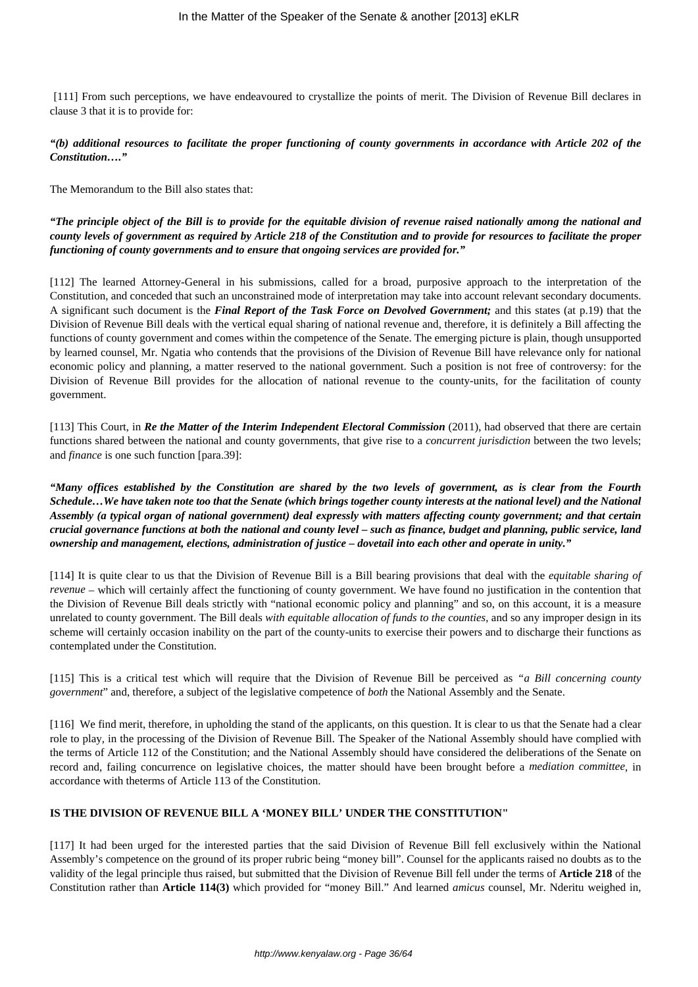[111] From such perceptions, we have endeavoured to crystallize the points of merit. The Division of Revenue Bill declares in clause 3 that it is to provide for:

*"(b) additional resources to facilitate the proper functioning of county governments in accordance with Article 202 of the Constitution…."*

The Memorandum to the Bill also states that:

*"The principle object of the Bill is to provide for the equitable division of revenue raised nationally among the national and county levels of government as required by Article 218 of the Constitution and to provide for resources to facilitate the proper functioning of county governments and to ensure that ongoing services are provided for."*

[112] The learned Attorney-General in his submissions, called for a broad, purposive approach to the interpretation of the Constitution, and conceded that such an unconstrained mode of interpretation may take into account relevant secondary documents. A significant such document is the *Final Report of the Task Force on Devolved Government;* and this states (at p.19) that the Division of Revenue Bill deals with the vertical equal sharing of national revenue and, therefore, it is definitely a Bill affecting the functions of county government and comes within the competence of the Senate. The emerging picture is plain, though unsupported by learned counsel, Mr. Ngatia who contends that the provisions of the Division of Revenue Bill have relevance only for national economic policy and planning, a matter reserved to the national government. Such a position is not free of controversy: for the Division of Revenue Bill provides for the allocation of national revenue to the county-units, for the facilitation of county government.

[113] This Court, in *Re the Matter of the Interim Independent Electoral Commission* (2011), had observed that there are certain functions shared between the national and county governments, that give rise to a *concurrent jurisdiction* between the two levels; and *finance* is one such function [para.39]:

*"Many offices established by the Constitution are shared by the two levels of government, as is clear from the Fourth Schedule…We have taken note too that the Senate (which brings together county interests at the national level) and the National Assembly (a typical organ of national government) deal expressly with matters affecting county government; and that certain crucial governance functions at both the national and county level – such as finance, budget and planning, public service, land ownership and management, elections, administration of justice – dovetail into each other and operate in unity."*

[114] It is quite clear to us that the Division of Revenue Bill is a Bill bearing provisions that deal with the *equitable sharing of revenue* – which will certainly affect the functioning of county government. We have found no justification in the contention that the Division of Revenue Bill deals strictly with "national economic policy and planning" and so, on this account, it is a measure unrelated to county government. The Bill deals *with equitable allocation of funds to the counties*, and so any improper design in its scheme will certainly occasion inability on the part of the county-units to exercise their powers and to discharge their functions as contemplated under the Constitution.

[115] This is a critical test which will require that the Division of Revenue Bill be perceived as *"a Bill concerning county government*" and, therefore, a subject of the legislative competence of *both* the National Assembly and the Senate.

[116] We find merit, therefore, in upholding the stand of the applicants, on this question. It is clear to us that the Senate had a clear role to play, in the processing of the Division of Revenue Bill. The Speaker of the National Assembly should have complied with the terms of Article 112 of the Constitution; and the National Assembly should have considered the deliberations of the Senate on record and, failing concurrence on legislative choices, the matter should have been brought before a *mediation committee*, in accordance with theterms of Article 113 of the Constitution.

# **IS THE DIVISION OF REVENUE BILL A 'MONEY BILL' UNDER THE CONSTITUTION"**

[117] It had been urged for the interested parties that the said Division of Revenue Bill fell exclusively within the National Assembly's competence on the ground of its proper rubric being "money bill". Counsel for the applicants raised no doubts as to the validity of the legal principle thus raised, but submitted that the Division of Revenue Bill fell under the terms of **Article 218** of the Constitution rather than **Article 114(3)** which provided for "money Bill." And learned *amicus* counsel, Mr. Nderitu weighed in,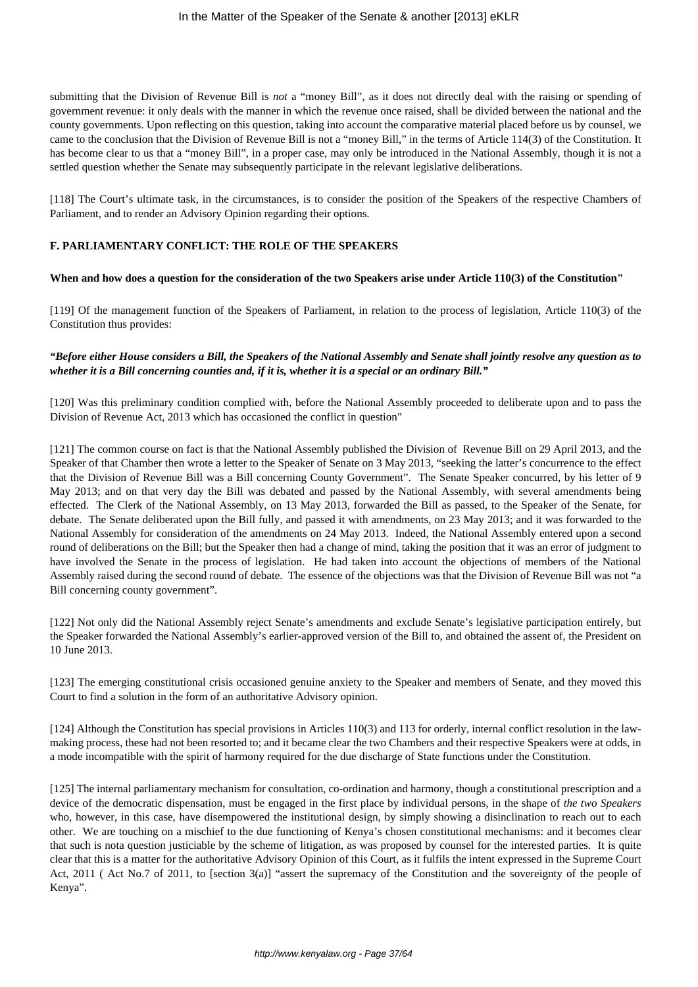submitting that the Division of Revenue Bill is *not* a "money Bill", as it does not directly deal with the raising or spending of government revenue: it only deals with the manner in which the revenue once raised, shall be divided between the national and the county governments. Upon reflecting on this question, taking into account the comparative material placed before us by counsel, we came to the conclusion that the Division of Revenue Bill is not a "money Bill," in the terms of Article 114(3) of the Constitution. It has become clear to us that a "money Bill", in a proper case, may only be introduced in the National Assembly, though it is not a settled question whether the Senate may subsequently participate in the relevant legislative deliberations.

[118] The Court's ultimate task, in the circumstances, is to consider the position of the Speakers of the respective Chambers of Parliament, and to render an Advisory Opinion regarding their options.

# **F. PARLIAMENTARY CONFLICT: THE ROLE OF THE SPEAKERS**

#### **When and how does a question for the consideration of the two Speakers arise under Article 110(3) of the Constitution"**

[119] Of the management function of the Speakers of Parliament, in relation to the process of legislation, Article 110(3) of the Constitution thus provides:

#### *"Before either House considers a Bill, the Speakers of the National Assembly and Senate shall jointly resolve any question as to whether it is a Bill concerning counties and, if it is, whether it is a special or an ordinary Bill."*

[120] Was this preliminary condition complied with, before the National Assembly proceeded to deliberate upon and to pass the Division of Revenue Act, 2013 which has occasioned the conflict in question"

[121] The common course on fact is that the National Assembly published the Division of Revenue Bill on 29 April 2013, and the Speaker of that Chamber then wrote a letter to the Speaker of Senate on 3 May 2013, "seeking the latter's concurrence to the effect that the Division of Revenue Bill was a Bill concerning County Government". The Senate Speaker concurred, by his letter of 9 May 2013; and on that very day the Bill was debated and passed by the National Assembly, with several amendments being effected. The Clerk of the National Assembly, on 13 May 2013, forwarded the Bill as passed, to the Speaker of the Senate, for debate. The Senate deliberated upon the Bill fully, and passed it with amendments, on 23 May 2013; and it was forwarded to the National Assembly for consideration of the amendments on 24 May 2013. Indeed, the National Assembly entered upon a second round of deliberations on the Bill; but the Speaker then had a change of mind, taking the position that it was an error of judgment to have involved the Senate in the process of legislation. He had taken into account the objections of members of the National Assembly raised during the second round of debate. The essence of the objections was that the Division of Revenue Bill was not "a Bill concerning county government".

[122] Not only did the National Assembly reject Senate's amendments and exclude Senate's legislative participation entirely, but the Speaker forwarded the National Assembly's earlier-approved version of the Bill to, and obtained the assent of, the President on 10 June 2013.

[123] The emerging constitutional crisis occasioned genuine anxiety to the Speaker and members of Senate, and they moved this Court to find a solution in the form of an authoritative Advisory opinion.

[124] Although the Constitution has special provisions in Articles 110(3) and 113 for orderly, internal conflict resolution in the lawmaking process, these had not been resorted to; and it became clear the two Chambers and their respective Speakers were at odds, in a mode incompatible with the spirit of harmony required for the due discharge of State functions under the Constitution.

[125] The internal parliamentary mechanism for consultation, co-ordination and harmony, though a constitutional prescription and a device of the democratic dispensation, must be engaged in the first place by individual persons, in the shape of *the two Speakers* who, however, in this case, have disempowered the institutional design, by simply showing a disinclination to reach out to each other. We are touching on a mischief to the due functioning of Kenya's chosen constitutional mechanisms: and it becomes clear that such is nota question justiciable by the scheme of litigation, as was proposed by counsel for the interested parties. It is quite clear that this is a matter for the authoritative Advisory Opinion of this Court, as it fulfils the intent expressed in the Supreme Court Act, 2011 ( Act No.7 of 2011, to [section 3(a)] "assert the supremacy of the Constitution and the sovereignty of the people of Kenya".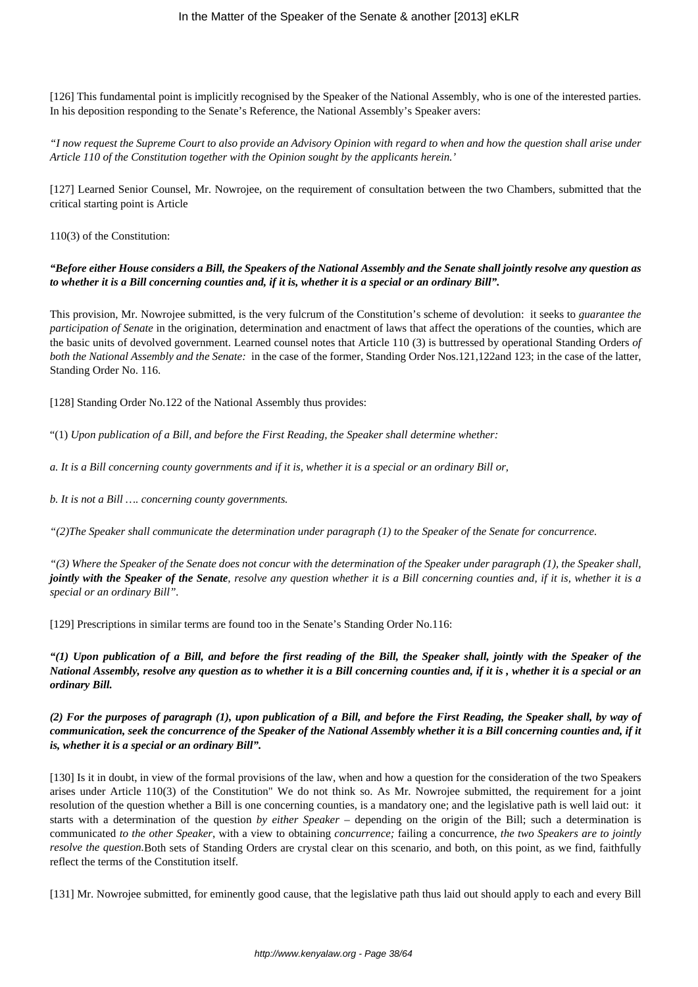[126] This fundamental point is implicitly recognised by the Speaker of the National Assembly, who is one of the interested parties. In his deposition responding to the Senate's Reference, the National Assembly's Speaker avers:

*"I now request the Supreme Court to also provide an Advisory Opinion with regard to when and how the question shall arise under Article 110 of the Constitution together with the Opinion sought by the applicants herein.'*

[127] Learned Senior Counsel, Mr. Nowrojee, on the requirement of consultation between the two Chambers, submitted that the critical starting point is Article

110(3) of the Constitution:

*"Before either House considers a Bill, the Speakers of the National Assembly and the Senate shall jointly resolve any question as to whether it is a Bill concerning counties and, if it is, whether it is a special or an ordinary Bill".*

This provision, Mr. Nowrojee submitted, is the very fulcrum of the Constitution's scheme of devolution: it seeks to *guarantee the participation of Senate* in the origination, determination and enactment of laws that affect the operations of the counties, which are the basic units of devolved government. Learned counsel notes that Article 110 (3) is buttressed by operational Standing Orders *of both the National Assembly and the Senate:* in the case of the former, Standing Order Nos.121,122and 123; in the case of the latter, Standing Order No. 116.

[128] Standing Order No.122 of the National Assembly thus provides:

"(1) *Upon publication of a Bill, and before the First Reading, the Speaker shall determine whether:* 

*a. It is a Bill concerning county governments and if it is, whether it is a special or an ordinary Bill or,*

*b. It is not a Bill …. concerning county governments.*

*"(2)The Speaker shall communicate the determination under paragraph (1) to the Speaker of the Senate for concurrence.*

*"(3) Where the Speaker of the Senate does not concur with the determination of the Speaker under paragraph (1), the Speaker shall, jointly with the Speaker of the Senate, resolve any question whether it is a Bill concerning counties and, if it is, whether it is a special or an ordinary Bill".*

[129] Prescriptions in similar terms are found too in the Senate's Standing Order No.116:

*"(1) Upon publication of a Bill, and before the first reading of the Bill, the Speaker shall, jointly with the Speaker of the National Assembly, resolve any question as to whether it is a Bill concerning counties and, if it is , whether it is a special or an ordinary Bill.*

*(2) For the purposes of paragraph (1), upon publication of a Bill, and before the First Reading, the Speaker shall, by way of communication, seek the concurrence of the Speaker of the National Assembly whether it is a Bill concerning counties and, if it is, whether it is a special or an ordinary Bill".*

[130] Is it in doubt, in view of the formal provisions of the law, when and how a question for the consideration of the two Speakers arises under Article 110(3) of the Constitution" We do not think so. As Mr. Nowrojee submitted, the requirement for a joint resolution of the question whether a Bill is one concerning counties, is a mandatory one; and the legislative path is well laid out: it starts with a determination of the question *by either Speaker* – depending on the origin of the Bill; such a determination is communicated *to the other Speaker*, with a view to obtaining *concurrence;* failing a concurrence, *the two Speakers are to jointly resolve the question.*Both sets of Standing Orders are crystal clear on this scenario, and both, on this point, as we find, faithfully reflect the terms of the Constitution itself.

[131] Mr. Nowrojee submitted, for eminently good cause, that the legislative path thus laid out should apply to each and every Bill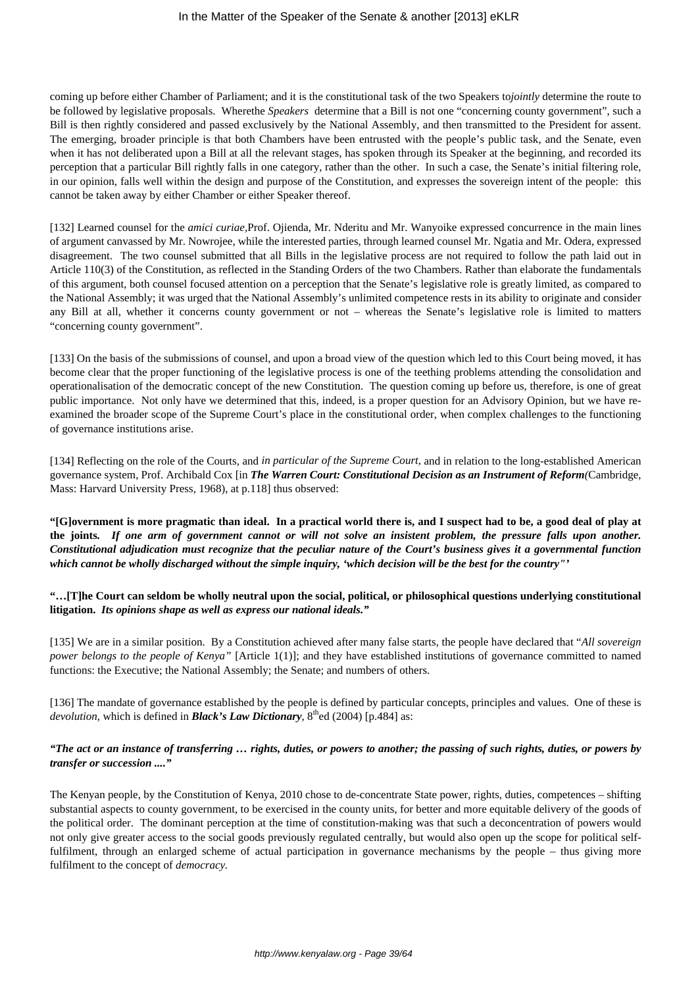coming up before either Chamber of Parliament; and it is the constitutional task of the two Speakers to*jointly* determine the route to be followed by legislative proposals. Wherethe *Speakers* determine that a Bill is not one "concerning county government", such a Bill is then rightly considered and passed exclusively by the National Assembly, and then transmitted to the President for assent. The emerging, broader principle is that both Chambers have been entrusted with the people's public task, and the Senate, even when it has not deliberated upon a Bill at all the relevant stages, has spoken through its Speaker at the beginning, and recorded its perception that a particular Bill rightly falls in one category, rather than the other. In such a case, the Senate's initial filtering role, in our opinion, falls well within the design and purpose of the Constitution, and expresses the sovereign intent of the people: this cannot be taken away by either Chamber or either Speaker thereof.

[132] Learned counsel for the *amici curiae,*Prof. Ojienda, Mr. Nderitu and Mr. Wanyoike expressed concurrence in the main lines of argument canvassed by Mr. Nowrojee, while the interested parties, through learned counsel Mr. Ngatia and Mr. Odera, expressed disagreement. The two counsel submitted that all Bills in the legislative process are not required to follow the path laid out in Article 110(3) of the Constitution, as reflected in the Standing Orders of the two Chambers. Rather than elaborate the fundamentals of this argument, both counsel focused attention on a perception that the Senate's legislative role is greatly limited, as compared to the National Assembly; it was urged that the National Assembly's unlimited competence rests in its ability to originate and consider any Bill at all, whether it concerns county government or not – whereas the Senate's legislative role is limited to matters "concerning county government".

[133] On the basis of the submissions of counsel, and upon a broad view of the question which led to this Court being moved, it has become clear that the proper functioning of the legislative process is one of the teething problems attending the consolidation and operationalisation of the democratic concept of the new Constitution. The question coming up before us, therefore, is one of great public importance. Not only have we determined that this, indeed, is a proper question for an Advisory Opinion, but we have reexamined the broader scope of the Supreme Court's place in the constitutional order, when complex challenges to the functioning of governance institutions arise.

[134] Reflecting on the role of the Courts, and *in particular of the Supreme Court,* and in relation to the long-established American governance system, Prof. Archibald Cox [in *The Warren Court: Constitutional Decision as an Instrument of Reform(*Cambridge, Mass: Harvard University Press, 1968), at p.118] thus observed:

**"[G]overnment is more pragmatic than ideal. In a practical world there is, and I suspect had to be, a good deal of play at the joints***. If one arm of government cannot or will not solve an insistent problem, the pressure falls upon another. Constitutional adjudication must recognize that the peculiar nature of the Court's business gives it a governmental function which cannot be wholly discharged without the simple inquiry, 'which decision will be the best for the country"'*

# **"…[T]he Court can seldom be wholly neutral upon the social, political, or philosophical questions underlying constitutional litigation.** *Its opinions shape as well as express our national ideals."*

[135] We are in a similar position. By a Constitution achieved after many false starts, the people have declared that "*All sovereign power belongs to the people of Kenya"* [Article 1(1)]; and they have established institutions of governance committed to named functions: the Executive; the National Assembly; the Senate; and numbers of others.

[136] The mandate of governance established by the people is defined by particular concepts, principles and values. One of these is *devolution,* which is defined in *Black's Law Dictionary*, 8<sup>th</sup>ed (2004) [p.484] as:

# *"The act or an instance of transferring … rights, duties, or powers to another; the passing of such rights, duties, or powers by transfer or succession ...."*

The Kenyan people, by the Constitution of Kenya, 2010 chose to de-concentrate State power, rights, duties, competences – shifting substantial aspects to county government, to be exercised in the county units, for better and more equitable delivery of the goods of the political order. The dominant perception at the time of constitution-making was that such a deconcentration of powers would not only give greater access to the social goods previously regulated centrally, but would also open up the scope for political selffulfilment, through an enlarged scheme of actual participation in governance mechanisms by the people – thus giving more fulfilment to the concept of *democracy.*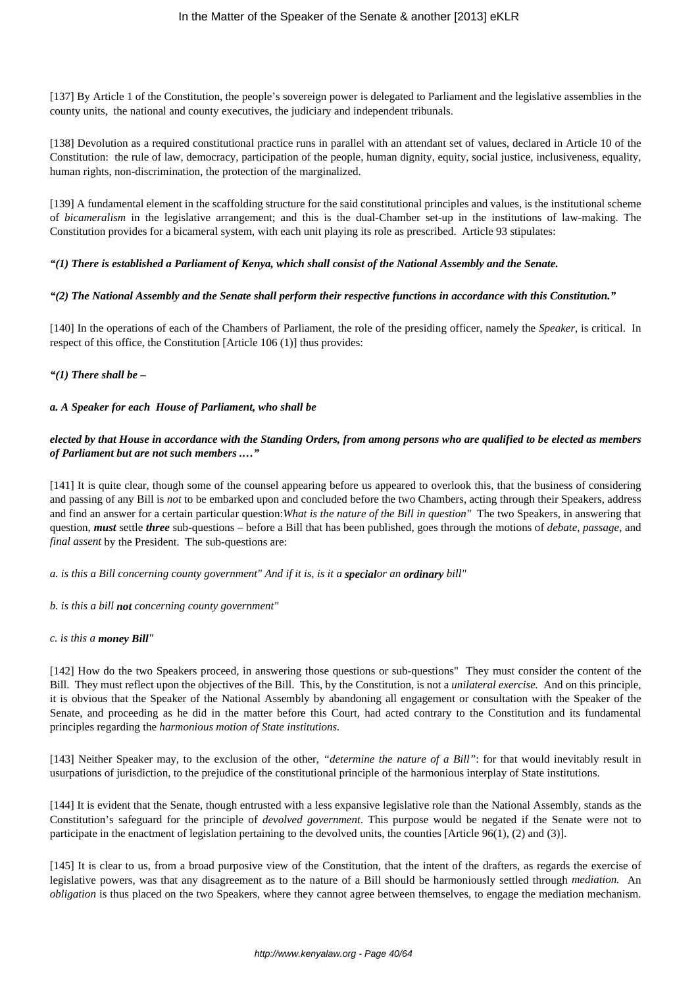[137] By Article 1 of the Constitution, the people's sovereign power is delegated to Parliament and the legislative assemblies in the county units, the national and county executives, the judiciary and independent tribunals.

[138] Devolution as a required constitutional practice runs in parallel with an attendant set of values, declared in Article 10 of the Constitution: the rule of law, democracy, participation of the people, human dignity, equity, social justice, inclusiveness, equality, human rights, non-discrimination, the protection of the marginalized.

[139] A fundamental element in the scaffolding structure for the said constitutional principles and values, is the institutional scheme of *bicameralism* in the legislative arrangement; and this is the dual-Chamber set-up in the institutions of law-making. The Constitution provides for a bicameral system, with each unit playing its role as prescribed. Article 93 stipulates:

# *"(1) There is established a Parliament of Kenya, which shall consist of the National Assembly and the Senate.*

# *"(2) The National Assembly and the Senate shall perform their respective functions in accordance with this Constitution."*

[140] In the operations of each of the Chambers of Parliament, the role of the presiding officer, namely the *Speaker*, is critical. In respect of this office, the Constitution [Article 106 (1)] thus provides:

# *"(1) There shall be –*

# *a. A Speaker for each House of Parliament, who shall be*

# *elected by that House in accordance with the Standing Orders, from among persons who are qualified to be elected as members of Parliament but are not such members .…"*

[141] It is quite clear, though some of the counsel appearing before us appeared to overlook this, that the business of considering and passing of any Bill is *not* to be embarked upon and concluded before the two Chambers, acting through their Speakers, address and find an answer for a certain particular question:*What is the nature of the Bill in question"* The two Speakers, in answering that question, *must* settle *three* sub-questions – before a Bill that has been published, goes through the motions of *debate*, *passage*, and *final assent* by the President. The sub-questions are:

*a. is this a Bill concerning county government" And if it is, is it a specialor an ordinary bill"*

*b. is this a bill not concerning county government"*

## *c. is this a money Bill"*

[142] How do the two Speakers proceed, in answering those questions or sub-questions" They must consider the content of the Bill. They must reflect upon the objectives of the Bill. This, by the Constitution, is not a *unilateral exercise.* And on this principle, it is obvious that the Speaker of the National Assembly by abandoning all engagement or consultation with the Speaker of the Senate, and proceeding as he did in the matter before this Court, had acted contrary to the Constitution and its fundamental principles regarding the *harmonious motion of State institutions.*

[143] Neither Speaker may, to the exclusion of the other, *"determine the nature of a Bill"*: for that would inevitably result in usurpations of jurisdiction, to the prejudice of the constitutional principle of the harmonious interplay of State institutions.

[144] It is evident that the Senate, though entrusted with a less expansive legislative role than the National Assembly, stands as the Constitution's safeguard for the principle of *devolved government*. This purpose would be negated if the Senate were not to participate in the enactment of legislation pertaining to the devolved units, the counties [Article 96(1), (2) and (3)].

[145] It is clear to us, from a broad purposive view of the Constitution, that the intent of the drafters, as regards the exercise of legislative powers, was that any disagreement as to the nature of a Bill should be harmoniously settled through *mediation.* An *obligation* is thus placed on the two Speakers, where they cannot agree between themselves, to engage the mediation mechanism.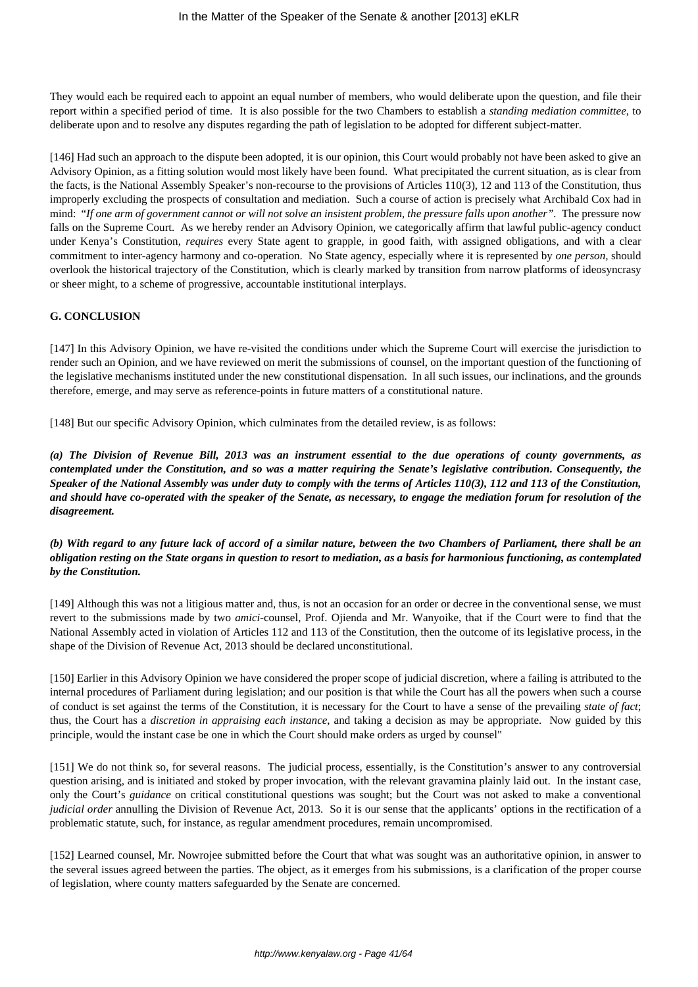They would each be required each to appoint an equal number of members, who would deliberate upon the question, and file their report within a specified period of time. It is also possible for the two Chambers to establish a *standing mediation committee*, to deliberate upon and to resolve any disputes regarding the path of legislation to be adopted for different subject-matter.

[146] Had such an approach to the dispute been adopted, it is our opinion, this Court would probably not have been asked to give an Advisory Opinion, as a fitting solution would most likely have been found. What precipitated the current situation, as is clear from the facts, is the National Assembly Speaker's non-recourse to the provisions of Articles 110(3), 12 and 113 of the Constitution, thus improperly excluding the prospects of consultation and mediation. Such a course of action is precisely what Archibald Cox had in mind: "*If one arm of government cannot or will not solve an insistent problem, the pressure falls upon another".* The pressure now falls on the Supreme Court. As we hereby render an Advisory Opinion, we categorically affirm that lawful public-agency conduct under Kenya's Constitution, *requires* every State agent to grapple, in good faith, with assigned obligations, and with a clear commitment to inter-agency harmony and co-operation. No State agency, especially where it is represented by *one person,* should overlook the historical trajectory of the Constitution, which is clearly marked by transition from narrow platforms of ideosyncrasy or sheer might, to a scheme of progressive, accountable institutional interplays.

## **G. CONCLUSION**

[147] In this Advisory Opinion, we have re-visited the conditions under which the Supreme Court will exercise the jurisdiction to render such an Opinion, and we have reviewed on merit the submissions of counsel, on the important question of the functioning of the legislative mechanisms instituted under the new constitutional dispensation. In all such issues, our inclinations, and the grounds therefore, emerge, and may serve as reference-points in future matters of a constitutional nature.

[148] But our specific Advisory Opinion, which culminates from the detailed review, is as follows:

*(a) The Division of Revenue Bill, 2013 was an instrument essential to the due operations of county governments, as contemplated under the Constitution, and so was a matter requiring the Senate's legislative contribution. Consequently, the Speaker of the National Assembly was under duty to comply with the terms of Articles 110(3), 112 and 113 of the Constitution, and should have co-operated with the speaker of the Senate, as necessary, to engage the mediation forum for resolution of the disagreement.*

*(b) With regard to any future lack of accord of a similar nature, between the two Chambers of Parliament, there shall be an obligation resting on the State organs in question to resort to mediation, as a basis for harmonious functioning, as contemplated by the Constitution.*

[149] Although this was not a litigious matter and, thus, is not an occasion for an order or decree in the conventional sense, we must revert to the submissions made by two *amici*-counsel, Prof. Ojienda and Mr. Wanyoike, that if the Court were to find that the National Assembly acted in violation of Articles 112 and 113 of the Constitution, then the outcome of its legislative process, in the shape of the Division of Revenue Act, 2013 should be declared unconstitutional.

[150] Earlier in this Advisory Opinion we have considered the proper scope of judicial discretion, where a failing is attributed to the internal procedures of Parliament during legislation; and our position is that while the Court has all the powers when such a course of conduct is set against the terms of the Constitution, it is necessary for the Court to have a sense of the prevailing *state of fact*; thus, the Court has a *discretion in appraising each instance*, and taking a decision as may be appropriate. Now guided by this principle, would the instant case be one in which the Court should make orders as urged by counsel"

[151] We do not think so, for several reasons. The judicial process, essentially, is the Constitution's answer to any controversial question arising, and is initiated and stoked by proper invocation, with the relevant gravamina plainly laid out. In the instant case, only the Court's *guidance* on critical constitutional questions was sought; but the Court was not asked to make a conventional *judicial order* annulling the Division of Revenue Act, 2013. So it is our sense that the applicants' options in the rectification of a problematic statute, such, for instance, as regular amendment procedures, remain uncompromised.

[152] Learned counsel, Mr. Nowrojee submitted before the Court that what was sought was an authoritative opinion, in answer to the several issues agreed between the parties. The object, as it emerges from his submissions, is a clarification of the proper course of legislation, where county matters safeguarded by the Senate are concerned.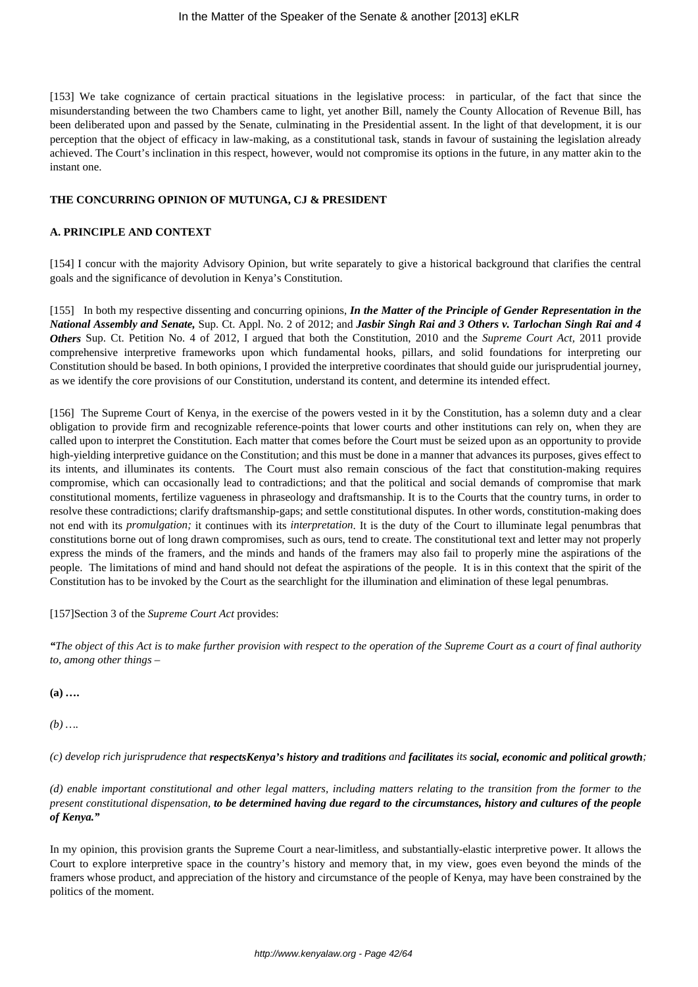[153] We take cognizance of certain practical situations in the legislative process: in particular, of the fact that since the misunderstanding between the two Chambers came to light, yet another Bill, namely the County Allocation of Revenue Bill, has been deliberated upon and passed by the Senate, culminating in the Presidential assent. In the light of that development, it is our perception that the object of efficacy in law-making, as a constitutional task, stands in favour of sustaining the legislation already achieved. The Court's inclination in this respect, however, would not compromise its options in the future, in any matter akin to the instant one.

#### **THE CONCURRING OPINION OF MUTUNGA, CJ & PRESIDENT**

#### **A. PRINCIPLE AND CONTEXT**

[154] I concur with the majority Advisory Opinion, but write separately to give a historical background that clarifies the central goals and the significance of devolution in Kenya's Constitution.

[155] In both my respective dissenting and concurring opinions, *In the Matter of the Principle of Gender Representation in the National Assembly and Senate,* Sup. Ct. Appl. No. 2 of 2012; and *Jasbir Singh Rai and 3 Others v. Tarlochan Singh Rai and 4 Others* Sup. Ct. Petition No. 4 of 2012, I argued that both the Constitution, 2010 and the *Supreme Court Act,* 2011 provide comprehensive interpretive frameworks upon which fundamental hooks, pillars, and solid foundations for interpreting our Constitution should be based. In both opinions, I provided the interpretive coordinates that should guide our jurisprudential journey, as we identify the core provisions of our Constitution, understand its content, and determine its intended effect.

[156] The Supreme Court of Kenya, in the exercise of the powers vested in it by the Constitution, has a solemn duty and a clear obligation to provide firm and recognizable reference-points that lower courts and other institutions can rely on, when they are called upon to interpret the Constitution. Each matter that comes before the Court must be seized upon as an opportunity to provide high-yielding interpretive guidance on the Constitution; and this must be done in a manner that advances its purposes, gives effect to its intents, and illuminates its contents. The Court must also remain conscious of the fact that constitution-making requires compromise, which can occasionally lead to contradictions; and that the political and social demands of compromise that mark constitutional moments, fertilize vagueness in phraseology and draftsmanship. It is to the Courts that the country turns, in order to resolve these contradictions; clarify draftsmanship-gaps; and settle constitutional disputes. In other words, constitution-making does not end with its *promulgation;* it continues with its *interpretation*. It is the duty of the Court to illuminate legal penumbras that constitutions borne out of long drawn compromises, such as ours, tend to create. The constitutional text and letter may not properly express the minds of the framers, and the minds and hands of the framers may also fail to properly mine the aspirations of the people. The limitations of mind and hand should not defeat the aspirations of the people. It is in this context that the spirit of the Constitution has to be invoked by the Court as the searchlight for the illumination and elimination of these legal penumbras.

[157]Section 3 of the *Supreme Court Act* provides:

*"The object of this Act is to make further provision with respect to the operation of the Supreme Court as a court of final authority to, among other things –* 

**(a)** *….*

*(b) ….*

*(c) develop rich jurisprudence that respectsKenya's history and traditions and facilitates its social, economic and political growth;*

*(d) enable important constitutional and other legal matters, including matters relating to the transition from the former to the present constitutional dispensation, to be determined having due regard to the circumstances, history and cultures of the people of Kenya."*

In my opinion, this provision grants the Supreme Court a near-limitless, and substantially-elastic interpretive power. It allows the Court to explore interpretive space in the country's history and memory that, in my view, goes even beyond the minds of the framers whose product, and appreciation of the history and circumstance of the people of Kenya, may have been constrained by the politics of the moment.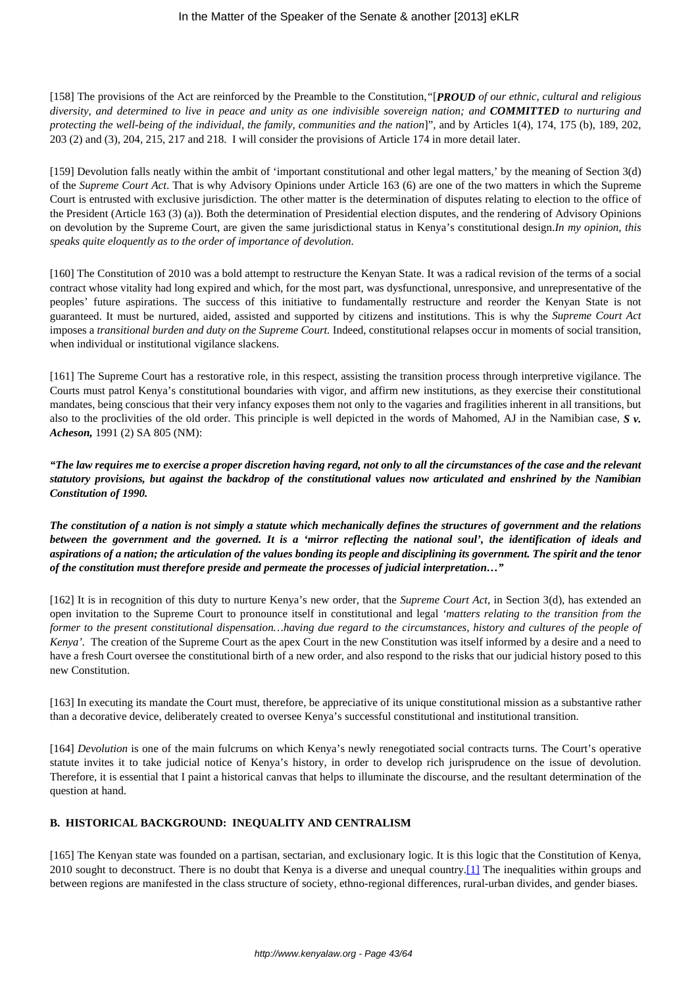[158] The provisions of the Act are reinforced by the Preamble to the Constitution,*"*[*PROUD of our ethnic, cultural and religious diversity, and determined to live in peace and unity as one indivisible sovereign nation; and COMMITTED to nurturing and protecting the well-being of the individual, the family, communities and the nation*]", and by Articles 1(4), 174, 175 (b), 189, 202, 203 (2) and (3), 204, 215, 217 and 218. I will consider the provisions of Article 174 in more detail later.

[159] Devolution falls neatly within the ambit of 'important constitutional and other legal matters,' by the meaning of Section 3(d) of the *Supreme Court Act*. That is why Advisory Opinions under Article 163 (6) are one of the two matters in which the Supreme Court is entrusted with exclusive jurisdiction. The other matter is the determination of disputes relating to election to the office of the President (Article 163 (3) (a)). Both the determination of Presidential election disputes, and the rendering of Advisory Opinions on devolution by the Supreme Court, are given the same jurisdictional status in Kenya's constitutional design.*In my opinion, this speaks quite eloquently as to the order of importance of devolution*.

[160] The Constitution of 2010 was a bold attempt to restructure the Kenyan State. It was a radical revision of the terms of a social contract whose vitality had long expired and which, for the most part, was dysfunctional, unresponsive, and unrepresentative of the peoples' future aspirations. The success of this initiative to fundamentally restructure and reorder the Kenyan State is not guaranteed. It must be nurtured, aided, assisted and supported by citizens and institutions. This is why the *Supreme Court Act* imposes a *transitional burden and duty on the Supreme Court.* Indeed, constitutional relapses occur in moments of social transition, when individual or institutional vigilance slackens.

[161] The Supreme Court has a restorative role, in this respect, assisting the transition process through interpretive vigilance. The Courts must patrol Kenya's constitutional boundaries with vigor, and affirm new institutions, as they exercise their constitutional mandates, being conscious that their very infancy exposes them not only to the vagaries and fragilities inherent in all transitions, but also to the proclivities of the old order. This principle is well depicted in the words of Mahomed, AJ in the Namibian case, *S v. Acheson,* 1991 (2) SA 805 (NM):

*"The law requires me to exercise a proper discretion having regard, not only to all the circumstances of the case and the relevant statutory provisions, but against the backdrop of the constitutional values now articulated and enshrined by the Namibian Constitution of 1990.* 

*The constitution of a nation is not simply a statute which mechanically defines the structures of government and the relations between the government and the governed. It is a 'mirror reflecting the national soul', the identification of ideals and aspirations of a nation; the articulation of the values bonding its people and disciplining its government. The spirit and the tenor of the constitution must therefore preside and permeate the processes of judicial interpretation…"*

[162] It is in recognition of this duty to nurture Kenya's new order, that the *Supreme Court Act,* in Section 3(d), has extended an open invitation to the Supreme Court to pronounce itself in constitutional and legal *'matters relating to the transition from the former to the present constitutional dispensation…having due regard to the circumstances, history and cultures of the people of Kenya'.* The creation of the Supreme Court as the apex Court in the new Constitution was itself informed by a desire and a need to have a fresh Court oversee the constitutional birth of a new order, and also respond to the risks that our judicial history posed to this new Constitution.

[163] In executing its mandate the Court must, therefore, be appreciative of its unique constitutional mission as a substantive rather than a decorative device, deliberately created to oversee Kenya's successful constitutional and institutional transition.

[164] *Devolution* is one of the main fulcrums on which Kenya's newly renegotiated social contracts turns. The Court's operative statute invites it to take judicial notice of Kenya's history, in order to develop rich jurisprudence on the issue of devolution. Therefore, it is essential that I paint a historical canvas that helps to illuminate the discourse, and the resultant determination of the question at hand.

# **B. HISTORICAL BACKGROUND: INEQUALITY AND CENTRALISM**

[165] The Kenyan state was founded on a partisan, sectarian, and exclusionary logic. It is this logic that the Constitution of Kenya, 2010 sought to deconstruct. There is no doubt that Kenya is a diverse and unequal country.[1] The inequalities within groups and between regions are manifested in the class structure of society, ethno-regional differences, rural-urban divides, and gender biases.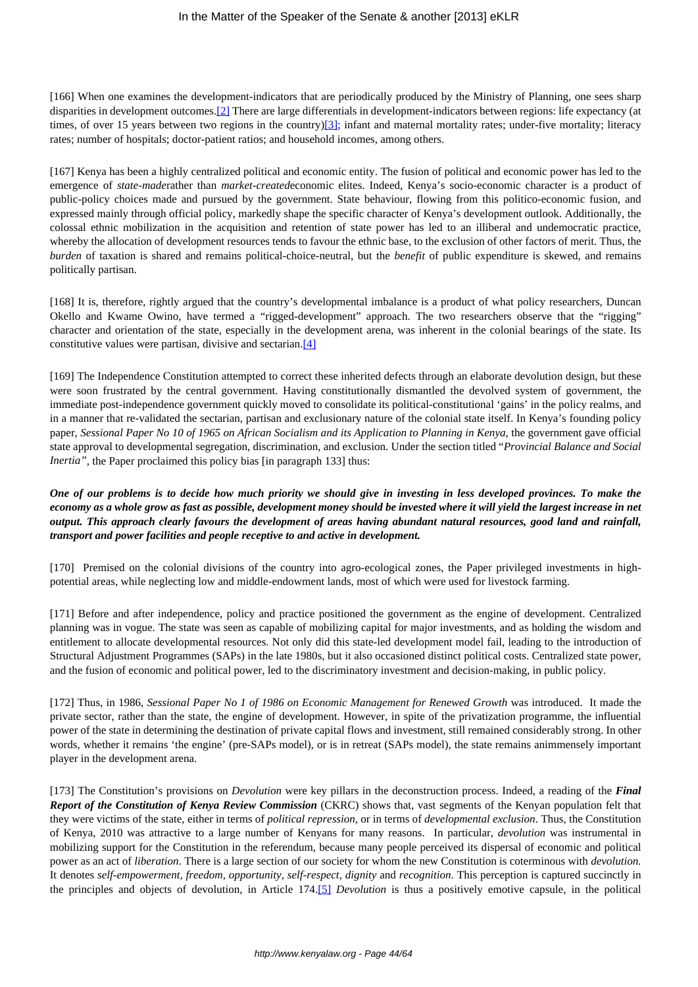[166] When one examines the development-indicators that are periodically produced by the Ministry of Planning*,* one sees sharp disparities in development outcomes.<sup>[2]</sup> There are large differentials in development-indicators between regions: life expectancy (at times, of over 15 years between two regions in the country)[3]; infant and maternal mortality rates; under-five mortality; literacy rates; number of hospitals; doctor-patient ratios; and household incomes, among others.

[167] Kenya has been a highly centralized political and economic entity. The fusion of political and economic power has led to the emergence of *state-made*rather than *market-created*economic elites. Indeed, Kenya's socio-economic character is a product of public-policy choices made and pursued by the government. State behaviour, flowing from this politico-economic fusion, and expressed mainly through official policy, markedly shape the specific character of Kenya's development outlook. Additionally, the colossal ethnic mobilization in the acquisition and retention of state power has led to an illiberal and undemocratic practice, whereby the allocation of development resources tends to favour the ethnic base, to the exclusion of other factors of merit. Thus, the *burden* of taxation is shared and remains political-choice-neutral, but the *benefit* of public expenditure is skewed, and remains politically partisan.

[168] It is, therefore, rightly argued that the country's developmental imbalance is a product of what policy researchers, Duncan Okello and Kwame Owino, have termed a "rigged-development" approach. The two researchers observe that the "rigging" character and orientation of the state, especially in the development arena, was inherent in the colonial bearings of the state. Its constitutive values were partisan, divisive and sectarian. $[4]$ 

[169] The Independence Constitution attempted to correct these inherited defects through an elaborate devolution design, but these were soon frustrated by the central government. Having constitutionally dismantled the devolved system of government, the immediate post-independence government quickly moved to consolidate its political-constitutional 'gains' in the policy realms, and in a manner that re-validated the sectarian, partisan and exclusionary nature of the colonial state itself. In Kenya's founding policy paper, *Sessional Paper No 10 of 1965 on African Socialism and its Application to Planning in Kenya*, the government gave official state approval to developmental segregation, discrimination, and exclusion. Under the section titled "*Provincial Balance and Social Inertia"*, the Paper proclaimed this policy bias [in paragraph 133] thus:

# *One of our problems is to decide how much priority we should give in investing in less developed provinces. To make the economy as a whole grow as fast as possible, development money should be invested where it will yield the largest increase in net output. This approach clearly favours the development of areas having abundant natural resources, good land and rainfall, transport and power facilities and people receptive to and active in development.*

[170] Premised on the colonial divisions of the country into agro-ecological zones, the Paper privileged investments in highpotential areas, while neglecting low and middle-endowment lands, most of which were used for livestock farming.

[171] Before and after independence, policy and practice positioned the government as the engine of development. Centralized planning was in vogue. The state was seen as capable of mobilizing capital for major investments, and as holding the wisdom and entitlement to allocate developmental resources. Not only did this state-led development model fail, leading to the introduction of Structural Adjustment Programmes (SAPs) in the late 1980s, but it also occasioned distinct political costs. Centralized state power, and the fusion of economic and political power, led to the discriminatory investment and decision-making, in public policy.

[172] Thus, in 1986, *Sessional Paper No 1 of 1986 on Economic Management for Renewed Growth* was introduced. It made the private sector, rather than the state, the engine of development. However, in spite of the privatization programme, the influential power of the state in determining the destination of private capital flows and investment, still remained considerably strong. In other words, whether it remains 'the engine' (pre-SAPs model), or is in retreat (SAPs model), the state remains animmensely important player in the development arena.

[173] The Constitution's provisions on *Devolution* were key pillars in the deconstruction process. Indeed, a reading of the *Final Report of the Constitution of Kenya Review Commission* (CKRC) shows that, vast segments of the Kenyan population felt that they were victims of the state, either in terms of *political repression,* or in terms of *developmental exclusion*. Thus, the Constitution of Kenya, 2010 was attractive to a large number of Kenyans for many reasons. In particular, *devolution* was instrumental in mobilizing support for the Constitution in the referendum, because many people perceived its dispersal of economic and political power as an act of *liberation*. There is a large section of our society for whom the new Constitution is coterminous with *devolution.* It denotes *self-empowerment, freedom, opportunity, self-respect, dignity* and *recognition*. This perception is captured succinctly in the principles and objects of devolution, in Article 174.[5] *Devolution* is thus a positively emotive capsule, in the political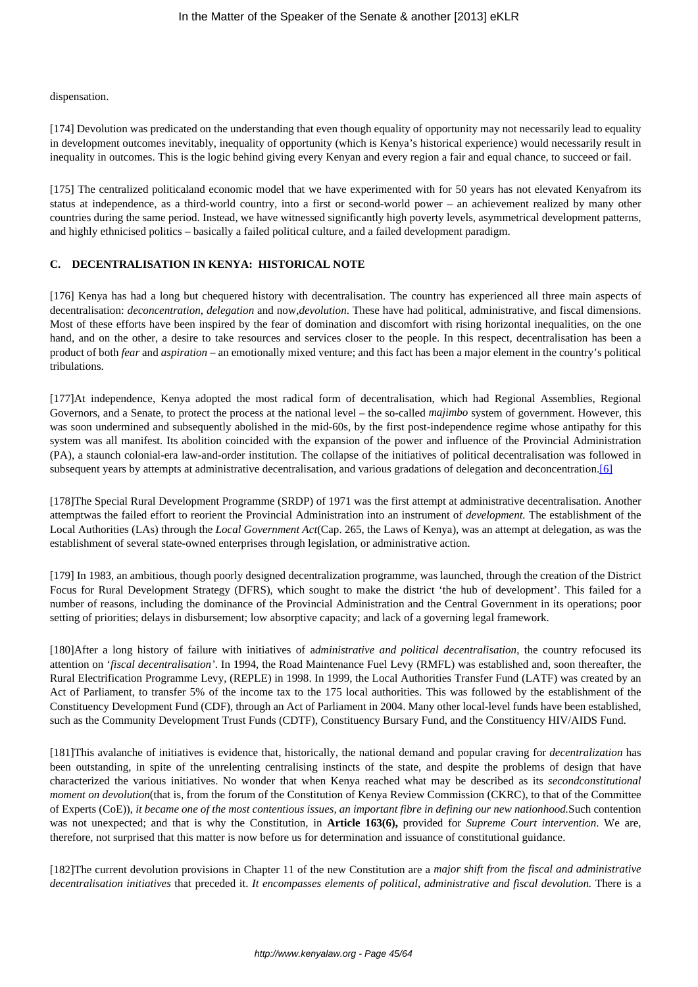dispensation.

[174] Devolution was predicated on the understanding that even though equality of opportunity may not necessarily lead to equality in development outcomes inevitably, inequality of opportunity (which is Kenya's historical experience) would necessarily result in inequality in outcomes. This is the logic behind giving every Kenyan and every region a fair and equal chance, to succeed or fail.

[175] The centralized politicaland economic model that we have experimented with for 50 years has not elevated Kenyafrom its status at independence, as a third-world country, into a first or second-world power – an achievement realized by many other countries during the same period. Instead, we have witnessed significantly high poverty levels, asymmetrical development patterns, and highly ethnicised politics – basically a failed political culture, and a failed development paradigm.

# **C. DECENTRALISATION IN KENYA: HISTORICAL NOTE**

[176] Kenya has had a long but chequered history with decentralisation. The country has experienced all three main aspects of decentralisation: *deconcentration, delegation* and now,*devolution*. These have had political, administrative, and fiscal dimensions. Most of these efforts have been inspired by the fear of domination and discomfort with rising horizontal inequalities, on the one hand, and on the other, a desire to take resources and services closer to the people. In this respect, decentralisation has been a product of both *fear* and *aspiration* – an emotionally mixed venture; and this fact has been a major element in the country's political tribulations.

[177]At independence, Kenya adopted the most radical form of decentralisation, which had Regional Assemblies, Regional Governors, and a Senate, to protect the process at the national level – the so-called *majimbo* system of government. However, this was soon undermined and subsequently abolished in the mid-60s, by the first post-independence regime whose antipathy for this system was all manifest. Its abolition coincided with the expansion of the power and influence of the Provincial Administration (PA), a staunch colonial-era law-and-order institution. The collapse of the initiatives of political decentralisation was followed in subsequent years by attempts at administrative decentralisation, and various gradations of delegation and deconcentration.[6]

[178]The Special Rural Development Programme (SRDP) of 1971 was the first attempt at administrative decentralisation. Another attemptwas the failed effort to reorient the Provincial Administration into an instrument of *development.* The establishment of the Local Authorities (LAs) through the *Local Government Act*(Cap. 265, the Laws of Kenya), was an attempt at delegation, as was the establishment of several state-owned enterprises through legislation, or administrative action.

[179] In 1983, an ambitious, though poorly designed decentralization programme, was launched, through the creation of the District Focus for Rural Development Strategy (DFRS), which sought to make the district 'the hub of development'. This failed for a number of reasons, including the dominance of the Provincial Administration and the Central Government in its operations; poor setting of priorities; delays in disbursement; low absorptive capacity; and lack of a governing legal framework.

[180]After a long history of failure with initiatives of a*dministrative and political decentralisation*, the country refocused its attention on '*fiscal decentralisation'*. In 1994, the Road Maintenance Fuel Levy (RMFL) was established and, soon thereafter, the Rural Electrification Programme Levy, (REPLE) in 1998. In 1999, the Local Authorities Transfer Fund (LATF) was created by an Act of Parliament, to transfer 5% of the income tax to the 175 local authorities. This was followed by the establishment of the Constituency Development Fund (CDF), through an Act of Parliament in 2004. Many other local-level funds have been established, such as the Community Development Trust Funds (CDTF), Constituency Bursary Fund, and the Constituency HIV/AIDS Fund.

[181]This avalanche of initiatives is evidence that, historically, the national demand and popular craving for *decentralization* has been outstanding, in spite of the unrelenting centralising instincts of the state, and despite the problems of design that have characterized the various initiatives. No wonder that when Kenya reached what may be described as its *secondconstitutional moment on devolution*(that is, from the forum of the Constitution of Kenya Review Commission (CKRC), to that of the Committee of Experts (CoE)), *it became one of the most contentious issues, an important fibre in defining our new nationhood.*Such contention was not unexpected; and that is why the Constitution, in **Article 163(6),** provided for *Supreme Court intervention*. We are, therefore, not surprised that this matter is now before us for determination and issuance of constitutional guidance.

[182]The current devolution provisions in Chapter 11 of the new Constitution are a *major shift from the fiscal and administrative decentralisation initiatives* that preceded it. *It encompasses elements of political, administrative and fiscal devolution.* There is a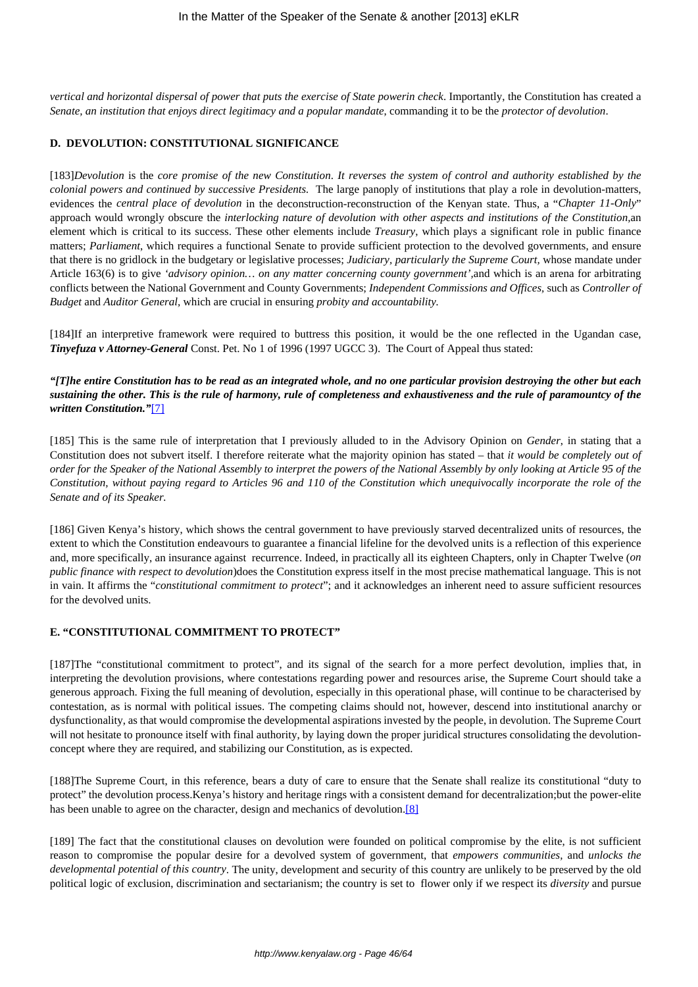*vertical and horizontal dispersal of power that puts the exercise of State powerin check*. Importantly, the Constitution has created a *Senate, an institution that enjoys direct legitimacy and a popular mandate*, commanding it to be the *protector of devolution*.

#### **D. DEVOLUTION: CONSTITUTIONAL SIGNIFICANCE**

[183]*Devolution* is the *core promise of the new Constitution*. *It reverses the system of control and authority established by the colonial powers and continued by successive Presidents.* The large panoply of institutions that play a role in devolution-matters, evidences the *central place of devolution* in the deconstruction-reconstruction of the Kenyan state. Thus, a "*Chapter 11-Only*" approach would wrongly obscure the *interlocking nature of devolution with other aspects and institutions of the Constitution,*an element which is critical to its success. These other elements include *Treasury*, which plays a significant role in public finance matters; *Parliament*, which requires a functional Senate to provide sufficient protection to the devolved governments, and ensure that there is no gridlock in the budgetary or legislative processes; *Judiciary, particularly the Supreme Court,* whose mandate under Article 163(6) is to give *'advisory opinion… on any matter concerning county government',*and which is an arena for arbitrating conflicts between the National Government and County Governments; *Independent Commissions and Offices,* such as *Controller of Budget* and *Auditor General,* which are crucial in ensuring *probity and accountability.* 

[184]If an interpretive framework were required to buttress this position, it would be the one reflected in the Ugandan case, *Tinyefuza v Attorney-General* Const. Pet. No 1 of 1996 (1997 UGCC 3). The Court of Appeal thus stated:

*"[T]he entire Constitution has to be read as an integrated whole, and no one particular provision destroying the other but each sustaining the other. This is the rule of harmony, rule of completeness and exhaustiveness and the rule of paramountcy of the written Constitution."*[7]

[185] This is the same rule of interpretation that I previously alluded to in the Advisory Opinion on *Gender*, in stating that a Constitution does not subvert itself. I therefore reiterate what the majority opinion has stated – that *it would be completely out of order for the Speaker of the National Assembly to interpret the powers of the National Assembly by only looking at Article 95 of the Constitution, without paying regard to Articles 96 and 110 of the Constitution which unequivocally incorporate the role of the Senate and of its Speaker.*

[186] Given Kenya's history, which shows the central government to have previously starved decentralized units of resources, the extent to which the Constitution endeavours to guarantee a financial lifeline for the devolved units is a reflection of this experience and, more specifically, an insurance against recurrence. Indeed, in practically all its eighteen Chapters, only in Chapter Twelve (*on public finance with respect to devolution*)does the Constitution express itself in the most precise mathematical language. This is not in vain. It affirms the "*constitutional commitment to protect*"; and it acknowledges an inherent need to assure sufficient resources for the devolved units.

## **E. "CONSTITUTIONAL COMMITMENT TO PROTECT"**

[187]The "constitutional commitment to protect", and its signal of the search for a more perfect devolution, implies that, in interpreting the devolution provisions, where contestations regarding power and resources arise, the Supreme Court should take a generous approach. Fixing the full meaning of devolution, especially in this operational phase, will continue to be characterised by contestation, as is normal with political issues. The competing claims should not, however, descend into institutional anarchy or dysfunctionality, as that would compromise the developmental aspirations invested by the people, in devolution. The Supreme Court will not hesitate to pronounce itself with final authority, by laying down the proper juridical structures consolidating the devolutionconcept where they are required, and stabilizing our Constitution, as is expected.

[188]The Supreme Court, in this reference, bears a duty of care to ensure that the Senate shall realize its constitutional "duty to protect" the devolution process.Kenya's history and heritage rings with a consistent demand for decentralization;but the power-elite has been unable to agree on the character, design and mechanics of devolution.<sup>[8]</sup>

[189] The fact that the constitutional clauses on devolution were founded on political compromise by the elite, is not sufficient reason to compromise the popular desire for a devolved system of government, that *empowers communities,* and *unlocks the developmental potential of this country*. The unity, development and security of this country are unlikely to be preserved by the old political logic of exclusion, discrimination and sectarianism; the country is set to flower only if we respect its *diversity* and pursue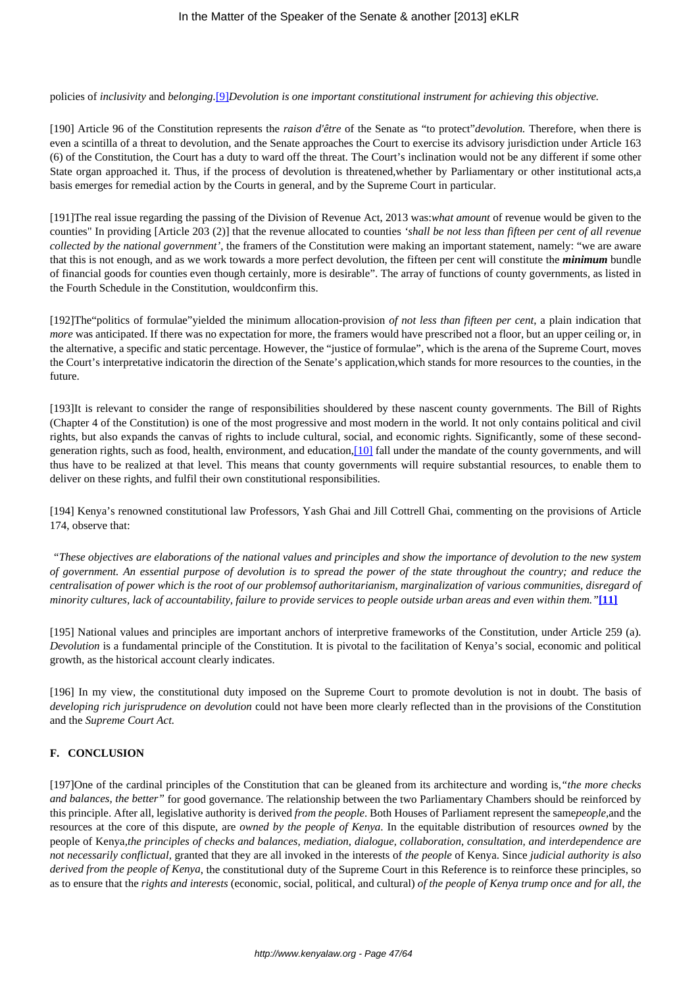#### policies of *inclusivity* and *belonging.*[9]*Devolution is one important constitutional instrument for achieving this objective.*

[190] Article 96 of the Constitution represents the *raison d'être* of the Senate as "to protect"*devolution.* Therefore, when there is even a scintilla of a threat to devolution, and the Senate approaches the Court to exercise its advisory jurisdiction under Article 163 (6) of the Constitution, the Court has a duty to ward off the threat. The Court's inclination would not be any different if some other State organ approached it. Thus, if the process of devolution is threatened,whether by Parliamentary or other institutional acts,a basis emerges for remedial action by the Courts in general, and by the Supreme Court in particular.

[191]The real issue regarding the passing of the Division of Revenue Act, 2013 was:*what amount* of revenue would be given to the counties" In providing [Article 203 (2)] that the revenue allocated to counties *'shall be not less than fifteen per cent of all revenue collected by the national government'*, the framers of the Constitution were making an important statement, namely: "we are aware that this is not enough, and as we work towards a more perfect devolution, the fifteen per cent will constitute the *minimum* bundle of financial goods for counties even though certainly, more is desirable". The array of functions of county governments, as listed in the Fourth Schedule in the Constitution, wouldconfirm this.

[192]The"politics of formulae"yielded the minimum allocation-provision *of not less than fifteen per cent*, a plain indication that *more* was anticipated. If there was no expectation for more, the framers would have prescribed not a floor, but an upper ceiling or, in the alternative, a specific and static percentage. However, the "justice of formulae", which is the arena of the Supreme Court, moves the Court's interpretative indicatorin the direction of the Senate's application,which stands for more resources to the counties, in the future.

[193]It is relevant to consider the range of responsibilities shouldered by these nascent county governments. The Bill of Rights (Chapter 4 of the Constitution) is one of the most progressive and most modern in the world. It not only contains political and civil rights, but also expands the canvas of rights to include cultural, social, and economic rights. Significantly, some of these secondgeneration rights, such as food, health, environment, and education,[10] fall under the mandate of the county governments, and will thus have to be realized at that level. This means that county governments will require substantial resources, to enable them to deliver on these rights, and fulfil their own constitutional responsibilities.

[194] Kenya's renowned constitutional law Professors, Yash Ghai and Jill Cottrell Ghai, commenting on the provisions of Article 174, observe that:

*"These objectives are elaborations of the national values and principles and show the importance of devolution to the new system of government. An essential purpose of devolution is to spread the power of the state throughout the country; and reduce the centralisation of power which is the root of our problemsof authoritarianism, marginalization of various communities, disregard of minority cultures, lack of accountability, failure to provide services to people outside urban areas and even within them."***[11]**

[195] National values and principles are important anchors of interpretive frameworks of the Constitution, under Article 259 (a). *Devolution* is a fundamental principle of the Constitution. It is pivotal to the facilitation of Kenya's social, economic and political growth, as the historical account clearly indicates.

[196] In my view, the constitutional duty imposed on the Supreme Court to promote devolution is not in doubt. The basis of *developing rich jurisprudence on devolution* could not have been more clearly reflected than in the provisions of the Constitution and the *Supreme Court Act.*

## **F. CONCLUSION**

[197]One of the cardinal principles of the Constitution that can be gleaned from its architecture and wording is,*"the more checks and balances, the better"* for good governance. The relationship between the two Parliamentary Chambers should be reinforced by this principle. After all, legislative authority is derived *from the people*. Both Houses of Parliament represent the same*people,*and the resources at the core of this dispute, are *owned by the people of Kenya*. In the equitable distribution of resources *owned* by the people of Kenya,*the principles of checks and balances, mediation, dialogue, collaboration, consultation, and interdependence are not necessarily conflictual,* granted that they are all invoked in the interests of *the people* of Kenya. Since *judicial authority is also derived from the people of Kenya*, the constitutional duty of the Supreme Court in this Reference is to reinforce these principles, so as to ensure that the *rights and interests* (economic, social, political, and cultural) *of the people of Kenya trump once and for all, the*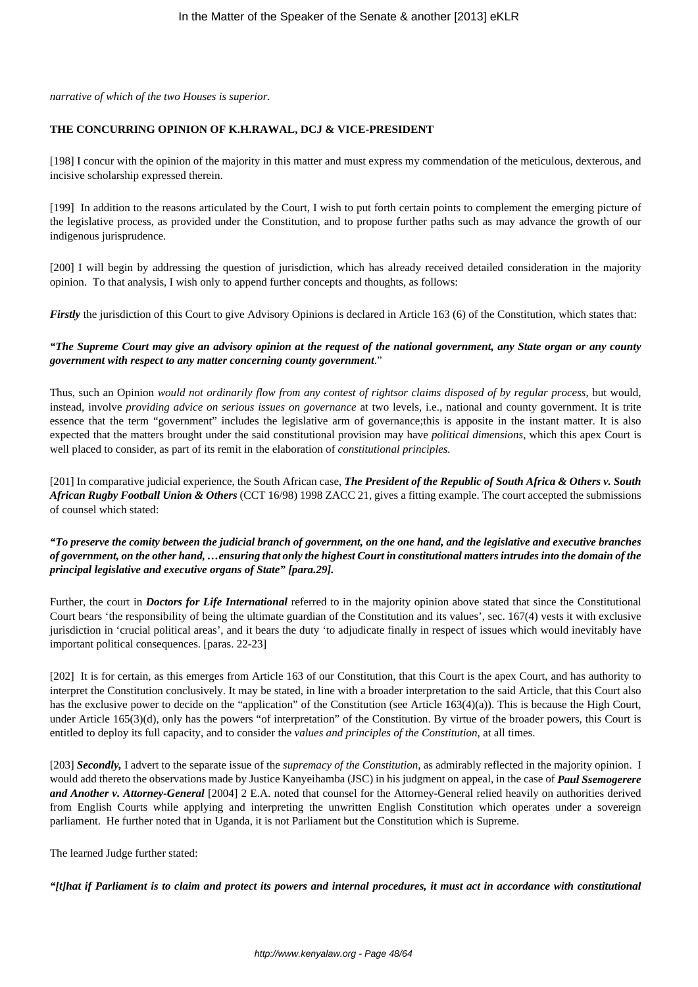*narrative of which of the two Houses is superior.*

#### **THE CONCURRING OPINION OF K.H.RAWAL, DCJ & VICE-PRESIDENT**

[198] I concur with the opinion of the majority in this matter and must express my commendation of the meticulous, dexterous, and incisive scholarship expressed therein.

[199] In addition to the reasons articulated by the Court, I wish to put forth certain points to complement the emerging picture of the legislative process, as provided under the Constitution, and to propose further paths such as may advance the growth of our indigenous jurisprudence.

[200] I will begin by addressing the question of jurisdiction, which has already received detailed consideration in the majority opinion. To that analysis, I wish only to append further concepts and thoughts, as follows:

*Firstly* the jurisdiction of this Court to give Advisory Opinions is declared in Article 163 (6) of the Constitution, which states that:

## *"The Supreme Court may give an advisory opinion at the request of the national government, any State organ or any county government with respect to any matter concerning county government*."

Thus, such an Opinion *would not ordinarily flow from any contest of rightsor claims disposed of by regular process*, but would, instead, involve *providing advice on serious issues on governance* at two levels, i.e., national and county government. It is trite essence that the term "government" includes the legislative arm of governance;this is apposite in the instant matter. It is also expected that the matters brought under the said constitutional provision may have *political dimensions*, which this apex Court is well placed to consider, as part of its remit in the elaboration of *constitutional principles.*

[201] In comparative judicial experience, the South African case, *The President of the Republic of South Africa & Others v. South African Rugby Football Union & Others* (CCT 16/98) 1998 ZACC 21, gives a fitting example. The court accepted the submissions of counsel which stated:

## *"To preserve the comity between the judicial branch of government, on the one hand, and the legislative and executive branches of government, on the other hand, …ensuring that only the highest Court in constitutional matters intrudes into the domain of the principal legislative and executive organs of State" [para.29].*

Further, the court in *Doctors for Life International* referred to in the majority opinion above stated that since the Constitutional Court bears 'the responsibility of being the ultimate guardian of the Constitution and its values', sec. 167(4) vests it with exclusive jurisdiction in 'crucial political areas', and it bears the duty 'to adjudicate finally in respect of issues which would inevitably have important political consequences. [paras. 22-23]

[202] It is for certain, as this emerges from Article 163 of our Constitution, that this Court is the apex Court, and has authority to interpret the Constitution conclusively. It may be stated, in line with a broader interpretation to the said Article, that this Court also has the exclusive power to decide on the "application" of the Constitution (see Article 163(4)(a)). This is because the High Court, under Article 165(3)(d), only has the powers "of interpretation" of the Constitution. By virtue of the broader powers, this Court is entitled to deploy its full capacity, and to consider the *values and principles of the Constitution*, at all times.

[203] *Secondly,* I advert to the separate issue of the *supremacy of the Constitution,* as admirably reflected in the majority opinion. I would add thereto the observations made by Justice Kanyeihamba (JSC) in his judgment on appeal, in the case of *Paul Ssemogerere and Another v. Attorney-General* [2004] 2 E.A. noted that counsel for the Attorney-General relied heavily on authorities derived from English Courts while applying and interpreting the unwritten English Constitution which operates under a sovereign parliament. He further noted that in Uganda, it is not Parliament but the Constitution which is Supreme.

The learned Judge further stated:

*"[t]hat if Parliament is to claim and protect its powers and internal procedures, it must act in accordance with constitutional*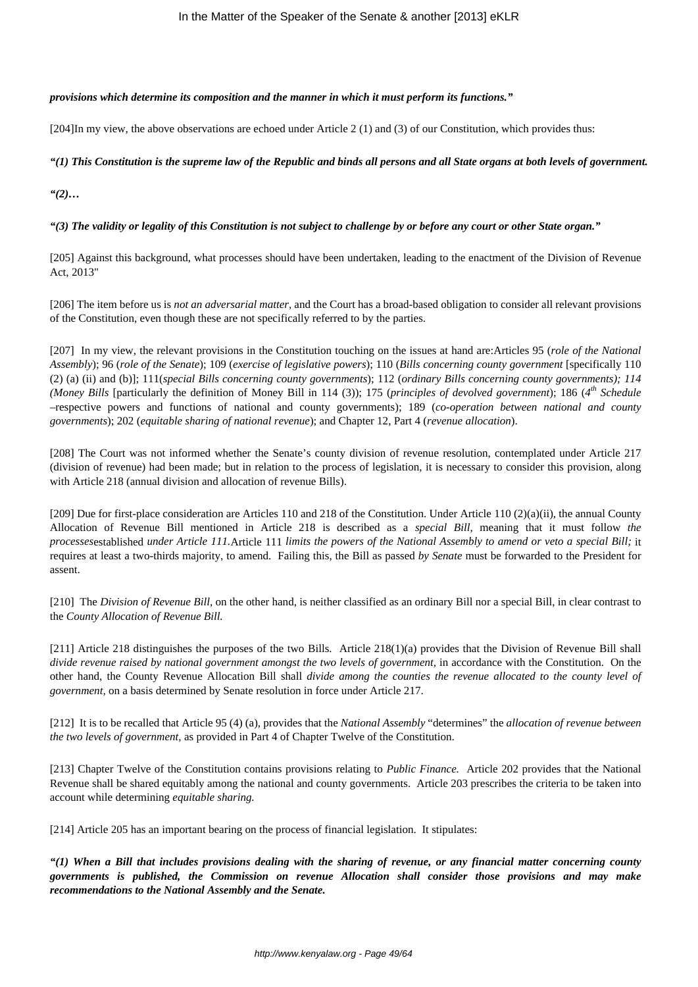## *provisions which determine its composition and the manner in which it must perform its functions."*

[204]In my view, the above observations are echoed under Article 2 (1) and (3) of our Constitution, which provides thus:

# *"(1) This Constitution is the supreme law of the Republic and binds all persons and all State organs at both levels of government.*

*"(2)…*

*"(3) The validity or legality of this Constitution is not subject to challenge by or before any court or other State organ."*

[205] Against this background, what processes should have been undertaken, leading to the enactment of the Division of Revenue Act, 2013"

[206] The item before us is *not an adversarial matter,* and the Court has a broad-based obligation to consider all relevant provisions of the Constitution, even though these are not specifically referred to by the parties.

[207] In my view, the relevant provisions in the Constitution touching on the issues at hand are:Articles 95 (*role of the National Assembly*); 96 (*role of the Senate*); 109 (*exercise of legislative powers*); 110 (*Bills concerning county government* [specifically 110 (2) (a) (ii) and (b)]; 111(*special Bills concerning county governments*); 112 (*ordinary Bills concerning county governments); 114 (Money Bills* [particularly the definition of Money Bill in 114 (3)); 175 (*principles of devolved government*); 186 (*4 th Schedule* –respective powers and functions of national and county governments); 189 (*co-operation between national and county governments*); 202 (*equitable sharing of national revenue*); and Chapter 12, Part 4 (*revenue allocation*).

[208] The Court was not informed whether the Senate's county division of revenue resolution, contemplated under Article 217 (division of revenue) had been made; but in relation to the process of legislation, it is necessary to consider this provision, along with Article 218 (annual division and allocation of revenue Bills).

[209] Due for first-place consideration are Articles 110 and 218 of the Constitution. Under Article 110 (2)(a)(ii), the annual County Allocation of Revenue Bill mentioned in Article 218 is described as a *special Bill,* meaning that it must follow *the processes*established *under Article 111.*Article 111 *limits the powers of the National Assembly to amend or veto a special Bill;* it requires at least a two-thirds majority, to amend. Failing this, the Bill as passed *by Senate* must be forwarded to the President for assent.

[210] The *Division of Revenue Bill*, on the other hand, is neither classified as an ordinary Bill nor a special Bill, in clear contrast to the *County Allocation of Revenue Bill.*

[211] Article 218 distinguishes the purposes of the two Bills. Article 218(1)(a) provides that the Division of Revenue Bill shall *divide revenue raised by national government amongst the two levels of government,* in accordance with the Constitution. On the other hand, the County Revenue Allocation Bill shall *divide among the counties the revenue allocated to the county level of government,* on a basis determined by Senate resolution in force under Article 217.

[212] It is to be recalled that Article 95 (4) (a), provides that the *National Assembly* "determines" the *allocation of revenue between the two levels of government,* as provided in Part 4 of Chapter Twelve of the Constitution.

[213] Chapter Twelve of the Constitution contains provisions relating to *Public Finance.* Article 202 provides that the National Revenue shall be shared equitably among the national and county governments. Article 203 prescribes the criteria to be taken into account while determining *equitable sharing.*

[214] Article 205 has an important bearing on the process of financial legislation. It stipulates:

*"(1) When a Bill that includes provisions dealing with the sharing of revenue, or any financial matter concerning county governments is published, the Commission on revenue Allocation shall consider those provisions and may make recommendations to the National Assembly and the Senate.*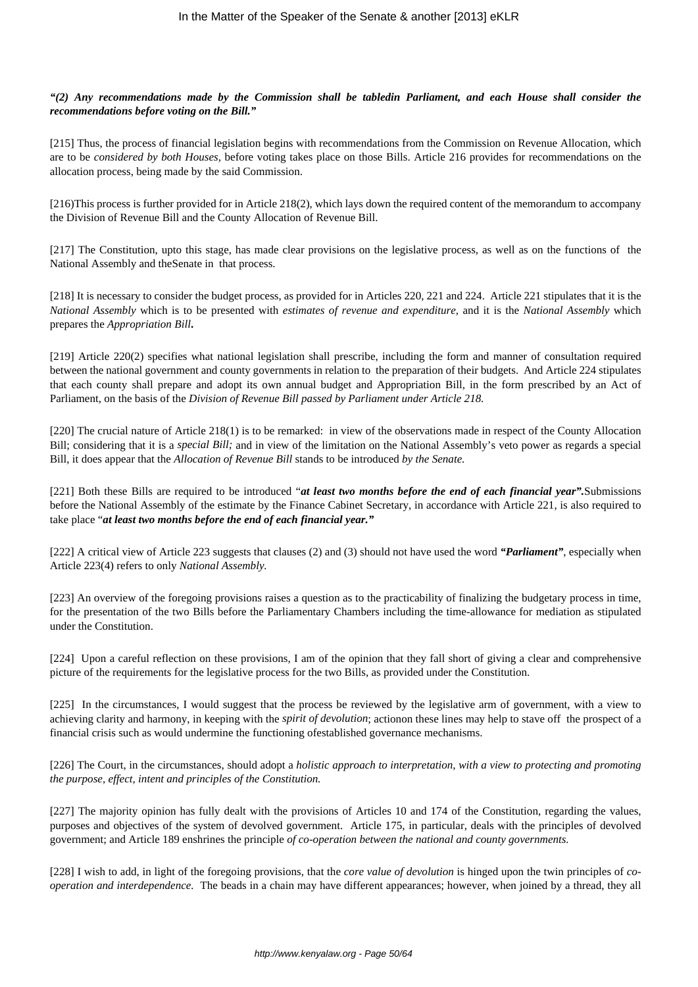*"(2) Any recommendations made by the Commission shall be tabledin Parliament, and each House shall consider the recommendations before voting on the Bill."*

[215] Thus, the process of financial legislation begins with recommendations from the Commission on Revenue Allocation, which are to be *considered by both Houses,* before voting takes place on those Bills. Article 216 provides for recommendations on the allocation process, being made by the said Commission.

[216)This process is further provided for in Article 218(2), which lays down the required content of the memorandum to accompany the Division of Revenue Bill and the County Allocation of Revenue Bill.

[217] The Constitution, upto this stage, has made clear provisions on the legislative process, as well as on the functions of the National Assembly and theSenate in that process.

[218] It is necessary to consider the budget process, as provided for in Articles 220, 221 and 224. Article 221 stipulates that it is the *National Assembly* which is to be presented with *estimates of revenue and expenditure,* and it is the *National Assembly* which prepares the *Appropriation Bill***.**

[219] Article 220(2) specifies what national legislation shall prescribe, including the form and manner of consultation required between the national government and county governments in relation to the preparation of their budgets. And Article 224 stipulates that each county shall prepare and adopt its own annual budget and Appropriation Bill, in the form prescribed by an Act of Parliament, on the basis of the *Division of Revenue Bill passed by Parliament under Article 218.*

[220] The crucial nature of Article 218(1) is to be remarked: in view of the observations made in respect of the County Allocation Bill; considering that it is a *special Bill;* and in view of the limitation on the National Assembly's veto power as regards a special Bill, it does appear that the *Allocation of Revenue Bill* stands to be introduced *by the Senate.*

[221] Both these Bills are required to be introduced "*at least two months before the end of each financial year".*Submissions before the National Assembly of the estimate by the Finance Cabinet Secretary, in accordance with Article 221, is also required to take place "*at least two months before the end of each financial year."*

[222] A critical view of Article 223 suggests that clauses (2) and (3) should not have used the word *"Parliament"*, especially when Article 223(4) refers to only *National Assembly.*

[223] An overview of the foregoing provisions raises a question as to the practicability of finalizing the budgetary process in time, for the presentation of the two Bills before the Parliamentary Chambers including the time-allowance for mediation as stipulated under the Constitution.

[224] Upon a careful reflection on these provisions, I am of the opinion that they fall short of giving a clear and comprehensive picture of the requirements for the legislative process for the two Bills, as provided under the Constitution.

[225] In the circumstances, I would suggest that the process be reviewed by the legislative arm of government, with a view to achieving clarity and harmony, in keeping with the *spirit of devolution*; actionon these lines may help to stave off the prospect of a financial crisis such as would undermine the functioning ofestablished governance mechanisms.

[226] The Court, in the circumstances, should adopt a *holistic approach to interpretation, with a view to protecting and promoting the purpose, effect, intent and principles of the Constitution.*

[227] The majority opinion has fully dealt with the provisions of Articles 10 and 174 of the Constitution, regarding the values, purposes and objectives of the system of devolved government. Article 175, in particular, deals with the principles of devolved government; and Article 189 enshrines the principle *of co-operation between the national and county governments.*

[228] I wish to add, in light of the foregoing provisions, that the *core value of devolution* is hinged upon the twin principles of *cooperation and interdependence.* The beads in a chain may have different appearances; however, when joined by a thread, they all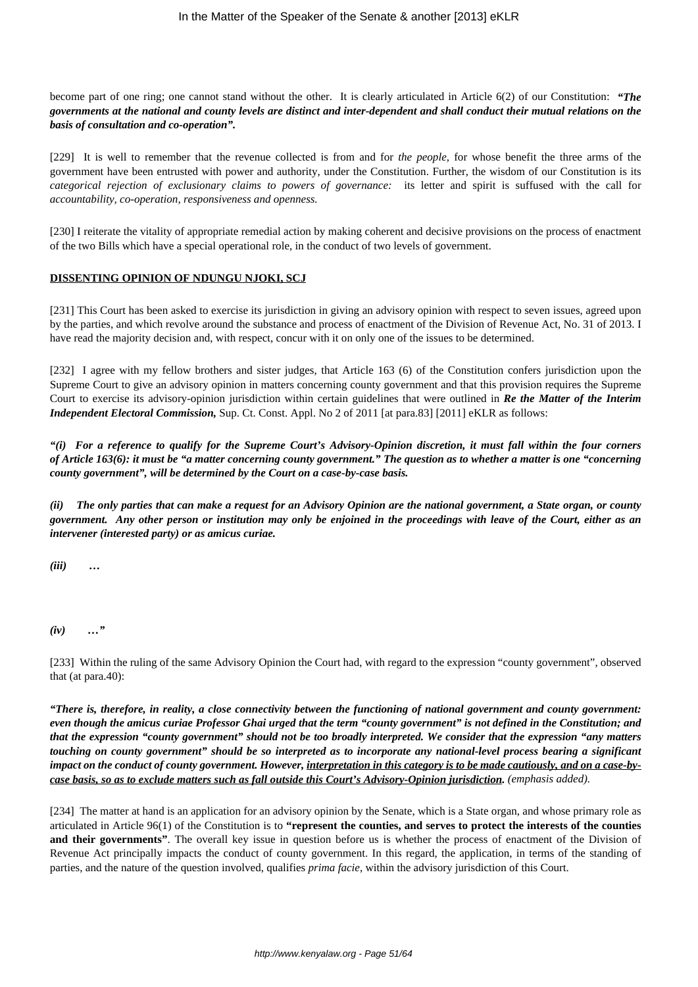become part of one ring; one cannot stand without the other. It is clearly articulated in Article 6(2) of our Constitution: *"The governments at the national and county levels are distinct and inter-dependent and shall conduct their mutual relations on the basis of consultation and co-operation".*

[229] It is well to remember that the revenue collected is from and for *the people,* for whose benefit the three arms of the government have been entrusted with power and authority, under the Constitution. Further, the wisdom of our Constitution is its *categorical rejection of exclusionary claims to powers of governance:* its letter and spirit is suffused with the call for *accountability, co-operation, responsiveness and openness.*

[230] I reiterate the vitality of appropriate remedial action by making coherent and decisive provisions on the process of enactment of the two Bills which have a special operational role, in the conduct of two levels of government.

#### **DISSENTING OPINION OF NDUNGU NJOKI, SCJ**

[231] This Court has been asked to exercise its jurisdiction in giving an advisory opinion with respect to seven issues, agreed upon by the parties, and which revolve around the substance and process of enactment of the Division of Revenue Act, No. 31 of 2013. I have read the majority decision and, with respect, concur with it on only one of the issues to be determined.

[232] I agree with my fellow brothers and sister judges, that Article 163 (6) of the Constitution confers jurisdiction upon the Supreme Court to give an advisory opinion in matters concerning county government and that this provision requires the Supreme Court to exercise its advisory-opinion jurisdiction within certain guidelines that were outlined in *Re the Matter of the Interim Independent Electoral Commission, Sup. Ct. Const. Appl. No 2 of 2011* [at para.83] [2011] eKLR as follows:

*"(i) For a reference to qualify for the Supreme Court's Advisory-Opinion discretion, it must fall within the four corners of Article 163(6): it must be "a matter concerning county government." The question as to whether a matter is one "concerning county government", will be determined by the Court on a case-by-case basis.*

*(ii) The only parties that can make a request for an Advisory Opinion are the national government, a State organ, or county government. Any other person or institution may only be enjoined in the proceedings with leave of the Court, either as an intervener (interested party) or as amicus curiae.*

*(iii) …*

*(iv) …"*

[233] Within the ruling of the same Advisory Opinion the Court had, with regard to the expression "county government", observed that (at para.40):

*"There is, therefore, in reality, a close connectivity between the functioning of national government and county government: even though the amicus curiae Professor Ghai urged that the term "county government" is not defined in the Constitution; and that the expression "county government" should not be too broadly interpreted. We consider that the expression "any matters touching on county government" should be so interpreted as to incorporate any national-level process bearing a significant impact on the conduct of county government. However, interpretation in this category is to be made cautiously, and on a case-bycase basis, so as to exclude matters such as fall outside this Court's Advisory-Opinion jurisdiction. (emphasis added).*

[234] The matter at hand is an application for an advisory opinion by the Senate, which is a State organ, and whose primary role as articulated in Article 96(1) of the Constitution is to **"represent the counties, and serves to protect the interests of the counties and their governments"**. The overall key issue in question before us is whether the process of enactment of the Division of Revenue Act principally impacts the conduct of county government. In this regard, the application, in terms of the standing of parties, and the nature of the question involved, qualifies *prima facie*, within the advisory jurisdiction of this Court.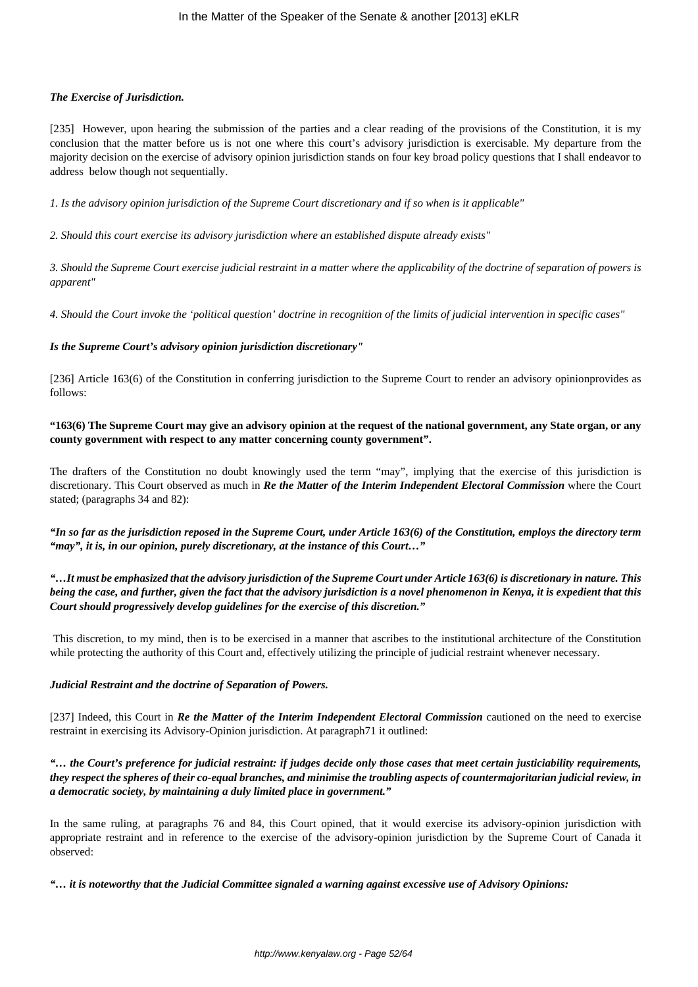# *The Exercise of Jurisdiction.*

[235] However, upon hearing the submission of the parties and a clear reading of the provisions of the Constitution, it is my conclusion that the matter before us is not one where this court's advisory jurisdiction is exercisable. My departure from the majority decision on the exercise of advisory opinion jurisdiction stands on four key broad policy questions that I shall endeavor to address below though not sequentially.

*1. Is the advisory opinion jurisdiction of the Supreme Court discretionary and if so when is it applicable"*

*2. Should this court exercise its advisory jurisdiction where an established dispute already exists"*

*3. Should the Supreme Court exercise judicial restraint in a matter where the applicability of the doctrine of separation of powers is apparent"*

*4. Should the Court invoke the 'political question' doctrine in recognition of the limits of judicial intervention in specific cases"*

# *Is the Supreme Court's advisory opinion jurisdiction discretionary"*

[236] Article 163(6) of the Constitution in conferring jurisdiction to the Supreme Court to render an advisory opinionprovides as follows:

# **"163(6) The Supreme Court may give an advisory opinion at the request of the national government, any State organ, or any county government with respect to any matter concerning county government".**

The drafters of the Constitution no doubt knowingly used the term "may", implying that the exercise of this jurisdiction is discretionary. This Court observed as much in *Re the Matter of the Interim Independent Electoral Commission* where the Court stated; (paragraphs 34 and 82):

*"In so far as the jurisdiction reposed in the Supreme Court, under Article 163(6) of the Constitution, employs the directory term "may", it is, in our opinion, purely discretionary, at the instance of this Court…"*

# *"…It must be emphasized that the advisory jurisdiction of the Supreme Court under Article 163(6) is discretionary in nature. This being the case, and further, given the fact that the advisory jurisdiction is a novel phenomenon in Kenya, it is expedient that this Court should progressively develop guidelines for the exercise of this discretion."*

This discretion, to my mind, then is to be exercised in a manner that ascribes to the institutional architecture of the Constitution while protecting the authority of this Court and, effectively utilizing the principle of judicial restraint whenever necessary.

## *Judicial Restraint and the doctrine of Separation of Powers.*

[237] Indeed, this Court in *Re the Matter of the Interim Independent Electoral Commission* cautioned on the need to exercise restraint in exercising its Advisory-Opinion jurisdiction. At paragraph71 it outlined:

*"… the Court's preference for judicial restraint: if judges decide only those cases that meet certain justiciability requirements, they respect the spheres of their co-equal branches, and minimise the troubling aspects of countermajoritarian judicial review, in a democratic society, by maintaining a duly limited place in government."*

In the same ruling, at paragraphs 76 and 84, this Court opined, that it would exercise its advisory-opinion jurisdiction with appropriate restraint and in reference to the exercise of the advisory-opinion jurisdiction by the Supreme Court of Canada it observed:

*"… it is noteworthy that the Judicial Committee signaled a warning against excessive use of Advisory Opinions:*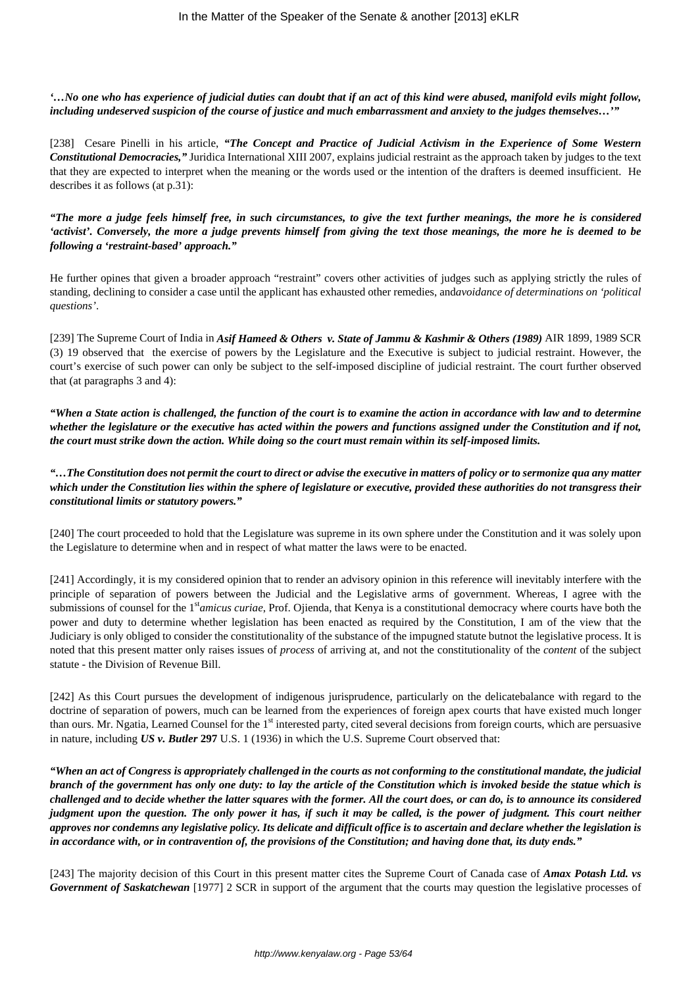*'…No one who has experience of judicial duties can doubt that if an act of this kind were abused, manifold evils might follow, including undeserved suspicion of the course of justice and much embarrassment and anxiety to the judges themselves…'"*

[238] Cesare Pinelli in his article, *"The Concept and Practice of Judicial Activism in the Experience of Some Western Constitutional Democracies,"* Juridica International XIII 2007, explains judicial restraint as the approach taken by judges to the text that they are expected to interpret when the meaning or the words used or the intention of the drafters is deemed insufficient. He describes it as follows (at p.31):

*"The more a judge feels himself free, in such circumstances, to give the text further meanings, the more he is considered 'activist'. Conversely, the more a judge prevents himself from giving the text those meanings, the more he is deemed to be following a 'restraint-based' approach."* 

He further opines that given a broader approach "restraint" covers other activities of judges such as applying strictly the rules of standing, declining to consider a case until the applicant has exhausted other remedies, and*avoidance of determinations on 'political questions'*.

[239] The Supreme Court of India in *Asif Hameed & Others v. State of Jammu & Kashmir & Others (1989)* AIR 1899, 1989 SCR (3) 19 observed that the exercise of powers by the Legislature and the Executive is subject to judicial restraint. However, the court's exercise of such power can only be subject to the self-imposed discipline of judicial restraint. The court further observed that (at paragraphs 3 and 4):

*"When a State action is challenged, the function of the court is to examine the action in accordance with law and to determine whether the legislature or the executive has acted within the powers and functions assigned under the Constitution and if not, the court must strike down the action. While doing so the court must remain within its self-imposed limits.*

*"…The Constitution does not permit the court to direct or advise the executive in matters of policy or to sermonize qua any matter which under the Constitution lies within the sphere of legislature or executive, provided these authorities do not transgress their constitutional limits or statutory powers."*

[240] The court proceeded to hold that the Legislature was supreme in its own sphere under the Constitution and it was solely upon the Legislature to determine when and in respect of what matter the laws were to be enacted.

[241] Accordingly, it is my considered opinion that to render an advisory opinion in this reference will inevitably interfere with the principle of separation of powers between the Judicial and the Legislative arms of government. Whereas, I agree with the submissions of counsel for the 1st*amicus curiae*, Prof. Ojienda, that Kenya is a constitutional democracy where courts have both the power and duty to determine whether legislation has been enacted as required by the Constitution, I am of the view that the Judiciary is only obliged to consider the constitutionality of the substance of the impugned statute butnot the legislative process. It is noted that this present matter only raises issues of *process* of arriving at, and not the constitutionality of the *content* of the subject statute - the Division of Revenue Bill.

[242] As this Court pursues the development of indigenous jurisprudence, particularly on the delicatebalance with regard to the doctrine of separation of powers, much can be learned from the experiences of foreign apex courts that have existed much longer than ours. Mr. Ngatia, Learned Counsel for the 1<sup>st</sup> interested party, cited several decisions from foreign courts, which are persuasive in nature, including *US v. Butler* **297** U.S. 1 (1936) in which the U.S. Supreme Court observed that:

*"When an act of Congress is appropriately challenged in the courts as not conforming to the constitutional mandate, the judicial branch of the government has only one duty: to lay the article of the Constitution which is invoked beside the statue which is challenged and to decide whether the latter squares with the former. All the court does, or can do, is to announce its considered judgment upon the question. The only power it has, if such it may be called, is the power of judgment. This court neither approves nor condemns any legislative policy. Its delicate and difficult office is to ascertain and declare whether the legislation is in accordance with, or in contravention of, the provisions of the Constitution; and having done that, its duty ends."*

[243] The majority decision of this Court in this present matter cites the Supreme Court of Canada case of *Amax Potash Ltd. vs Government of Saskatchewan* [1977] 2 SCR in support of the argument that the courts may question the legislative processes of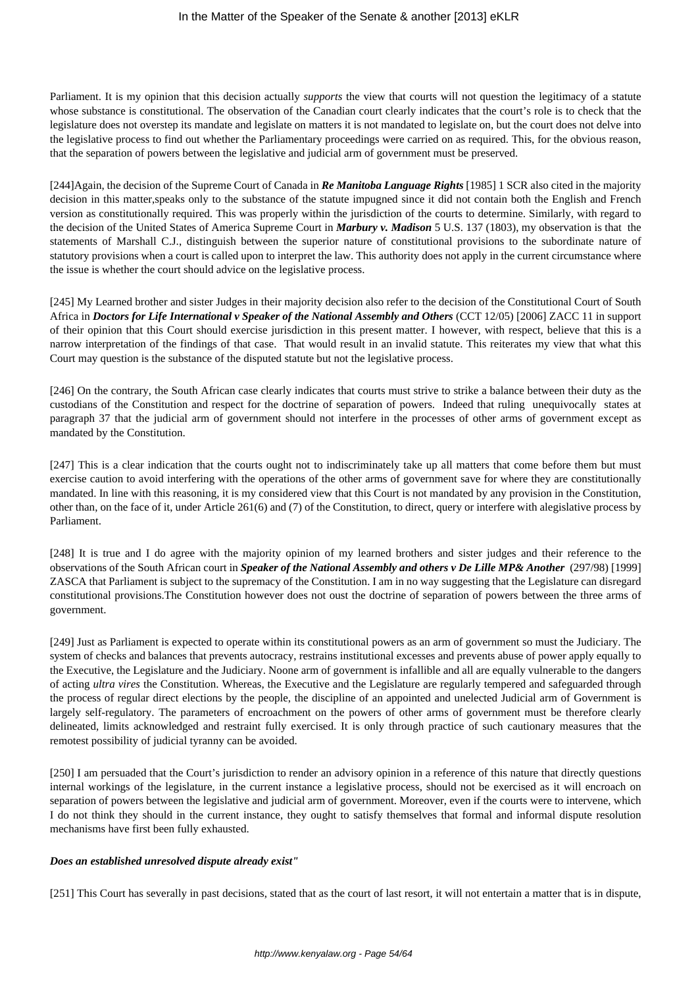Parliament. It is my opinion that this decision actually *supports* the view that courts will not question the legitimacy of a statute whose substance is constitutional. The observation of the Canadian court clearly indicates that the court's role is to check that the legislature does not overstep its mandate and legislate on matters it is not mandated to legislate on, but the court does not delve into the legislative process to find out whether the Parliamentary proceedings were carried on as required. This, for the obvious reason, that the separation of powers between the legislative and judicial arm of government must be preserved.

[244]Again, the decision of the Supreme Court of Canada in *Re Manitoba Language Rights* [1985] 1 SCR also cited in the majority decision in this matter,speaks only to the substance of the statute impugned since it did not contain both the English and French version as constitutionally required. This was properly within the jurisdiction of the courts to determine. Similarly, with regard to the decision of the United States of America Supreme Court in *Marbury v. Madison* 5 U.S. 137 (1803), my observation is that the statements of Marshall C.J., distinguish between the superior nature of constitutional provisions to the subordinate nature of statutory provisions when a court is called upon to interpret the law. This authority does not apply in the current circumstance where the issue is whether the court should advice on the legislative process.

[245] My Learned brother and sister Judges in their majority decision also refer to the decision of the Constitutional Court of South Africa in *Doctors for Life International v Speaker of the National Assembly and Others* (CCT 12/05) [2006] ZACC 11 in support of their opinion that this Court should exercise jurisdiction in this present matter. I however, with respect, believe that this is a narrow interpretation of the findings of that case. That would result in an invalid statute. This reiterates my view that what this Court may question is the substance of the disputed statute but not the legislative process.

[246] On the contrary, the South African case clearly indicates that courts must strive to strike a balance between their duty as the custodians of the Constitution and respect for the doctrine of separation of powers. Indeed that ruling unequivocally states at paragraph 37 that the judicial arm of government should not interfere in the processes of other arms of government except as mandated by the Constitution.

[247] This is a clear indication that the courts ought not to indiscriminately take up all matters that come before them but must exercise caution to avoid interfering with the operations of the other arms of government save for where they are constitutionally mandated. In line with this reasoning, it is my considered view that this Court is not mandated by any provision in the Constitution, other than, on the face of it, under Article 261(6) and (7) of the Constitution, to direct, query or interfere with alegislative process by Parliament.

[248] It is true and I do agree with the majority opinion of my learned brothers and sister judges and their reference to the observations of the South African court in *Speaker of the National Assembly and others v De Lille MP& Another* (297/98) [1999] ZASCA that Parliament is subject to the supremacy of the Constitution. I am in no way suggesting that the Legislature can disregard constitutional provisions.The Constitution however does not oust the doctrine of separation of powers between the three arms of government.

[249] Just as Parliament is expected to operate within its constitutional powers as an arm of government so must the Judiciary. The system of checks and balances that prevents autocracy, restrains institutional excesses and prevents abuse of power apply equally to the Executive, the Legislature and the Judiciary. Noone arm of government is infallible and all are equally vulnerable to the dangers of acting *ultra vires* the Constitution. Whereas, the Executive and the Legislature are regularly tempered and safeguarded through the process of regular direct elections by the people, the discipline of an appointed and unelected Judicial arm of Government is largely self-regulatory. The parameters of encroachment on the powers of other arms of government must be therefore clearly delineated, limits acknowledged and restraint fully exercised. It is only through practice of such cautionary measures that the remotest possibility of judicial tyranny can be avoided.

[250] I am persuaded that the Court's jurisdiction to render an advisory opinion in a reference of this nature that directly questions internal workings of the legislature, in the current instance a legislative process, should not be exercised as it will encroach on separation of powers between the legislative and judicial arm of government. Moreover, even if the courts were to intervene, which I do not think they should in the current instance, they ought to satisfy themselves that formal and informal dispute resolution mechanisms have first been fully exhausted.

## *Does an established unresolved dispute already exist"*

[251] This Court has severally in past decisions, stated that as the court of last resort, it will not entertain a matter that is in dispute,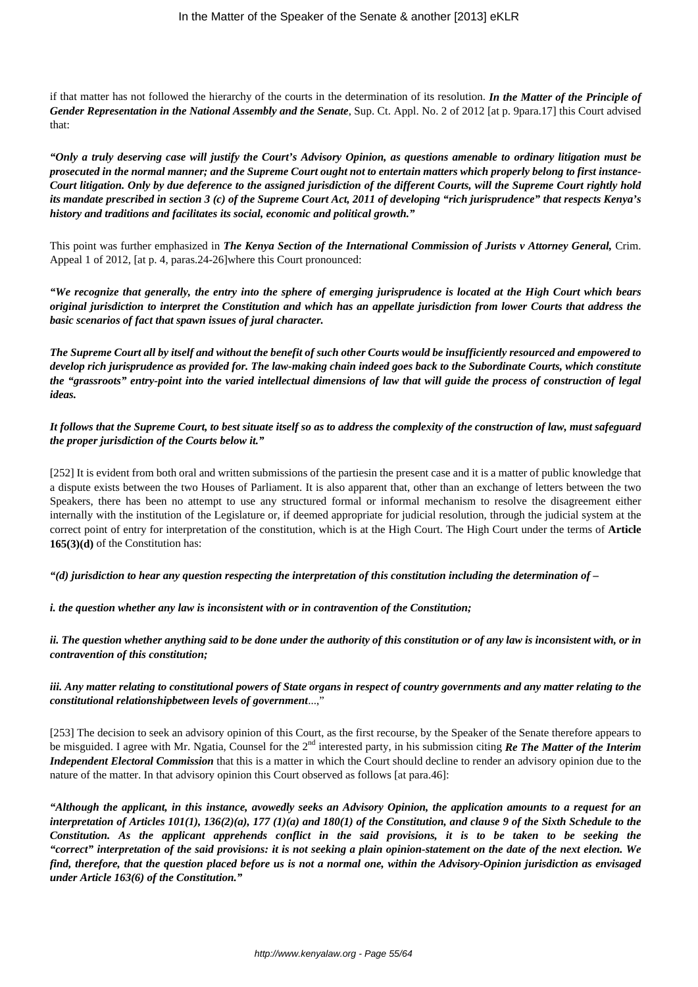if that matter has not followed the hierarchy of the courts in the determination of its resolution. *In the Matter of the Principle of Gender Representation in the National Assembly and the Senate*, Sup. Ct. Appl. No. 2 of 2012 [at p. 9para.17] this Court advised that:

*"Only a truly deserving case will justify the Court's Advisory Opinion, as questions amenable to ordinary litigation must be prosecuted in the normal manner; and the Supreme Court ought not to entertain matters which properly belong to first instance-Court litigation. Only by due deference to the assigned jurisdiction of the different Courts, will the Supreme Court rightly hold its mandate prescribed in section 3 (c) of the Supreme Court Act, 2011 of developing "rich jurisprudence" that respects Kenya's history and traditions and facilitates its social, economic and political growth."*

This point was further emphasized in *The Kenya Section of the International Commission of Jurists v Attorney General,* Crim. Appeal 1 of 2012, [at p. 4, paras.24-26]where this Court pronounced:

*"We recognize that generally, the entry into the sphere of emerging jurisprudence is located at the High Court which bears original jurisdiction to interpret the Constitution and which has an appellate jurisdiction from lower Courts that address the basic scenarios of fact that spawn issues of jural character.*

*The Supreme Court all by itself and without the benefit of such other Courts would be insufficiently resourced and empowered to develop rich jurisprudence as provided for. The law-making chain indeed goes back to the Subordinate Courts, which constitute the "grassroots" entry-point into the varied intellectual dimensions of law that will guide the process of construction of legal ideas.*

*It follows that the Supreme Court, to best situate itself so as to address the complexity of the construction of law, must safeguard the proper jurisdiction of the Courts below it."*

[252] It is evident from both oral and written submissions of the partiesin the present case and it is a matter of public knowledge that a dispute exists between the two Houses of Parliament. It is also apparent that, other than an exchange of letters between the two Speakers, there has been no attempt to use any structured formal or informal mechanism to resolve the disagreement either internally with the institution of the Legislature or, if deemed appropriate for judicial resolution, through the judicial system at the correct point of entry for interpretation of the constitution, which is at the High Court. The High Court under the terms of **Article 165(3)(d)** of the Constitution has:

*"(d) jurisdiction to hear any question respecting the interpretation of this constitution including the determination of –*

*i. the question whether any law is inconsistent with or in contravention of the Constitution;*

*ii. The question whether anything said to be done under the authority of this constitution or of any law is inconsistent with, or in contravention of this constitution;*

*iii. Any matter relating to constitutional powers of State organs in respect of country governments and any matter relating to the constitutional relationshipbetween levels of government*...,"

[253] The decision to seek an advisory opinion of this Court, as the first recourse, by the Speaker of the Senate therefore appears to be misguided. I agree with Mr. Ngatia, Counsel for the 2nd interested party, in his submission citing *Re The Matter of the Interim Independent Electoral Commission* that this is a matter in which the Court should decline to render an advisory opinion due to the nature of the matter. In that advisory opinion this Court observed as follows [at para.46]:

*"Although the applicant, in this instance, avowedly seeks an Advisory Opinion, the application amounts to a request for an interpretation of Articles 101(1), 136(2)(a), 177 (1)(a) and 180(1) of the Constitution, and clause 9 of the Sixth Schedule to the Constitution. As the applicant apprehends conflict in the said provisions, it is to be taken to be seeking the "correct" interpretation of the said provisions: it is not seeking a plain opinion-statement on the date of the next election. We find, therefore, that the question placed before us is not a normal one, within the Advisory-Opinion jurisdiction as envisaged under Article 163(6) of the Constitution."*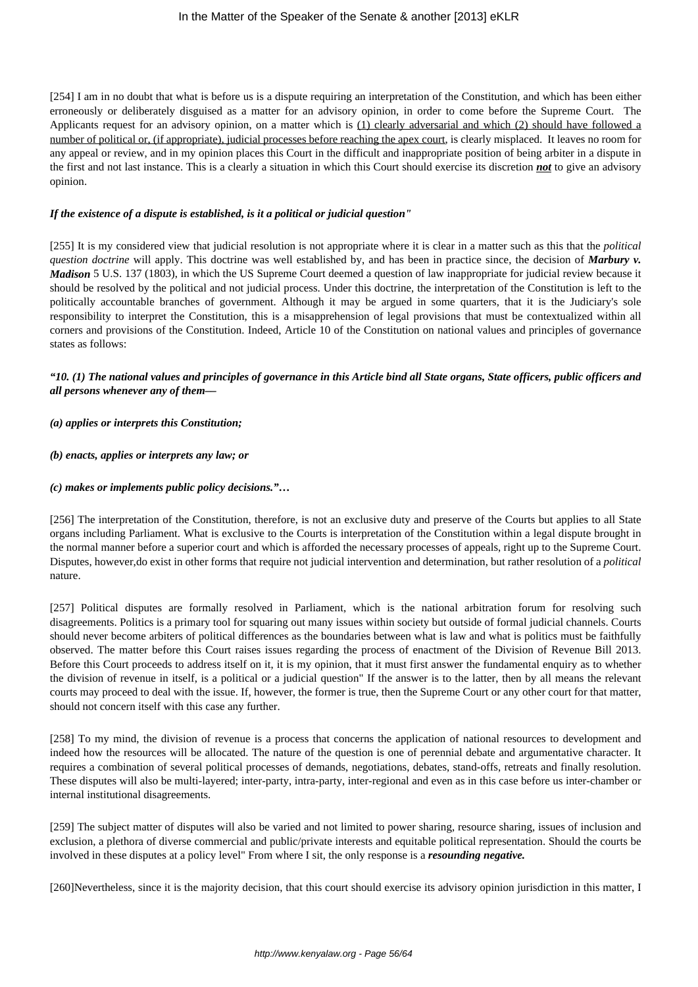#### In the Matter of the Speaker of the Senate & another [2013] eKLR

[254] I am in no doubt that what is before us is a dispute requiring an interpretation of the Constitution, and which has been either erroneously or deliberately disguised as a matter for an advisory opinion, in order to come before the Supreme Court. The Applicants request for an advisory opinion, on a matter which is (1) clearly adversarial and which (2) should have followed a number of political or, (if appropriate), judicial processes before reaching the apex court, is clearly misplaced. It leaves no room for any appeal or review, and in my opinion places this Court in the difficult and inappropriate position of being arbiter in a dispute in the first and not last instance. This is a clearly a situation in which this Court should exercise its discretion *not* to give an advisory opinion.

#### *If the existence of a dispute is established, is it a political or judicial question"*

[255] It is my considered view that judicial resolution is not appropriate where it is clear in a matter such as this that the *political question doctrine* will apply. This doctrine was well established by, and has been in practice since, the decision of *Marbury v. Madison* 5 U.S. 137 (1803), in which the US Supreme Court deemed a question of law inappropriate for judicial review because it should be resolved by the political and not judicial process. Under this doctrine, the interpretation of the Constitution is left to the politically accountable branches of government. Although it may be argued in some quarters, that it is the Judiciary's sole responsibility to interpret the Constitution, this is a misapprehension of legal provisions that must be contextualized within all corners and provisions of the Constitution. Indeed, Article 10 of the Constitution on national values and principles of governance states as follows:

# *"10. (1) The national values and principles of governance in this Article bind all State organs, State officers, public officers and all persons whenever any of them––*

#### *(a) applies or interprets this Constitution;*

#### *(b) enacts, applies or interprets any law; or*

#### *(c) makes or implements public policy decisions."…*

[256] The interpretation of the Constitution, therefore, is not an exclusive duty and preserve of the Courts but applies to all State organs including Parliament. What is exclusive to the Courts is interpretation of the Constitution within a legal dispute brought in the normal manner before a superior court and which is afforded the necessary processes of appeals, right up to the Supreme Court. Disputes, however,do exist in other forms that require not judicial intervention and determination, but rather resolution of a *political* nature.

[257] Political disputes are formally resolved in Parliament, which is the national arbitration forum for resolving such disagreements. Politics is a primary tool for squaring out many issues within society but outside of formal judicial channels. Courts should never become arbiters of political differences as the boundaries between what is law and what is politics must be faithfully observed. The matter before this Court raises issues regarding the process of enactment of the Division of Revenue Bill 2013. Before this Court proceeds to address itself on it, it is my opinion, that it must first answer the fundamental enquiry as to whether the division of revenue in itself, is a political or a judicial question" If the answer is to the latter, then by all means the relevant courts may proceed to deal with the issue. If, however, the former is true, then the Supreme Court or any other court for that matter, should not concern itself with this case any further.

[258] To my mind, the division of revenue is a process that concerns the application of national resources to development and indeed how the resources will be allocated. The nature of the question is one of perennial debate and argumentative character. It requires a combination of several political processes of demands, negotiations, debates, stand-offs, retreats and finally resolution. These disputes will also be multi-layered; inter-party, intra-party, inter-regional and even as in this case before us inter-chamber or internal institutional disagreements.

[259] The subject matter of disputes will also be varied and not limited to power sharing, resource sharing, issues of inclusion and exclusion, a plethora of diverse commercial and public/private interests and equitable political representation. Should the courts be involved in these disputes at a policy level" From where I sit, the only response is a *resounding negative.*

[260]Nevertheless, since it is the majority decision, that this court should exercise its advisory opinion jurisdiction in this matter, I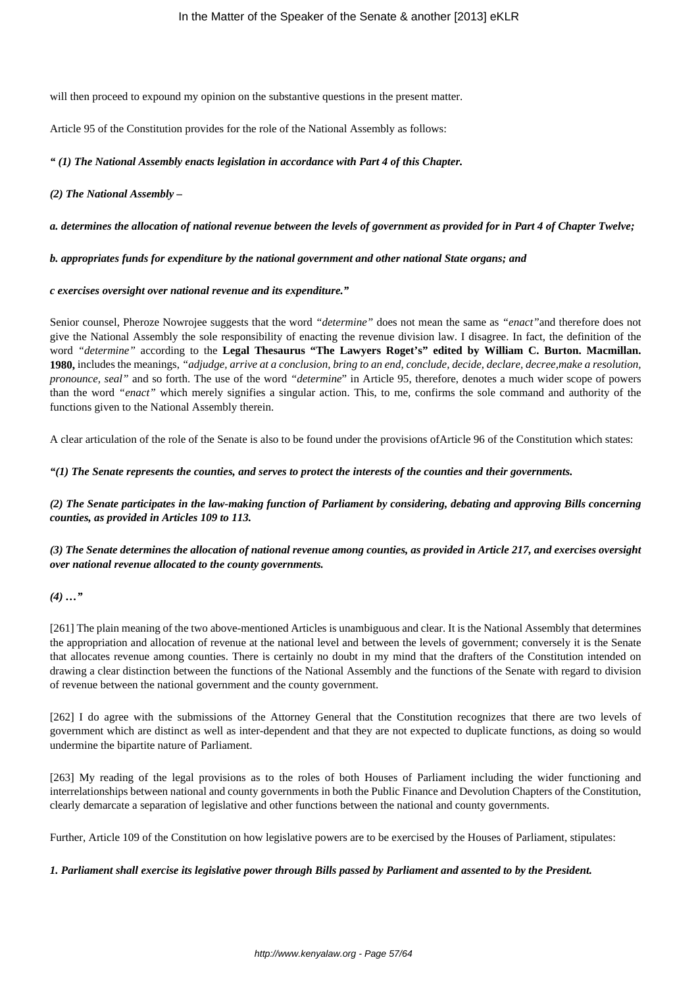will then proceed to expound my opinion on the substantive questions in the present matter.

Article 95 of the Constitution provides for the role of the National Assembly as follows:

*" (1) The National Assembly enacts legislation in accordance with Part 4 of this Chapter.*

#### *(2) The National Assembly –*

#### *a. determines the allocation of national revenue between the levels of government as provided for in Part 4 of Chapter Twelve;*

#### *b. appropriates funds for expenditure by the national government and other national State organs; and*

#### *c exercises oversight over national revenue and its expenditure."*

Senior counsel, Pheroze Nowrojee suggests that the word *"determine"* does not mean the same as *"enact"*and therefore does not give the National Assembly the sole responsibility of enacting the revenue division law. I disagree. In fact, the definition of the word *"determine"* according to the **Legal Thesaurus "The Lawyers Roget's" edited by William C. Burton. Macmillan. 1980,** includes the meanings, *"adjudge, arrive at a conclusion, bring to an end, conclude, decide, declare, decree,make a resolution, pronounce, seal"* and so forth. The use of the word *"determine*" in Article 95, therefore, denotes a much wider scope of powers than the word *"enact"* which merely signifies a singular action. This, to me, confirms the sole command and authority of the functions given to the National Assembly therein.

A clear articulation of the role of the Senate is also to be found under the provisions ofArticle 96 of the Constitution which states:

*"(1) The Senate represents the counties, and serves to protect the interests of the counties and their governments.*

*(2) The Senate participates in the law-making function of Parliament by considering, debating and approving Bills concerning counties, as provided in Articles 109 to 113.*

# *(3) The Senate determines the allocation of national revenue among counties, as provided in Article 217, and exercises oversight over national revenue allocated to the county governments.*

## *(4) …"*

[261] The plain meaning of the two above-mentioned Articles is unambiguous and clear. It is the National Assembly that determines the appropriation and allocation of revenue at the national level and between the levels of government; conversely it is the Senate that allocates revenue among counties. There is certainly no doubt in my mind that the drafters of the Constitution intended on drawing a clear distinction between the functions of the National Assembly and the functions of the Senate with regard to division of revenue between the national government and the county government.

[262] I do agree with the submissions of the Attorney General that the Constitution recognizes that there are two levels of government which are distinct as well as inter-dependent and that they are not expected to duplicate functions, as doing so would undermine the bipartite nature of Parliament.

[263] My reading of the legal provisions as to the roles of both Houses of Parliament including the wider functioning and interrelationships between national and county governments in both the Public Finance and Devolution Chapters of the Constitution, clearly demarcate a separation of legislative and other functions between the national and county governments.

Further, Article 109 of the Constitution on how legislative powers are to be exercised by the Houses of Parliament, stipulates:

## *1. Parliament shall exercise its legislative power through Bills passed by Parliament and assented to by the President.*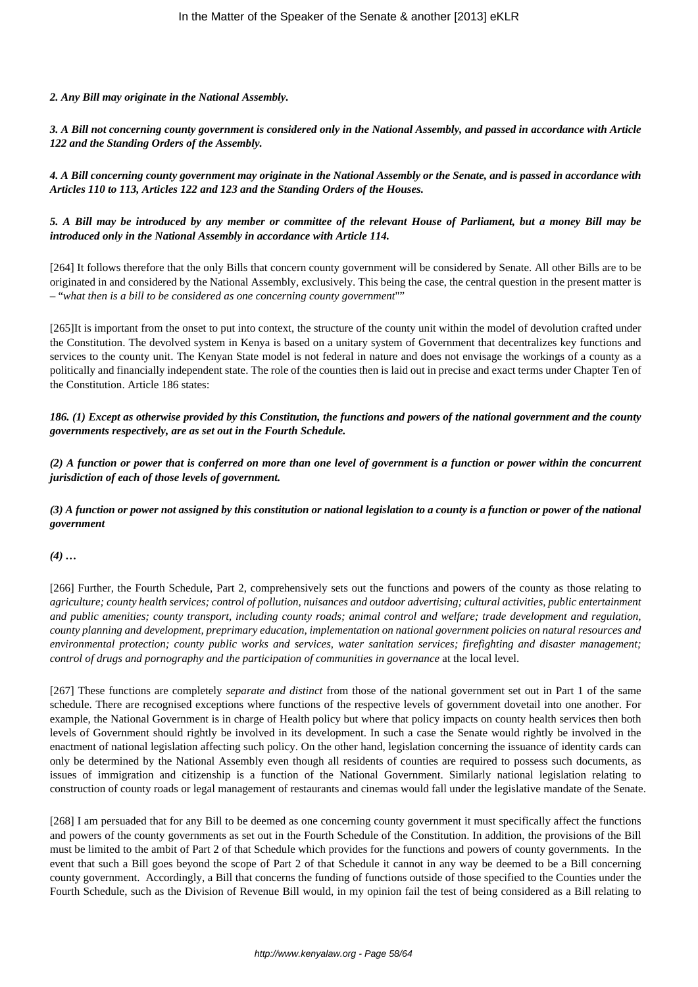#### *2. Any Bill may originate in the National Assembly.*

*3. A Bill not concerning county government is considered only in the National Assembly, and passed in accordance with Article 122 and the Standing Orders of the Assembly.*

*4. A Bill concerning county government may originate in the National Assembly or the Senate, and is passed in accordance with Articles 110 to 113, Articles 122 and 123 and the Standing Orders of the Houses.*

## *5. A Bill may be introduced by any member or committee of the relevant House of Parliament, but a money Bill may be introduced only in the National Assembly in accordance with Article 114.*

[264] It follows therefore that the only Bills that concern county government will be considered by Senate. All other Bills are to be originated in and considered by the National Assembly, exclusively. This being the case, the central question in the present matter is – "*what then is a bill to be considered as one concerning county government*""

[265]It is important from the onset to put into context, the structure of the county unit within the model of devolution crafted under the Constitution. The devolved system in Kenya is based on a unitary system of Government that decentralizes key functions and services to the county unit. The Kenyan State model is not federal in nature and does not envisage the workings of a county as a politically and financially independent state. The role of the counties then is laid out in precise and exact terms under Chapter Ten of the Constitution. Article 186 states:

*186. (1) Except as otherwise provided by this Constitution, the functions and powers of the national government and the county governments respectively, are as set out in the Fourth Schedule.*

*(2) A function or power that is conferred on more than one level of government is a function or power within the concurrent jurisdiction of each of those levels of government.*

*(3) A function or power not assigned by this constitution or national legislation to a county is a function or power of the national government*

*(4) …*

[266] Further, the Fourth Schedule, Part 2, comprehensively sets out the functions and powers of the county as those relating to *agriculture; county health services; control of pollution, nuisances and outdoor advertising; cultural activities, public entertainment and public amenities; county transport, including county roads; animal control and welfare; trade development and regulation, county planning and development, preprimary education, implementation on national government policies on natural resources and environmental protection; county public works and services, water sanitation services; firefighting and disaster management; control of drugs and pornography and the participation of communities in governance* at the local level.

[267] These functions are completely *separate and distinct* from those of the national government set out in Part 1 of the same schedule. There are recognised exceptions where functions of the respective levels of government dovetail into one another. For example, the National Government is in charge of Health policy but where that policy impacts on county health services then both levels of Government should rightly be involved in its development. In such a case the Senate would rightly be involved in the enactment of national legislation affecting such policy. On the other hand, legislation concerning the issuance of identity cards can only be determined by the National Assembly even though all residents of counties are required to possess such documents, as issues of immigration and citizenship is a function of the National Government. Similarly national legislation relating to construction of county roads or legal management of restaurants and cinemas would fall under the legislative mandate of the Senate.

[268] I am persuaded that for any Bill to be deemed as one concerning county government it must specifically affect the functions and powers of the county governments as set out in the Fourth Schedule of the Constitution. In addition, the provisions of the Bill must be limited to the ambit of Part 2 of that Schedule which provides for the functions and powers of county governments. In the event that such a Bill goes beyond the scope of Part 2 of that Schedule it cannot in any way be deemed to be a Bill concerning county government. Accordingly, a Bill that concerns the funding of functions outside of those specified to the Counties under the Fourth Schedule, such as the Division of Revenue Bill would, in my opinion fail the test of being considered as a Bill relating to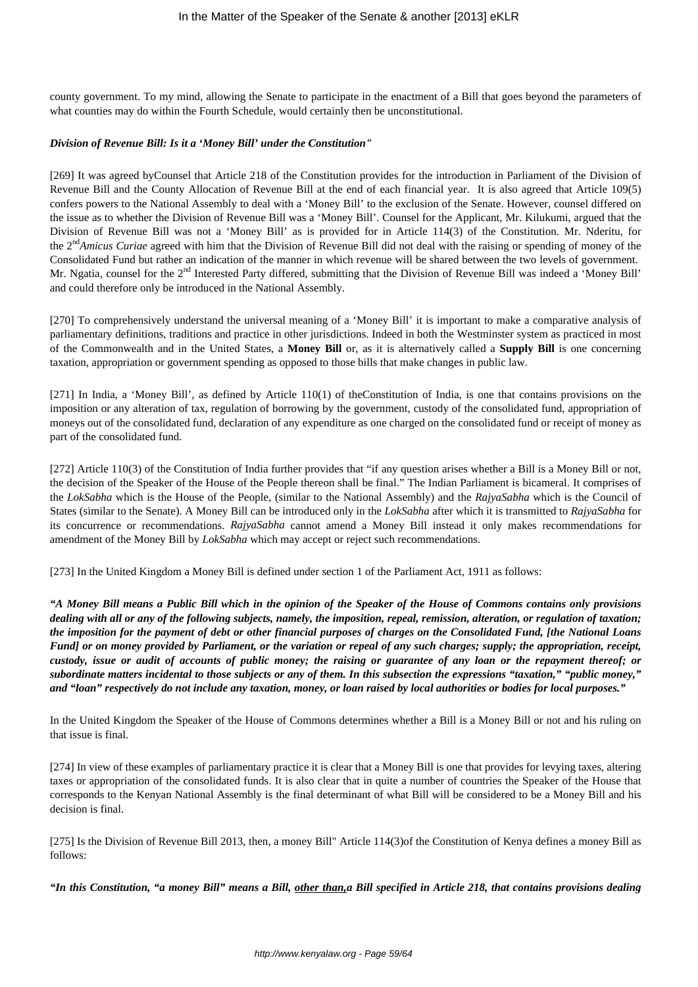county government. To my mind, allowing the Senate to participate in the enactment of a Bill that goes beyond the parameters of what counties may do within the Fourth Schedule, would certainly then be unconstitutional.

#### *Division of Revenue Bill: Is it a 'Money Bill' under the Constitution"*

[269] It was agreed byCounsel that Article 218 of the Constitution provides for the introduction in Parliament of the Division of Revenue Bill and the County Allocation of Revenue Bill at the end of each financial year. It is also agreed that Article 109(5) confers powers to the National Assembly to deal with a 'Money Bill' to the exclusion of the Senate. However, counsel differed on the issue as to whether the Division of Revenue Bill was a 'Money Bill'. Counsel for the Applicant, Mr. Kilukumi, argued that the Division of Revenue Bill was not a 'Money Bill' as is provided for in Article 114(3) of the Constitution. Mr. Nderitu, for the 2nd*Amicus Curiae* agreed with him that the Division of Revenue Bill did not deal with the raising or spending of money of the Consolidated Fund but rather an indication of the manner in which revenue will be shared between the two levels of government. Mr. Ngatia, counsel for the 2<sup>nd</sup> Interested Party differed, submitting that the Division of Revenue Bill was indeed a 'Money Bill' and could therefore only be introduced in the National Assembly.

[270] To comprehensively understand the universal meaning of a 'Money Bill' it is important to make a comparative analysis of parliamentary definitions, traditions and practice in other jurisdictions. Indeed in both the Westminster system as practiced in most of the Commonwealth and in the United States, a **Money Bill** or, as it is alternatively called a **Supply Bill** is one concerning taxation, appropriation or government spending as opposed to those bills that make changes in public law.

[271] In India, a 'Money Bill', as defined by Article 110(1) of theConstitution of India, is one that contains provisions on the imposition or any alteration of tax, regulation of borrowing by the government, custody of the consolidated fund, appropriation of moneys out of the consolidated fund, declaration of any expenditure as one charged on the consolidated fund or receipt of money as part of the consolidated fund.

[272] Article 110(3) of the Constitution of India further provides that "if any question arises whether a Bill is a Money Bill or not, the decision of the Speaker of the House of the People thereon shall be final." The Indian Parliament is bicameral. It comprises of the *LokSabha* which is the House of the People, (similar to the National Assembly) and the *RajyaSabha* which is the Council of States (similar to the Senate). A Money Bill can be introduced only in the *LokSabha* after which it is transmitted to *RajyaSabha* for its concurrence or recommendations. *RajyaSabha* cannot amend a Money Bill instead it only makes recommendations for amendment of the Money Bill by *LokSabha* which may accept or reject such recommendations.

[273] In the United Kingdom a Money Bill is defined under section 1 of the Parliament Act, 1911 as follows:

*"A Money Bill means a Public Bill which in the opinion of the Speaker of the House of Commons contains only provisions dealing with all or any of the following subjects, namely, the imposition, repeal, remission, alteration, or regulation of taxation; the imposition for the payment of debt or other financial purposes of charges on the Consolidated Fund, [the National Loans Fund] or on money provided by Parliament, or the variation or repeal of any such charges; supply; the appropriation, receipt, custody, issue or audit of accounts of public money; the raising or guarantee of any loan or the repayment thereof; or subordinate matters incidental to those subjects or any of them. In this subsection the expressions "taxation," "public money," and "loan" respectively do not include any taxation, money, or loan raised by local authorities or bodies for local purposes."*

In the United Kingdom the Speaker of the House of Commons determines whether a Bill is a Money Bill or not and his ruling on that issue is final.

[274] In view of these examples of parliamentary practice it is clear that a Money Bill is one that provides for levying taxes, altering taxes or appropriation of the consolidated funds. It is also clear that in quite a number of countries the Speaker of the House that corresponds to the Kenyan National Assembly is the final determinant of what Bill will be considered to be a Money Bill and his decision is final.

[275] Is the Division of Revenue Bill 2013, then, a money Bill" Article 114(3)of the Constitution of Kenya defines a money Bill as follows:

*"In this Constitution, "a money Bill" means a Bill, other than,a Bill specified in Article 218, that contains provisions dealing*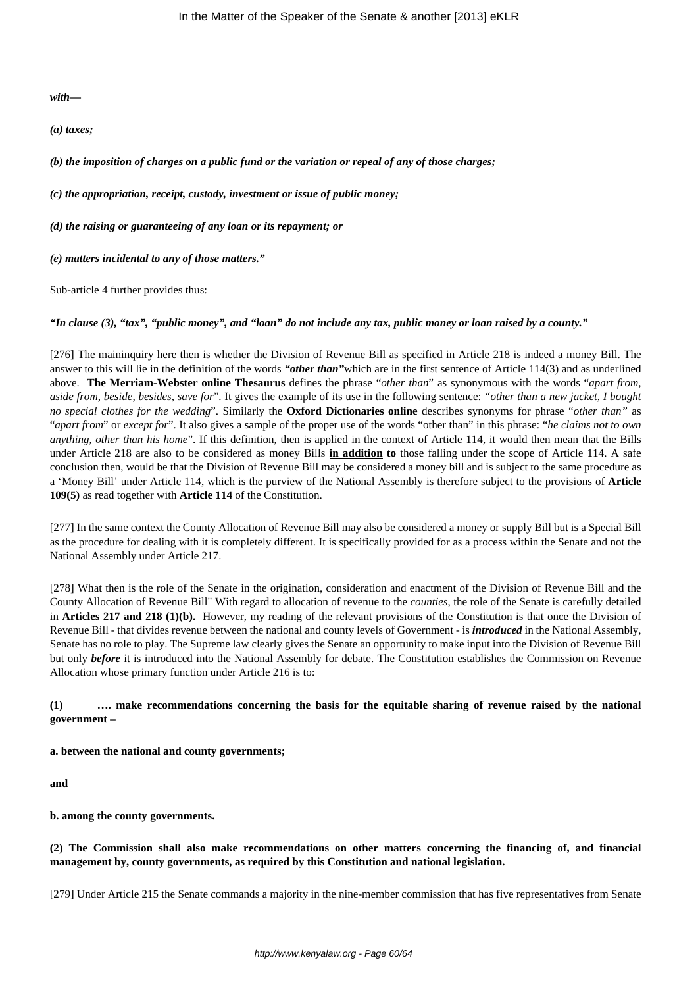*with—*

*(a) taxes;*

*(b) the imposition of charges on a public fund or the variation or repeal of any of those charges;*

*(c) the appropriation, receipt, custody, investment or issue of public money;*

*(d) the raising or guaranteeing of any loan or its repayment; or*

*(e) matters incidental to any of those matters."*

Sub-article 4 further provides thus:

*"In clause (3), "tax", "public money", and "loan" do not include any tax, public money or loan raised by a county."*

[276] The maininquiry here then is whether the Division of Revenue Bill as specified in Article 218 is indeed a money Bill. The answer to this will lie in the definition of the words *"other than"*which are in the first sentence of Article 114(3) and as underlined above. **The Merriam-Webster online Thesaurus** defines the phrase "*other than*" as synonymous with the words "*apart from, aside from, beside, besides, save for*". It gives the example of its use in the following sentence: *"other than a new jacket, I bought no special clothes for the wedding*". Similarly the **Oxford Dictionaries online** describes synonyms for phrase "*other than"* as "*apart from*" or *except for*". It also gives a sample of the proper use of the words "other than" in this phrase: "*he claims not to own anything, other than his home*". If this definition, then is applied in the context of Article 114, it would then mean that the Bills under Article 218 are also to be considered as money Bills **in addition to** those falling under the scope of Article 114. A safe conclusion then, would be that the Division of Revenue Bill may be considered a money bill and is subject to the same procedure as a 'Money Bill' under Article 114, which is the purview of the National Assembly is therefore subject to the provisions of **Article 109(5)** as read together with **Article 114** of the Constitution.

[277] In the same context the County Allocation of Revenue Bill may also be considered a money or supply Bill but is a Special Bill as the procedure for dealing with it is completely different. It is specifically provided for as a process within the Senate and not the National Assembly under Article 217.

[278] What then is the role of the Senate in the origination, consideration and enactment of the Division of Revenue Bill and the County Allocation of Revenue Bill" With regard to allocation of revenue to the *counties*, the role of the Senate is carefully detailed in **Articles 217 and 218 (1)(b).** However, my reading of the relevant provisions of the Constitution is that once the Division of Revenue Bill - that divides revenue between the national and county levels of Government - is *introduced* in the National Assembly, Senate has no role to play. The Supreme law clearly gives the Senate an opportunity to make input into the Division of Revenue Bill but only *before* it is introduced into the National Assembly for debate. The Constitution establishes the Commission on Revenue Allocation whose primary function under Article 216 is to:

## **(1) …. make recommendations concerning the basis for the equitable sharing of revenue raised by the national government –**

**a. between the national and county governments;**

**and**

**b. among the county governments.**

**(2) The Commission shall also make recommendations on other matters concerning the financing of, and financial management by, county governments, as required by this Constitution and national legislation.**

[279] Under Article 215 the Senate commands a majority in the nine-member commission that has five representatives from Senate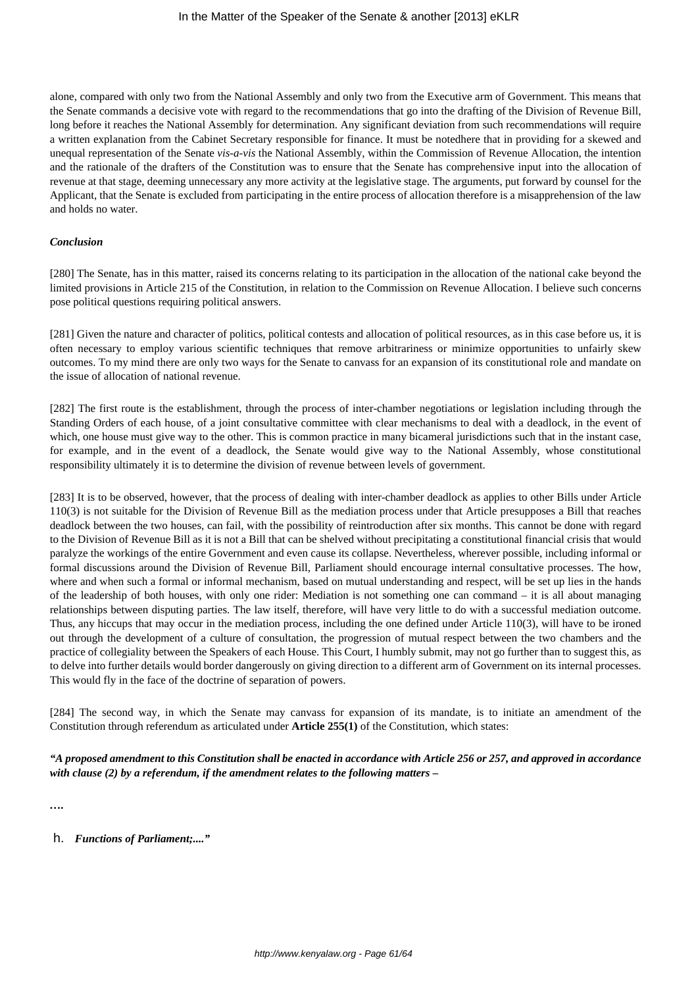alone, compared with only two from the National Assembly and only two from the Executive arm of Government. This means that the Senate commands a decisive vote with regard to the recommendations that go into the drafting of the Division of Revenue Bill, long before it reaches the National Assembly for determination. Any significant deviation from such recommendations will require a written explanation from the Cabinet Secretary responsible for finance. It must be notedhere that in providing for a skewed and unequal representation of the Senate *vis-a-vis* the National Assembly, within the Commission of Revenue Allocation, the intention and the rationale of the drafters of the Constitution was to ensure that the Senate has comprehensive input into the allocation of revenue at that stage, deeming unnecessary any more activity at the legislative stage. The arguments, put forward by counsel for the Applicant, that the Senate is excluded from participating in the entire process of allocation therefore is a misapprehension of the law and holds no water.

#### *Conclusion*

[280] The Senate, has in this matter, raised its concerns relating to its participation in the allocation of the national cake beyond the limited provisions in Article 215 of the Constitution, in relation to the Commission on Revenue Allocation. I believe such concerns pose political questions requiring political answers.

[281] Given the nature and character of politics, political contests and allocation of political resources, as in this case before us, it is often necessary to employ various scientific techniques that remove arbitrariness or minimize opportunities to unfairly skew outcomes. To my mind there are only two ways for the Senate to canvass for an expansion of its constitutional role and mandate on the issue of allocation of national revenue.

[282] The first route is the establishment, through the process of inter-chamber negotiations or legislation including through the Standing Orders of each house, of a joint consultative committee with clear mechanisms to deal with a deadlock, in the event of which, one house must give way to the other. This is common practice in many bicameral jurisdictions such that in the instant case, for example, and in the event of a deadlock, the Senate would give way to the National Assembly, whose constitutional responsibility ultimately it is to determine the division of revenue between levels of government.

[283] It is to be observed, however, that the process of dealing with inter-chamber deadlock as applies to other Bills under Article 110(3) is not suitable for the Division of Revenue Bill as the mediation process under that Article presupposes a Bill that reaches deadlock between the two houses, can fail, with the possibility of reintroduction after six months. This cannot be done with regard to the Division of Revenue Bill as it is not a Bill that can be shelved without precipitating a constitutional financial crisis that would paralyze the workings of the entire Government and even cause its collapse. Nevertheless, wherever possible, including informal or formal discussions around the Division of Revenue Bill, Parliament should encourage internal consultative processes. The how, where and when such a formal or informal mechanism, based on mutual understanding and respect, will be set up lies in the hands of the leadership of both houses, with only one rider: Mediation is not something one can command – it is all about managing relationships between disputing parties. The law itself, therefore, will have very little to do with a successful mediation outcome. Thus, any hiccups that may occur in the mediation process, including the one defined under Article 110(3), will have to be ironed out through the development of a culture of consultation, the progression of mutual respect between the two chambers and the practice of collegiality between the Speakers of each House. This Court, I humbly submit, may not go further than to suggest this, as to delve into further details would border dangerously on giving direction to a different arm of Government on its internal processes. This would fly in the face of the doctrine of separation of powers.

[284] The second way, in which the Senate may canvass for expansion of its mandate, is to initiate an amendment of the Constitution through referendum as articulated under **Article 255(1)** of the Constitution, which states:

*"A proposed amendment to this Constitution shall be enacted in accordance with Article 256 or 257, and approved in accordance with clause (2) by a referendum, if the amendment relates to the following matters –*

*….*

h. *Functions of Parliament;...."*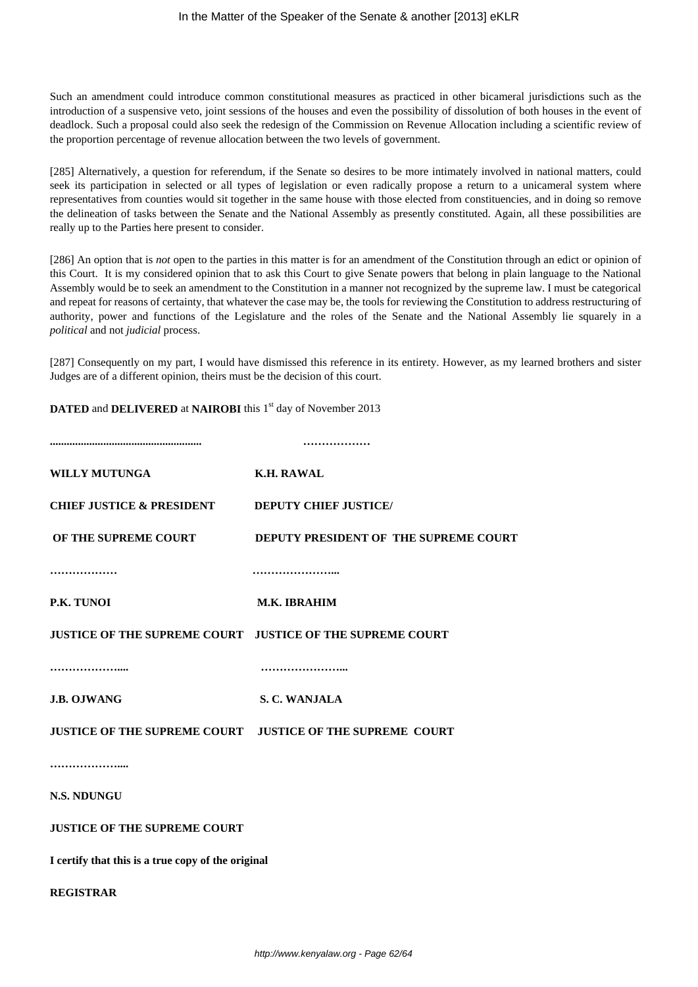Such an amendment could introduce common constitutional measures as practiced in other bicameral jurisdictions such as the introduction of a suspensive veto, joint sessions of the houses and even the possibility of dissolution of both houses in the event of deadlock. Such a proposal could also seek the redesign of the Commission on Revenue Allocation including a scientific review of the proportion percentage of revenue allocation between the two levels of government.

[285] Alternatively, a question for referendum, if the Senate so desires to be more intimately involved in national matters, could seek its participation in selected or all types of legislation or even radically propose a return to a unicameral system where representatives from counties would sit together in the same house with those elected from constituencies, and in doing so remove the delineation of tasks between the Senate and the National Assembly as presently constituted. Again, all these possibilities are really up to the Parties here present to consider.

[286] An option that is *not* open to the parties in this matter is for an amendment of the Constitution through an edict or opinion of this Court. It is my considered opinion that to ask this Court to give Senate powers that belong in plain language to the National Assembly would be to seek an amendment to the Constitution in a manner not recognized by the supreme law. I must be categorical and repeat for reasons of certainty, that whatever the case may be, the tools for reviewing the Constitution to address restructuring of authority, power and functions of the Legislature and the roles of the Senate and the National Assembly lie squarely in a *political* and not *judicial* process.

[287] Consequently on my part, I would have dismissed this reference in its entirety. However, as my learned brothers and sister Judges are of a different opinion, theirs must be the decision of this court.

**DATED** and **DELIVERED** at **NAIROBI** this 1<sup>st</sup> day of November 2013

| <b>WILLY MUTUNGA</b>                                       | <b>K.H. RAWAL</b>                                          |
|------------------------------------------------------------|------------------------------------------------------------|
| <b>CHIEF JUSTICE &amp; PRESIDENT DEPUTY CHIEF JUSTICE/</b> |                                                            |
| OF THE SUPREME COURT                                       | DEPUTY PRESIDENT OF THE SUPREME COURT                      |
|                                                            |                                                            |
| P.K. TUNOI                                                 | M.K. IBRAHIM                                               |
|                                                            | JUSTICE OF THE SUPREME COURT  JUSTICE OF THE SUPREME COURT |
|                                                            |                                                            |
| <b>J.B. OJWANG</b>                                         | S. C. WANJALA                                              |
|                                                            | JUSTICE OF THE SUPREME COURT  JUSTICE OF THE SUPREME COURT |
|                                                            |                                                            |
| <b>N.S. NDUNGU</b>                                         |                                                            |
| <b>JUSTICE OF THE SUPREME COURT</b>                        |                                                            |
| I certify that this is a true copy of the original         |                                                            |
| <b>REGISTRAR</b>                                           |                                                            |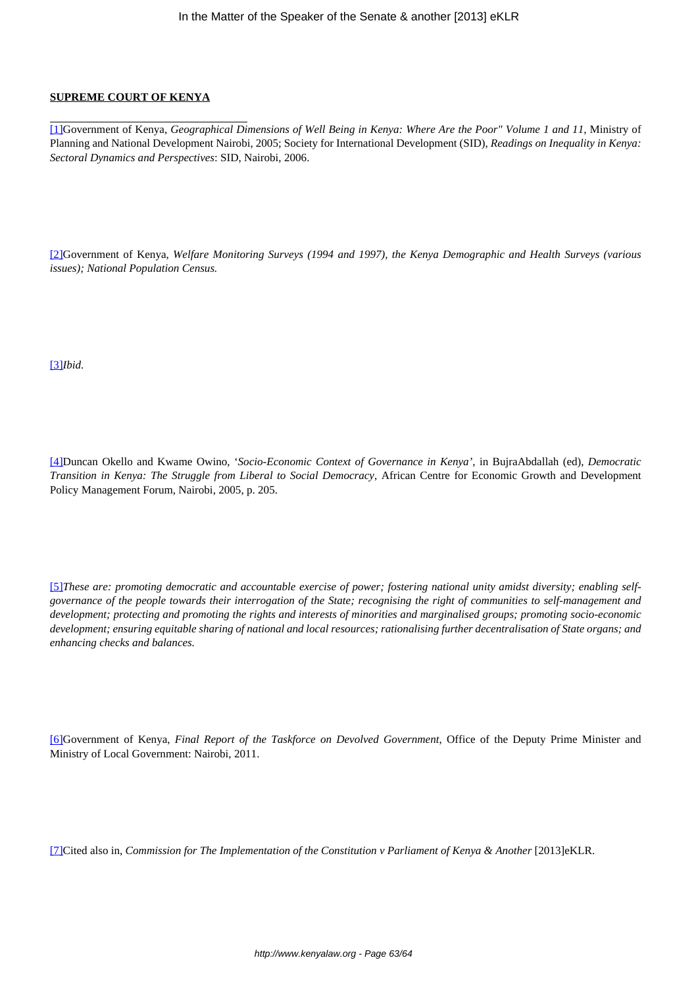# **SUPREME COURT OF KENYA**

[1]Government of Kenya, *Geographical Dimensions of Well Being in Kenya: Where Are the Poor" Volume 1 and 11,* Ministry of Planning and National Development Nairobi, 2005; Society for International Development (SID), *Readings on Inequality in Kenya: Sectoral Dynamics and Perspectives*: SID, Nairobi, 2006.

[2]Government of Kenya, *Welfare Monitoring Surveys (1994 and 1997), the Kenya Demographic and Health Surveys (various issues); National Population Census.*

[3]*Ibid.*

[4]Duncan Okello and Kwame Owino, '*Socio-Economic Context of Governance in Kenya'*, in BujraAbdallah (ed), *Democratic Transition in Kenya: The Struggle from Liberal to Social Democracy*, African Centre for Economic Growth and Development Policy Management Forum, Nairobi, 2005, p. 205.

[5] These are: promoting democratic and accountable exercise of power; fostering national unity amidst diversity; enabling self*governance of the people towards their interrogation of the State; recognising the right of communities to self-management and development; protecting and promoting the rights and interests of minorities and marginalised groups; promoting socio-economic development; ensuring equitable sharing of national and local resources; rationalising further decentralisation of State organs; and enhancing checks and balances.*

[6]Government of Kenya, *Final Report of the Taskforce on Devolved Government*, Office of the Deputy Prime Minister and Ministry of Local Government: Nairobi, 2011.

[7]Cited also in, *Commission for The Implementation of the Constitution v Parliament of Kenya & Another* [2013]eKLR.